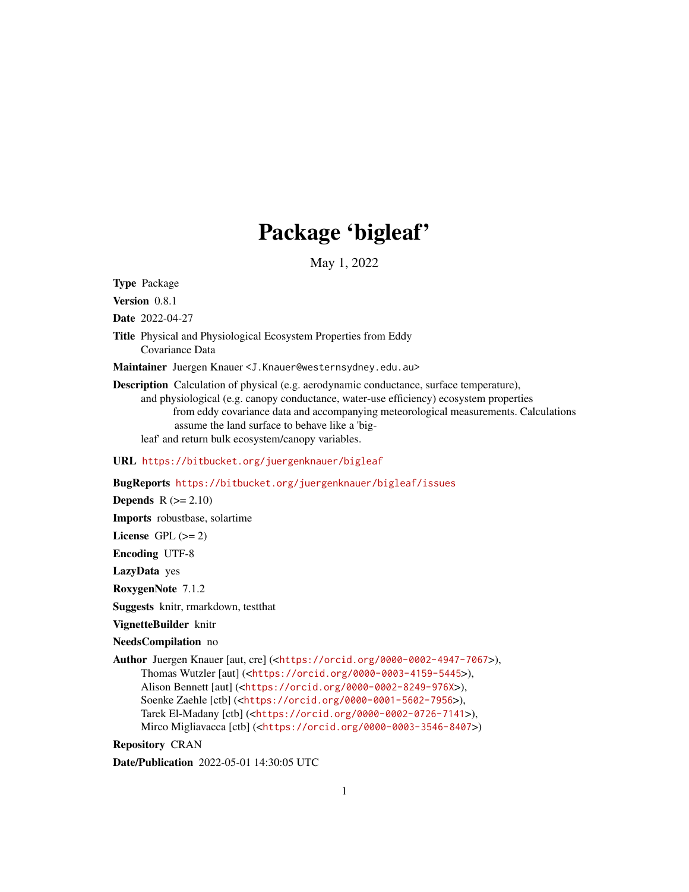# Package 'bigleaf'

May 1, 2022

<span id="page-0-0"></span>Type Package

Version 0.8.1

Date 2022-04-27

Title Physical and Physiological Ecosystem Properties from Eddy Covariance Data

Maintainer Juergen Knauer <J.Knauer@westernsydney.edu.au>

Description Calculation of physical (e.g. aerodynamic conductance, surface temperature), and physiological (e.g. canopy conductance, water-use efficiency) ecosystem properties from eddy covariance data and accompanying meteorological measurements. Calculations assume the land surface to behave like a 'bigleaf' and return bulk ecosystem/canopy variables.

URL <https://bitbucket.org/juergenknauer/bigleaf>

BugReports <https://bitbucket.org/juergenknauer/bigleaf/issues>

Depends  $R (= 2.10)$ 

Imports robustbase, solartime

License GPL  $(>= 2)$ 

Encoding UTF-8

LazyData yes

RoxygenNote 7.1.2

Suggests knitr, rmarkdown, testthat

VignetteBuilder knitr

NeedsCompilation no

Author Juergen Knauer [aut, cre] (<<https://orcid.org/0000-0002-4947-7067>>), Thomas Wutzler [aut] (<<https://orcid.org/0000-0003-4159-5445>>), Alison Bennett [aut] (<<https://orcid.org/0000-0002-8249-976X>>), Soenke Zaehle [ctb] (<<https://orcid.org/0000-0001-5602-7956>>), Tarek El-Madany [ctb] (<<https://orcid.org/0000-0002-0726-7141>>), Mirco Migliavacca [ctb] (<<https://orcid.org/0000-0003-3546-8407>>)

Repository CRAN

Date/Publication 2022-05-01 14:30:05 UTC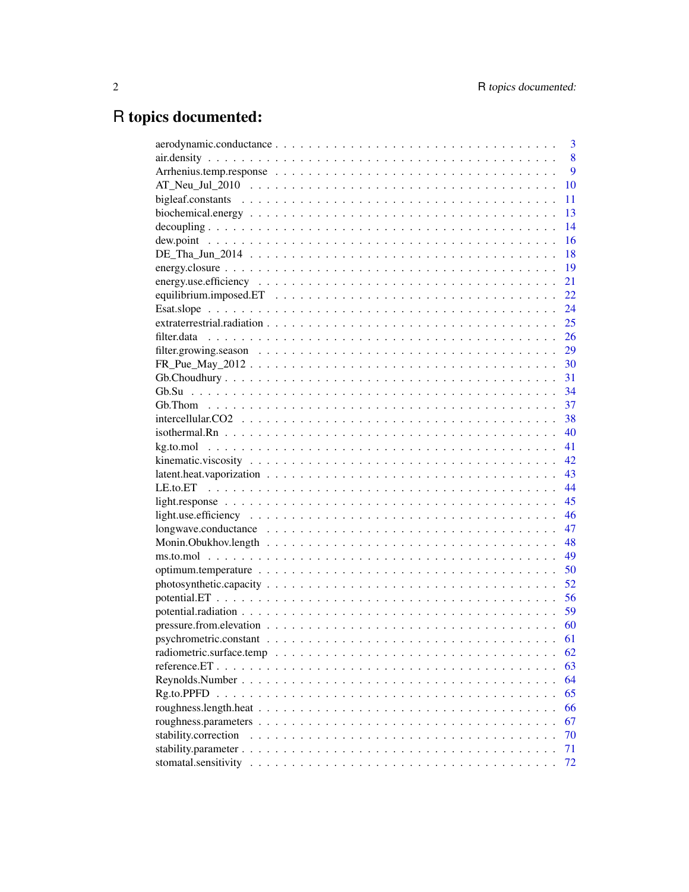# R topics documented:

| 3                          |
|----------------------------|
| 8                          |
| 9                          |
| 10                         |
| 11                         |
| 13                         |
| 14                         |
| 16                         |
| 18                         |
| 19                         |
| 21                         |
| 22                         |
| 24                         |
| 25                         |
| 26                         |
| 29                         |
| $FR\_Pue\_May\_2012$<br>30 |
| 31                         |
|                            |
| 37                         |
| 38                         |
| 40                         |
| 41                         |
| 42                         |
| 43                         |
| 44                         |
| 45                         |
| 46                         |
| 47                         |
| 48                         |
| 49                         |
| 50                         |
| 52                         |
| 56                         |
| 59                         |
| 60                         |
| 61                         |
| 62                         |
| 63                         |
| 64                         |
| 65                         |
| 66                         |
| 67                         |
| stability.correction<br>70 |
| 71                         |
| stomatal.sensitivity<br>72 |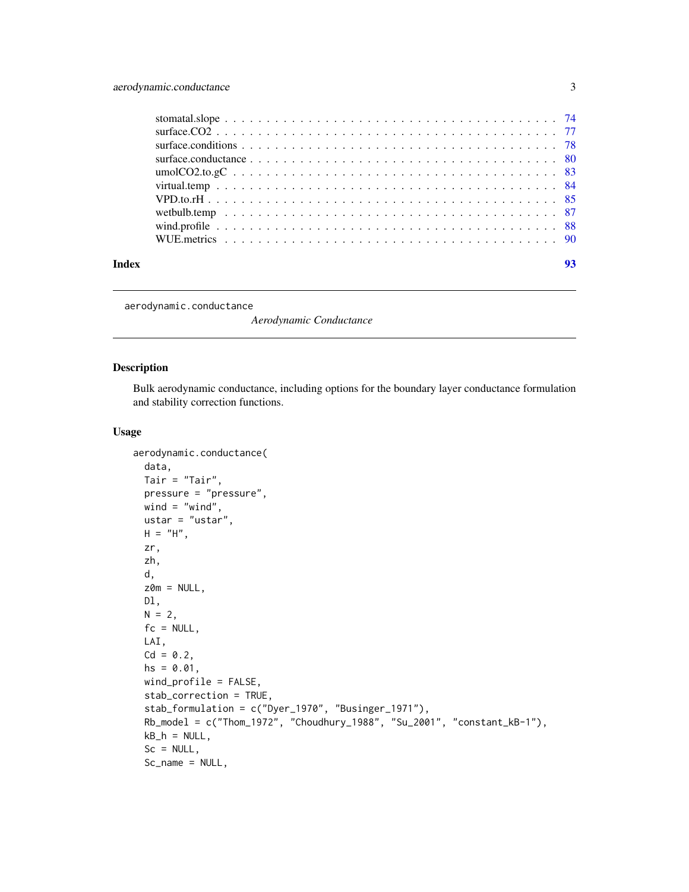<span id="page-2-0"></span>

| Index | 93 |
|-------|----|

<span id="page-2-1"></span>aerodynamic.conductance

*Aerodynamic Conductance*

# Description

Bulk aerodynamic conductance, including options for the boundary layer conductance formulation and stability correction functions.

# Usage

```
aerodynamic.conductance(
 data,
 Tair = "Tair",
 pressure = "pressure",
 wind = "wind",ustar = "ustar",
 H = "H",zr,
  zh,
 d,
 z0m = NULL,Dl,
 N = 2,
 fc = NULL,LAI,
 Cd = 0.2,
 hs = 0.01,
 wind_profile = FALSE,
  stab_correction = TRUE,
  stab_formulation = c("Dyer_1970", "Businger_1971"),
 Rb_model = c("Thom_1972", "Choudhury_1988", "Su_2001", "constant_kB-1"),
 kB_h = NULL,Sc = NULL,Sc_name = NULL,
```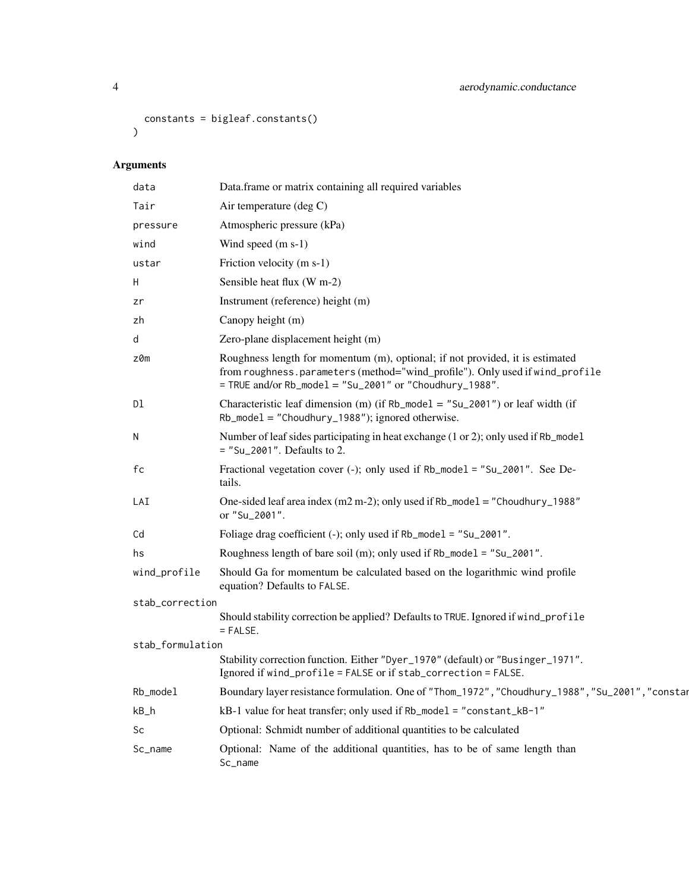```
constants = bigleaf.constants()
\mathcal{L}
```
# Arguments

| data             | Data.frame or matrix containing all required variables                                                                                                                                                                   |  |
|------------------|--------------------------------------------------------------------------------------------------------------------------------------------------------------------------------------------------------------------------|--|
| Tair             | Air temperature (deg C)                                                                                                                                                                                                  |  |
| pressure         | Atmospheric pressure (kPa)                                                                                                                                                                                               |  |
| wind             | Wind speed (m s-1)                                                                                                                                                                                                       |  |
| ustar            | Friction velocity (m s-1)                                                                                                                                                                                                |  |
| H                | Sensible heat flux (W m-2)                                                                                                                                                                                               |  |
| zr               | Instrument (reference) height (m)                                                                                                                                                                                        |  |
| zh               | Canopy height (m)                                                                                                                                                                                                        |  |
| d                | Zero-plane displacement height (m)                                                                                                                                                                                       |  |
| z0m              | Roughness length for momentum (m), optional; if not provided, it is estimated<br>from roughness.parameters (method="wind_profile"). Only used if wind_profile<br>= TRUE and/or Rb_mode1 = "Su_2001" or "Choudhury_1988". |  |
| Dl               | Characteristic leaf dimension (m) (if $Rb$ _model = "Su_2001") or leaf width (if<br>$Rb$ _model = "Choudhury_1988"); ignored otherwise.                                                                                  |  |
| N                | Number of leaf sides participating in heat exchange (1 or 2); only used if Rb_mode1<br>$=$ "Su_2001". Defaults to 2.                                                                                                     |  |
| fc               | Fractional vegetation cover (-); only used if Rb_mode1 = "Su_2001". See De-<br>tails.                                                                                                                                    |  |
| LAI              | One-sided leaf area index (m2 m-2); only used if $Rb$ _model = "Choudhury_1988"<br>or "Su_2001".                                                                                                                         |  |
| Cd               | Foliage drag coefficient (-); only used if Rb_mode1 = "Su_2001".                                                                                                                                                         |  |
| hs               | Roughness length of bare soil (m); only used if Rb_mode1 = "Su_2001".                                                                                                                                                    |  |
| wind_profile     | Should Ga for momentum be calculated based on the logarithmic wind profile<br>equation? Defaults to FALSE.                                                                                                               |  |
| stab_correction  |                                                                                                                                                                                                                          |  |
|                  | Should stability correction be applied? Defaults to TRUE. Ignored if wind_profile<br>$=$ FALSE.                                                                                                                          |  |
| stab_formulation |                                                                                                                                                                                                                          |  |
|                  | Stability correction function. Either "Dyer_1970" (default) or "Businger_1971".<br>Ignored if wind_profile = FALSE or if stab_correction = FALSE.                                                                        |  |
| Rb_model         | Boundary layer resistance formulation. One of "Thom_1972", "Choudhury_1988", "Su_2001", "constar                                                                                                                         |  |
| $kB_h$           | kB-1 value for heat transfer; only used if Rb_model = "constant_kB-1"                                                                                                                                                    |  |
| Sc               | Optional: Schmidt number of additional quantities to be calculated                                                                                                                                                       |  |
| Sc_name          | Optional: Name of the additional quantities, has to be of same length than<br>Sc_name                                                                                                                                    |  |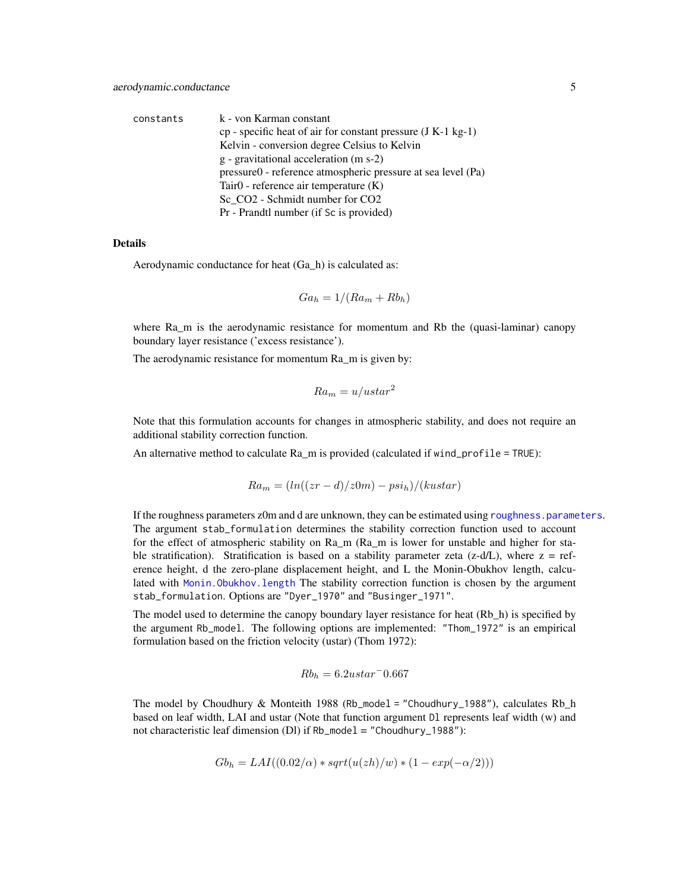| constants | k - von Karman constant                                          |
|-----------|------------------------------------------------------------------|
|           | $cp$ - specific heat of air for constant pressure $(J K-1 kg-1)$ |
|           | Kelvin - conversion degree Celsius to Kelvin                     |
|           | g - gravitational acceleration (m s-2)                           |
|           | pressure0 - reference atmospheric pressure at sea level (Pa)     |
|           | Tair <sub>0</sub> - reference air temperature (K)                |
|           | Sc CO2 - Schmidt number for CO2                                  |
|           | Pr - Prandtl number (if Sc is provided)                          |

#### Details

Aerodynamic conductance for heat (Ga\_h) is calculated as:

$$
Ga_h = 1/(Ra_m + Rb_h)
$$

where Ra\_m is the aerodynamic resistance for momentum and Rb the (quasi-laminar) canopy boundary layer resistance ('excess resistance').

The aerodynamic resistance for momentum Ra\_m is given by:

$$
Ra_m = u/ustar^2
$$

Note that this formulation accounts for changes in atmospheric stability, and does not require an additional stability correction function.

An alternative method to calculate Ra\_m is provided (calculated if wind\_profile = TRUE):

$$
Ra_m = (ln((zr - d)/z0m) - psi_h)/(kustar)
$$

If the roughness parameters z0m and d are unknown, they can be estimated using [roughness.parameters](#page-66-1). The argument stab\_formulation determines the stability correction function used to account for the effect of atmospheric stability on Ra\_m (Ra\_m is lower for unstable and higher for stable stratification). Stratification is based on a stability parameter zeta (z-d/L), where  $z = ref$ erence height, d the zero-plane displacement height, and L the Monin-Obukhov length, calculated with [Monin.Obukhov.length](#page-47-1) The stability correction function is chosen by the argument stab\_formulation. Options are "Dyer\_1970" and "Businger\_1971".

The model used to determine the canopy boundary layer resistance for heat (Rb h) is specified by the argument Rb\_model. The following options are implemented: "Thom\_1972" is an empirical formulation based on the friction velocity (ustar) (Thom 1972):

$$
Rb_h = 6.2ustar^-0.667
$$

The model by Choudhury & Monteith 1988 (Rb\_model = "Choudhury\_1988"), calculates Rb h based on leaf width, LAI and ustar (Note that function argument Dl represents leaf width (w) and not characteristic leaf dimension (Dl) if Rb\_model = "Choudhury\_1988"):

$$
Gbh = LAI((0.02/\alpha) * sqrt(u(zh)/w) * (1 - exp(-\alpha/2)))
$$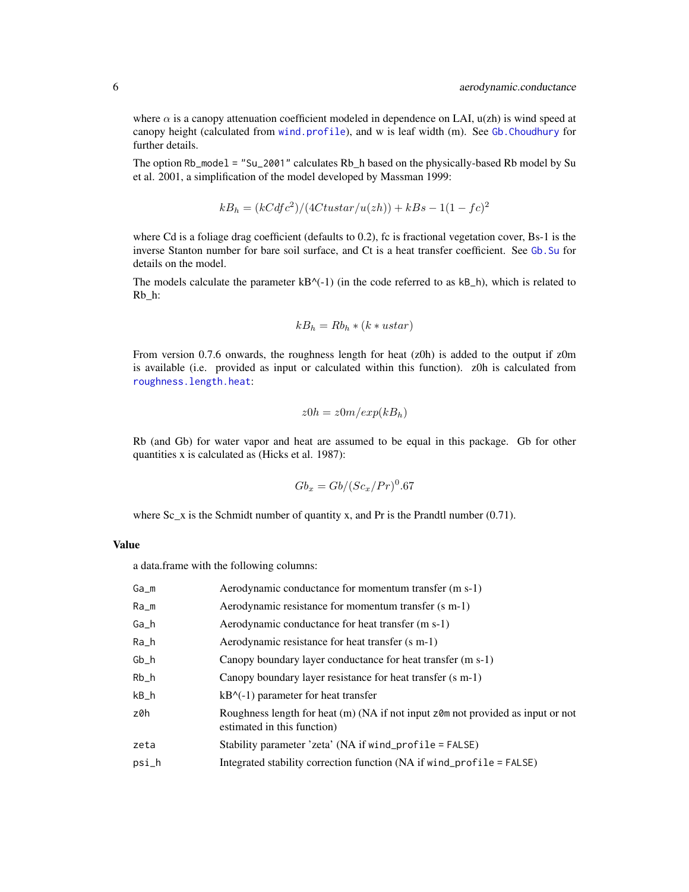where  $\alpha$  is a canopy attenuation coefficient modeled in dependence on LAI,  $u(zh)$  is wind speed at canopy height (calculated from [wind.profile](#page-87-1)), and w is leaf width (m). See [Gb.Choudhury](#page-30-1) for further details.

The option Rb\_model = "Su\_2001" calculates Rb\_h based on the physically-based Rb model by Su et al. 2001, a simplification of the model developed by Massman 1999:

$$
kB_h = (kCdfc^2)/(4Ctustar/u(zh)) + kBs - 1(1 - fc)^2
$$

where Cd is a foliage drag coefficient (defaults to 0.2), fc is fractional vegetation cover, Bs-1 is the inverse Stanton number for bare soil surface, and Ct is a heat transfer coefficient. See [Gb.Su](#page-33-1) for details on the model.

The models calculate the parameter  $kB^{\wedge}(-1)$  (in the code referred to as  $kB_h$ ), which is related to Rb\_h:

$$
kB_h = Rb_h * (k * ustar)
$$

From version 0.7.6 onwards, the roughness length for heat (z0h) is added to the output if z0m is available (i.e. provided as input or calculated within this function). z0h is calculated from [roughness.length.heat](#page-65-1):

$$
z0h = z0m/exp(kB_h)
$$

Rb (and Gb) for water vapor and heat are assumed to be equal in this package. Gb for other quantities x is calculated as (Hicks et al. 1987):

$$
Gb_x = Gb/(Sc_x/Pr)^0.67
$$

where  $Sc_x$  is the Schmidt number of quantity x, and Pr is the Prandtl number (0.71).

# Value

a data.frame with the following columns:

| Ga_m  | Aerodynamic conductance for momentum transfer (m s-1)                                                          |
|-------|----------------------------------------------------------------------------------------------------------------|
| Ra_m  | Aerodynamic resistance for momentum transfer (s m-1)                                                           |
| Ga_h  | Aerodynamic conductance for heat transfer (m s-1)                                                              |
| Ra_h  | Aerodynamic resistance for heat transfer (s m-1)                                                               |
| $Gb_$ | Canopy boundary layer conductance for heat transfer (m s-1)                                                    |
| Rb_h  | Canopy boundary layer resistance for heat transfer (s m-1)                                                     |
| $kB_$ | $kB^{\wedge}(-1)$ parameter for heat transfer                                                                  |
| z0h   | Roughness length for heat (m) (NA if not input z0m not provided as input or not<br>estimated in this function) |
| zeta  | Stability parameter 'zeta' (NA if wind_profile = FALSE)                                                        |
| psi_h | Integrated stability correction function (NA if wind_profile = $FALSE$ )                                       |
|       |                                                                                                                |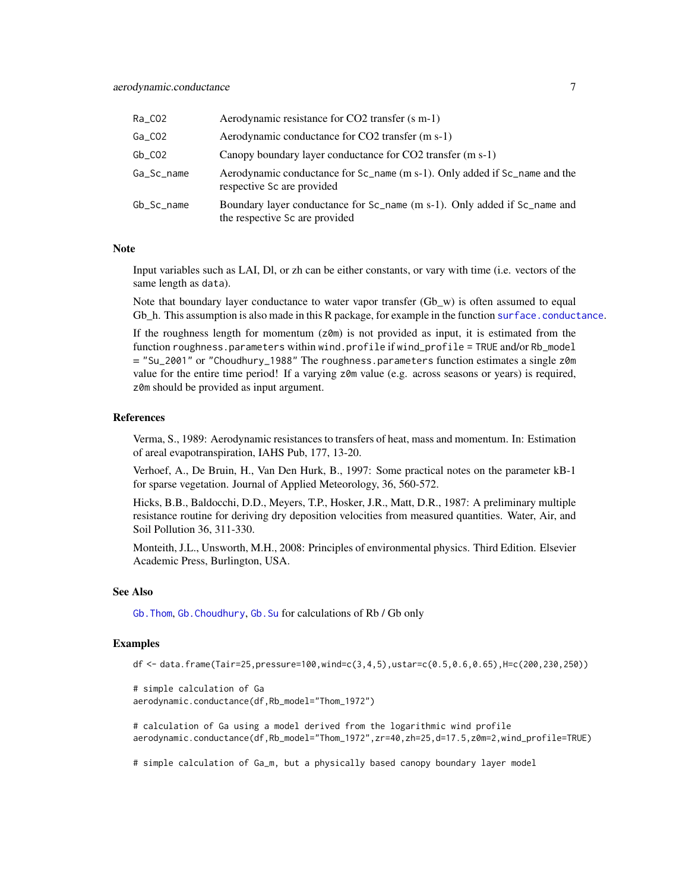| Ra_CO2     | Aerodynamic resistance for CO2 transfer (s m-1)                                                             |
|------------|-------------------------------------------------------------------------------------------------------------|
| $Ga_C$ 02  | Aerodynamic conductance for CO2 transfer (m s-1)                                                            |
| $Gb_C02$   | Canopy boundary layer conductance for CO2 transfer (m s-1)                                                  |
| Ga Sc name | Aerodynamic conductance for Sc_name (m s-1). Only added if Sc_name and the<br>respective Sc are provided    |
| Gb_Sc_name | Boundary layer conductance for Sc_name (m s-1). Only added if Sc_name and<br>the respective Sc are provided |

# **Note**

Input variables such as LAI, Dl, or zh can be either constants, or vary with time (i.e. vectors of the same length as data).

Note that boundary layer conductance to water vapor transfer  $(Gb_w)$  is often assumed to equal Gb\_h. This assumption is also made in this R package, for example in the function [surface.conductance](#page-79-1).

If the roughness length for momentum  $(z<sub>0</sub>m)$  is not provided as input, it is estimated from the function roughness.parameters within wind.profile if wind\_profile = TRUE and/or Rb\_model = "Su\_2001" or "Choudhury\_1988" The roughness.parameters function estimates a single z0m value for the entire time period! If a varying z0m value (e.g. across seasons or years) is required, z0m should be provided as input argument.

#### References

Verma, S., 1989: Aerodynamic resistances to transfers of heat, mass and momentum. In: Estimation of areal evapotranspiration, IAHS Pub, 177, 13-20.

Verhoef, A., De Bruin, H., Van Den Hurk, B., 1997: Some practical notes on the parameter kB-1 for sparse vegetation. Journal of Applied Meteorology, 36, 560-572.

Hicks, B.B., Baldocchi, D.D., Meyers, T.P., Hosker, J.R., Matt, D.R., 1987: A preliminary multiple resistance routine for deriving dry deposition velocities from measured quantities. Water, Air, and Soil Pollution 36, 311-330.

Monteith, J.L., Unsworth, M.H., 2008: Principles of environmental physics. Third Edition. Elsevier Academic Press, Burlington, USA.

# See Also

[Gb.Thom](#page-36-1), [Gb.Choudhury](#page-30-1), [Gb.Su](#page-33-1) for calculations of Rb / Gb only

#### Examples

df <- data.frame(Tair=25,pressure=100,wind=c(3,4,5),ustar=c(0.5,0.6,0.65),H=c(200,230,250))

```
# simple calculation of Ga
aerodynamic.conductance(df,Rb_model="Thom_1972")
```
# calculation of Ga using a model derived from the logarithmic wind profile aerodynamic.conductance(df,Rb\_model="Thom\_1972",zr=40,zh=25,d=17.5,z0m=2,wind\_profile=TRUE)

# simple calculation of Ga\_m, but a physically based canopy boundary layer model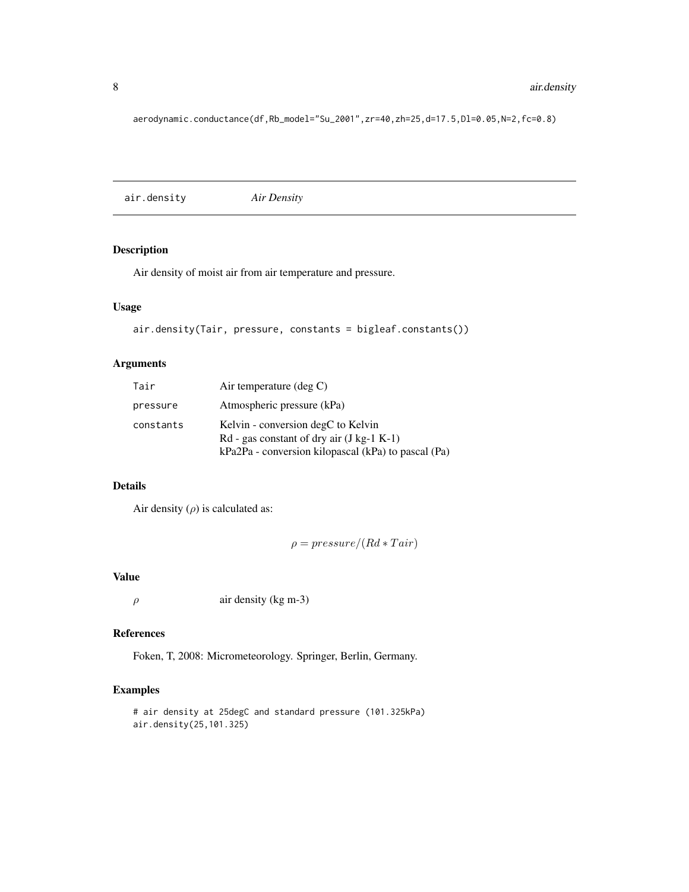aerodynamic.conductance(df,Rb\_model="Su\_2001",zr=40,zh=25,d=17.5,Dl=0.05,N=2,fc=0.8)

air.density *Air Density*

# Description

Air density of moist air from air temperature and pressure.

# Usage

```
air.density(Tair, pressure, constants = bigleaf.constants())
```
# Arguments

| Tair      | Air temperature $(\text{deg } C)$                                                                                                        |
|-----------|------------------------------------------------------------------------------------------------------------------------------------------|
| pressure  | Atmospheric pressure (kPa)                                                                                                               |
| constants | Kelvin - conversion degC to Kelvin<br>$Rd$ - gas constant of dry air (J kg-1 K-1)<br>kPa2Pa - conversion kilopascal (kPa) to pascal (Pa) |

# Details

Air density  $(\rho)$  is calculated as:

 $\rho = pressure/(Rd * Tair)$ 

#### Value

 $\rho$  air density (kg m-3)

# References

Foken, T, 2008: Micrometeorology. Springer, Berlin, Germany.

# Examples

```
# air density at 25degC and standard pressure (101.325kPa)
air.density(25,101.325)
```
<span id="page-7-0"></span>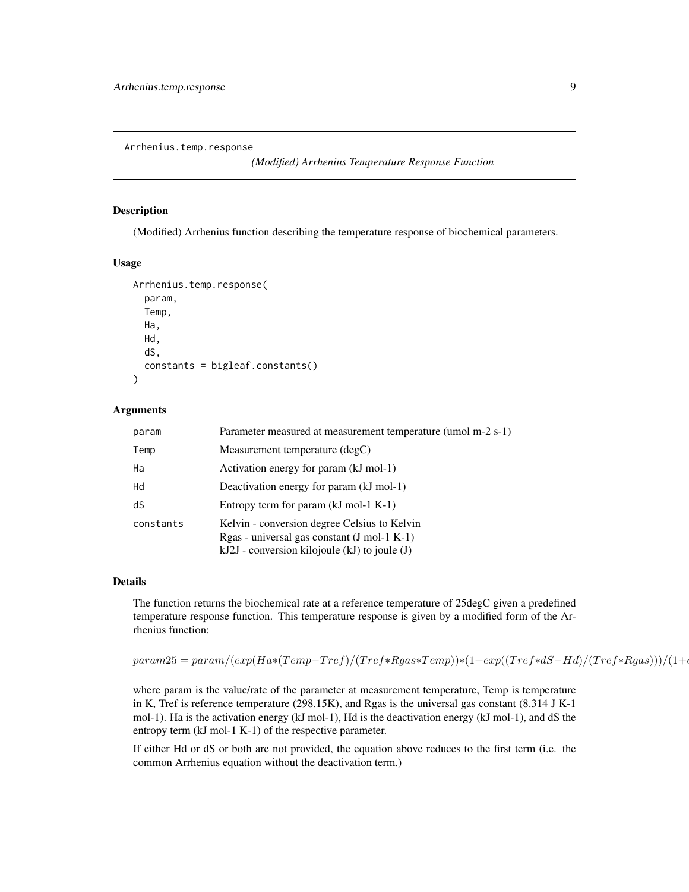<span id="page-8-0"></span>Arrhenius.temp.response

*(Modified) Arrhenius Temperature Response Function*

#### Description

(Modified) Arrhenius function describing the temperature response of biochemical parameters.

# Usage

```
Arrhenius.temp.response(
  param,
  Temp,
  Ha,
  Hd,
  dS,
  constants = bigleaf.constants()
)
```
#### Arguments

| param     | Parameter measured at measurement temperature (umol m-2 s-1)                                                                                       |
|-----------|----------------------------------------------------------------------------------------------------------------------------------------------------|
| Temp      | Measurement temperature (degC)                                                                                                                     |
| Ha        | Activation energy for param (kJ mol-1)                                                                                                             |
| Hd        | Deactivation energy for param (kJ mol-1)                                                                                                           |
| dS        | Entropy term for param $(kJ \text{ mol-1 K-1})$                                                                                                    |
| constants | Kelvin - conversion degree Celsius to Kelvin<br>Rgas - universal gas constant (J mol-1 K-1)<br>$kJ2J$ - conversion kilojoule $(kJ)$ to joule $(J)$ |

# Details

The function returns the biochemical rate at a reference temperature of 25degC given a predefined temperature response function. This temperature response is given by a modified form of the Arrhenius function:

```
param25 = param/(exp(Ha*(Temp-Tref)/(Tref*Rgas*Temp))*(1+exp((Tref*dS-Hd)/(Tref*Rgas))))/(1+e^{-2\pi i}
```
where param is the value/rate of the parameter at measurement temperature, Temp is temperature in K, Tref is reference temperature (298.15K), and Rgas is the universal gas constant (8.314 J K-1 mol-1). Ha is the activation energy (kJ mol-1), Hd is the deactivation energy (kJ mol-1), and dS the entropy term (kJ mol-1 K-1) of the respective parameter.

If either Hd or dS or both are not provided, the equation above reduces to the first term (i.e. the common Arrhenius equation without the deactivation term.)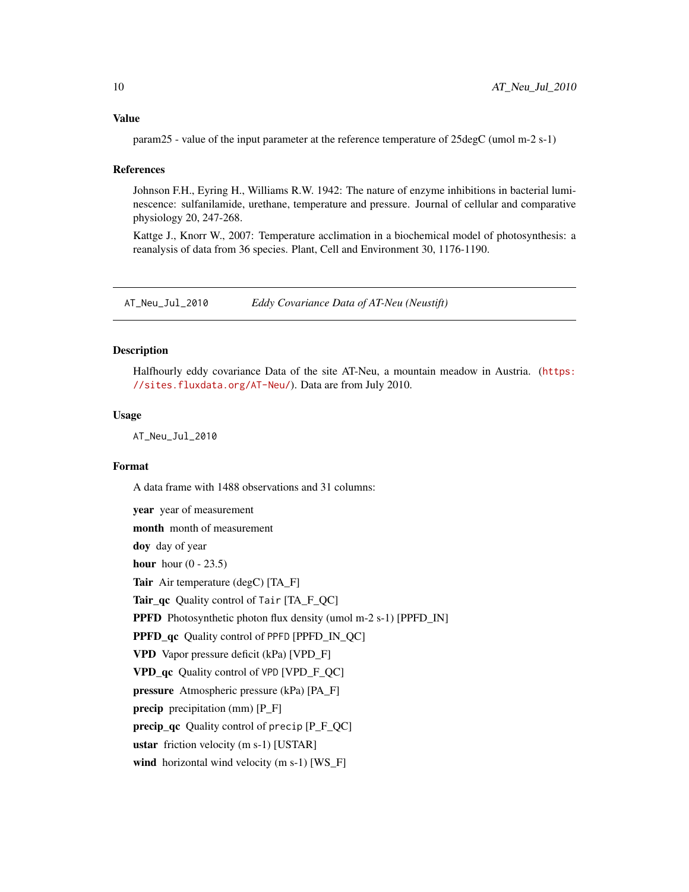<span id="page-9-0"></span>param25 - value of the input parameter at the reference temperature of 25degC (umol m-2 s-1)

#### References

Johnson F.H., Eyring H., Williams R.W. 1942: The nature of enzyme inhibitions in bacterial luminescence: sulfanilamide, urethane, temperature and pressure. Journal of cellular and comparative physiology 20, 247-268.

Kattge J., Knorr W., 2007: Temperature acclimation in a biochemical model of photosynthesis: a reanalysis of data from 36 species. Plant, Cell and Environment 30, 1176-1190.

AT\_Neu\_Jul\_2010 *Eddy Covariance Data of AT-Neu (Neustift)*

#### **Description**

Halfhourly eddy covariance Data of the site AT-Neu, a mountain meadow in Austria. ([https:](https://sites.fluxdata.org/AT-Neu/) [//sites.fluxdata.org/AT-Neu/](https://sites.fluxdata.org/AT-Neu/)). Data are from July 2010.

# Usage

AT\_Neu\_Jul\_2010

#### Format

A data frame with 1488 observations and 31 columns:

year year of measurement month month of measurement doy day of year hour hour  $(0 - 23.5)$ Tair Air temperature (degC) [TA\_F] Tair\_qc Quality control of Tair [TA\_F\_QC] PPFD Photosynthetic photon flux density (umol m-2 s-1) [PPFD\_IN] PPFD\_qc Quality control of PPFD [PPFD\_IN\_QC] VPD Vapor pressure deficit (kPa) [VPD\_F] VPD\_qc Quality control of VPD [VPD\_F\_QC] pressure Atmospheric pressure (kPa) [PA\_F] precip precipitation (mm) [P\_F] precip\_qc Quality control of precip  $[P_F_QC]$ ustar friction velocity (m s-1) [USTAR] wind horizontal wind velocity (m s-1) [WS\_F]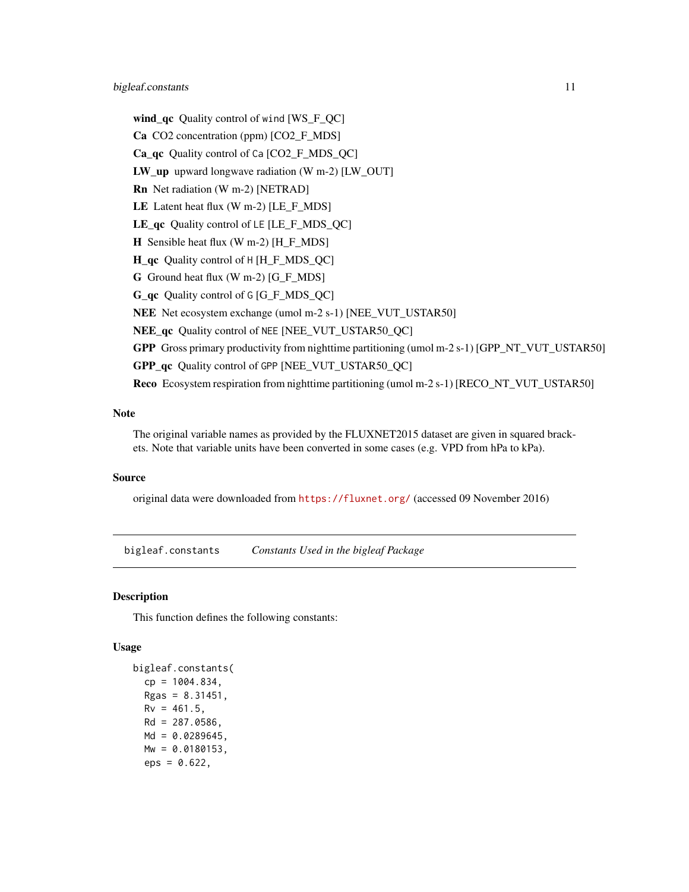<span id="page-10-0"></span>wind\_qc Quality control of wind [WS\_F\_QC] Ca CO2 concentration (ppm) [CO2\_F\_MDS] Ca\_qc Quality control of Ca [CO2\_F\_MDS\_QC] LW\_up upward longwave radiation (W m-2) [LW\_OUT] Rn Net radiation (W m-2) [NETRAD] LE Latent heat flux (W m-2) [LE\_F\_MDS] LE\_qc Quality control of LE [LE\_F\_MDS\_QC] H Sensible heat flux (W m-2) [H\_F\_MDS] H\_qc Quality control of H [H\_F\_MDS\_QC] G Ground heat flux (W m-2) [G\_F\_MDS] G\_qc Quality control of G [G\_F\_MDS\_QC] NEE Net ecosystem exchange (umol m-2 s-1) [NEE\_VUT\_USTAR50] NEE\_qc Quality control of NEE [NEE\_VUT\_USTAR50\_QC] GPP Gross primary productivity from nighttime partitioning (umol m-2 s-1) [GPP\_NT\_VUT\_USTAR50] GPP\_qc Quality control of GPP [NEE\_VUT\_USTAR50\_QC] Reco Ecosystem respiration from nighttime partitioning (umol m-2 s-1) [RECO\_NT\_VUT\_USTAR50]

# Note

The original variable names as provided by the FLUXNET2015 dataset are given in squared brackets. Note that variable units have been converted in some cases (e.g. VPD from hPa to kPa).

# Source

original data were downloaded from <https://fluxnet.org/> (accessed 09 November 2016)

bigleaf.constants *Constants Used in the bigleaf Package*

#### Description

This function defines the following constants:

# Usage

```
bigleaf.constants(
 cp = 1004.834,
 Rgas = 8.31451,
 Rv = 461.5,
 Rd = 287.0586,
 Md = 0.0289645,Mw = 0.0180153,
  eps = 0.622,
```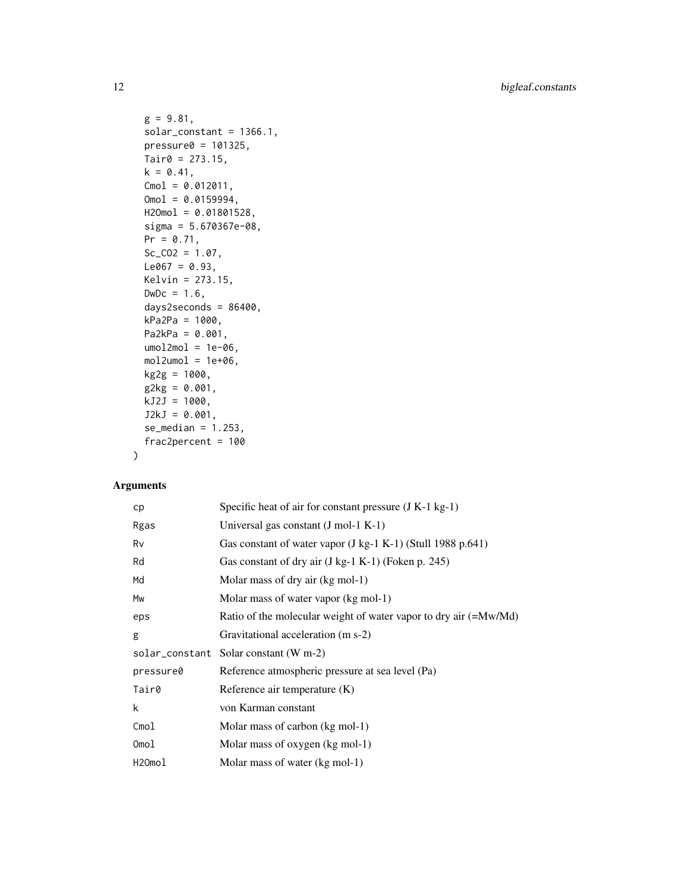```
g = 9.81,
solar_constant = 1366.1,
presure0 = 101325,Tair@ = 273.15,k = 0.41,
Cmol = 0.012011,Omol = 0.0159994,H2Omol = 0.01801528,
sigma = 5.670367e-08,
Pr = 0.71,
Sc_{C02} = 1.07,
Le067 = 0.93,
Kelvin = 273.15,
DwDc = 1.6,
days2seconds = 86400,
kPa2Pa = 1000,Pa2kPa = 0.001,umol2mol = 1e-06,
mol2umol = 1e+06,
kg2g = 1000,
g2kg = 0.001,
kJ2J = 1000,J2kJ = 0.001,se\_median = 1.253,
frac2percent = 100
```
# Arguments

 $\mathcal{L}$ 

| cp        | Specific heat of air for constant pressure $(J K-1 kg-1)$             |
|-----------|-----------------------------------------------------------------------|
| Rgas      | Universal gas constant $(J \text{ mol-1 K-1})$                        |
| Rv        | Gas constant of water vapor $(J \text{ kg-1 K-1})$ (Stull 1988 p.641) |
| Rd        | Gas constant of dry air (J kg-1 K-1) (Foken p. 245)                   |
| Md        | Molar mass of dry air (kg mol-1)                                      |
| Mw        | Molar mass of water vapor (kg mol-1)                                  |
| eps       | Ratio of the molecular weight of water vapor to dry air (=Mw/Md)      |
| g         | Gravitational acceleration (m s-2)                                    |
|           | solar_constant Solar constant (W m-2)                                 |
| pressure0 | Reference atmospheric pressure at sea level (Pa)                      |
| Tair0     | Reference air temperature (K)                                         |
| k         | von Karman constant                                                   |
| Cmol      | Molar mass of carbon (kg mol-1)                                       |
| Omol      | Molar mass of oxygen (kg mol-1)                                       |
| H2Omol    | Molar mass of water (kg mol-1)                                        |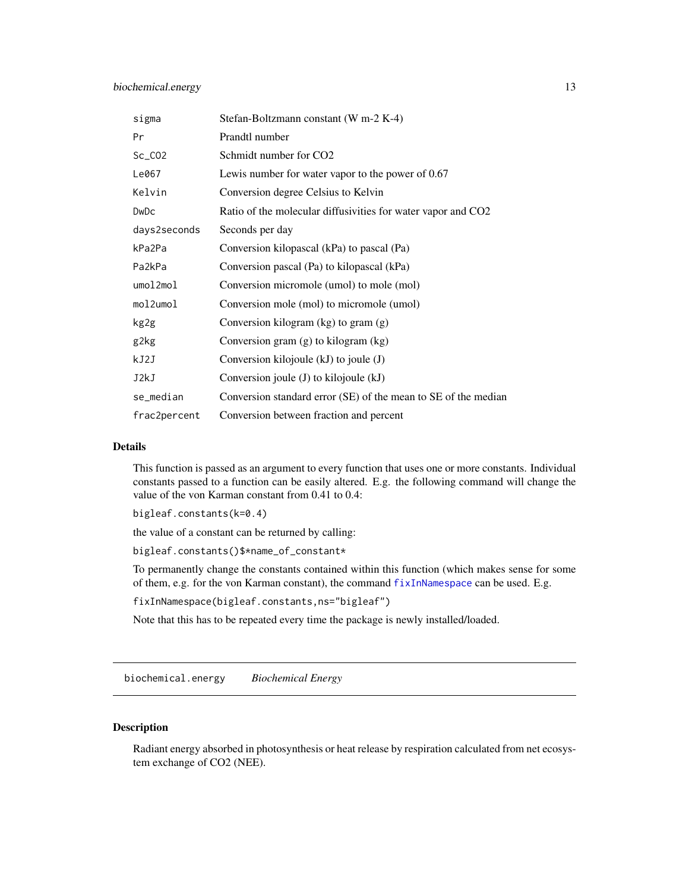<span id="page-12-0"></span>

| sigma        | Stefan-Boltzmann constant (W m-2 K-4)                          |
|--------------|----------------------------------------------------------------|
| Pr           | Prandtl number                                                 |
| $Sc_C$ $CO2$ | Schmidt number for CO <sub>2</sub>                             |
| Le067        | Lewis number for water vapor to the power of $0.67$            |
| Kelvin       | Conversion degree Celsius to Kelvin                            |
| DwDc         | Ratio of the molecular diffusivities for water vapor and CO2   |
| days2seconds | Seconds per day                                                |
| kPa2Pa       | Conversion kilopascal (kPa) to pascal (Pa)                     |
| Pa2kPa       | Conversion pascal (Pa) to kilopascal (kPa)                     |
| umol2mol     | Conversion micromole (umol) to mole (mol)                      |
| mol2umol     | Conversion mole (mol) to micromole (umol)                      |
| kg2g         | Conversion kilogram (kg) to gram (g)                           |
| g2kg         | Conversion gram $(g)$ to kilogram $(kg)$                       |
| kJ2J         | Conversion kilojoule (kJ) to joule (J)                         |
| J2kJ         | Conversion joule (J) to kilojoule (kJ)                         |
| se_median    | Conversion standard error (SE) of the mean to SE of the median |
| frac2percent | Conversion between fraction and percent                        |

# Details

This function is passed as an argument to every function that uses one or more constants. Individual constants passed to a function can be easily altered. E.g. the following command will change the value of the von Karman constant from 0.41 to 0.4:

bigleaf.constants(k=0.4)

the value of a constant can be returned by calling:

bigleaf.constants()\$\*name\_of\_constant\*

To permanently change the constants contained within this function (which makes sense for some of them, e.g. for the von Karman constant), the command [fixInNamespace](#page-0-0) can be used. E.g.

```
fixInNamespace(bigleaf.constants,ns="bigleaf")
```
Note that this has to be repeated every time the package is newly installed/loaded.

biochemical.energy *Biochemical Energy*

## Description

Radiant energy absorbed in photosynthesis or heat release by respiration calculated from net ecosystem exchange of CO2 (NEE).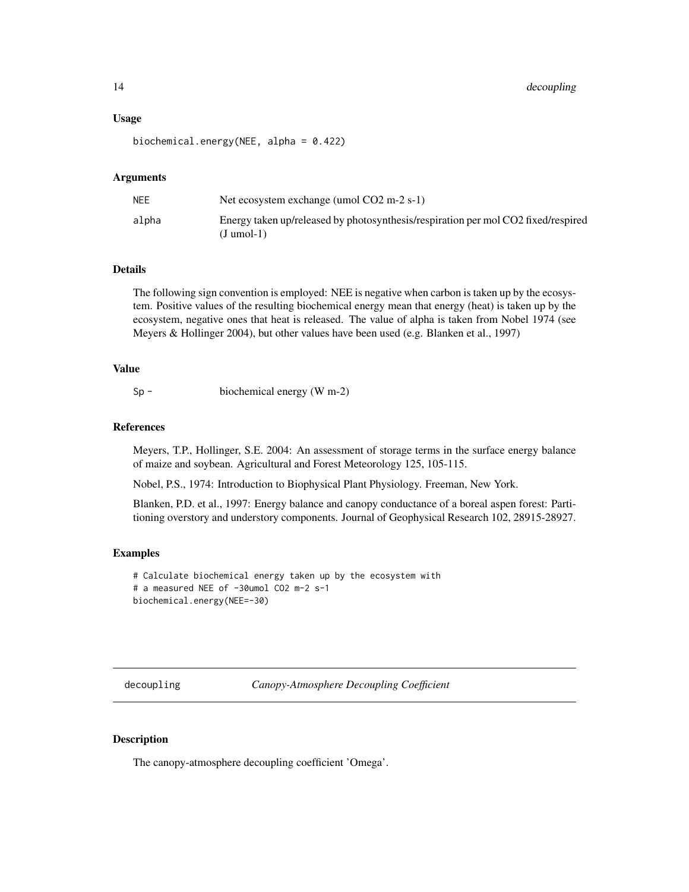#### <span id="page-13-0"></span>Usage

biochemical.energy(NEE, alpha = 0.422)

#### Arguments

| NEE   | Net ecosystem exchange (umol $CO2 \text{ m-}2 \text{ s-}1$ )                                      |
|-------|---------------------------------------------------------------------------------------------------|
| alpha | Energy taken up/released by photosynthesis/respiration per mol CO2 fixed/respired<br>$(J$ umol-1) |

# **Details**

The following sign convention is employed: NEE is negative when carbon is taken up by the ecosystem. Positive values of the resulting biochemical energy mean that energy (heat) is taken up by the ecosystem, negative ones that heat is released. The value of alpha is taken from Nobel 1974 (see Meyers & Hollinger 2004), but other values have been used (e.g. Blanken et al., 1997)

#### Value

Sp - biochemical energy (W m-2)

# References

Meyers, T.P., Hollinger, S.E. 2004: An assessment of storage terms in the surface energy balance of maize and soybean. Agricultural and Forest Meteorology 125, 105-115.

Nobel, P.S., 1974: Introduction to Biophysical Plant Physiology. Freeman, New York.

Blanken, P.D. et al., 1997: Energy balance and canopy conductance of a boreal aspen forest: Partitioning overstory and understory components. Journal of Geophysical Research 102, 28915-28927.

#### Examples

```
# Calculate biochemical energy taken up by the ecosystem with
# a measured NEE of -30umol CO2 m-2 s-1
biochemical.energy(NEE=-30)
```
<span id="page-13-1"></span>decoupling *Canopy-Atmosphere Decoupling Coefficient*

#### Description

The canopy-atmosphere decoupling coefficient 'Omega'.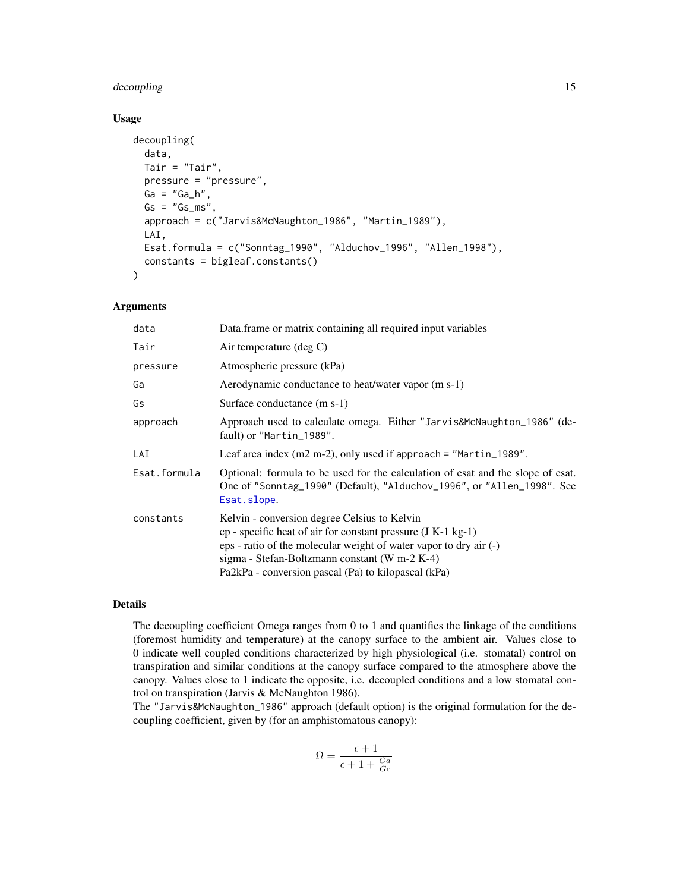# decoupling 15

# Usage

```
decoupling(
 data,
 Tair = "Tair",
 pressure = "pressure",
 Ga = "Ga_h",Gs = "Gs_m s"approach = c("Jarvis&McNaughton_1986", "Martin_1989"),
 LAI,
 Esat.formula = c("Sonntag_1990", "Alduchov_1996", "Allen_1998"),
  constants = bigleaf.constants()
```
# Arguments

)

| data         | Data.frame or matrix containing all required input variables                                                                                                                                                                                                                              |
|--------------|-------------------------------------------------------------------------------------------------------------------------------------------------------------------------------------------------------------------------------------------------------------------------------------------|
| Tair         | Air temperature (deg C)                                                                                                                                                                                                                                                                   |
| pressure     | Atmospheric pressure (kPa)                                                                                                                                                                                                                                                                |
| Ga           | Aerodynamic conductance to heat/water vapor (m s-1)                                                                                                                                                                                                                                       |
| Gs           | Surface conductance (m s-1)                                                                                                                                                                                                                                                               |
| approach     | Approach used to calculate omega. Either "Jarvis&McNaughton_1986" (de-<br>fault) or "Martin_1989".                                                                                                                                                                                        |
| LAI          | Leaf area index $(m2 m-2)$ , only used if approach = "Martin_1989".                                                                                                                                                                                                                       |
| Esat.formula | Optional: formula to be used for the calculation of esat and the slope of esat.<br>One of "Sonntag_1990" (Default), "Alduchov_1996", or "Allen_1998". See<br>Esat.slope.                                                                                                                  |
| constants    | Kelvin - conversion degree Celsius to Kelvin<br>cp - specific heat of air for constant pressure (J K-1 kg-1)<br>eps - ratio of the molecular weight of water vapor to dry air (-)<br>sigma - Stefan-Boltzmann constant (W m-2 K-4)<br>Pa2kPa - conversion pascal (Pa) to kilopascal (kPa) |

# Details

The decoupling coefficient Omega ranges from 0 to 1 and quantifies the linkage of the conditions (foremost humidity and temperature) at the canopy surface to the ambient air. Values close to 0 indicate well coupled conditions characterized by high physiological (i.e. stomatal) control on transpiration and similar conditions at the canopy surface compared to the atmosphere above the canopy. Values close to 1 indicate the opposite, i.e. decoupled conditions and a low stomatal control on transpiration (Jarvis & McNaughton 1986).

The "Jarvis&McNaughton\_1986" approach (default option) is the original formulation for the decoupling coefficient, given by (for an amphistomatous canopy):

$$
\Omega = \frac{\epsilon + 1}{\epsilon + 1 + \frac{Ga}{Gc}}
$$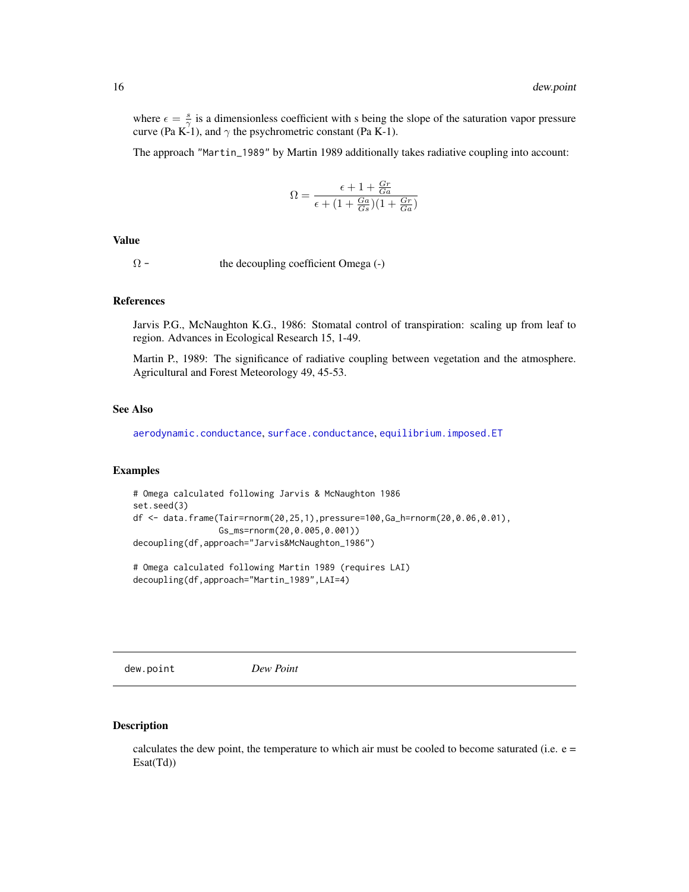<span id="page-15-0"></span>where  $\epsilon = \frac{s}{\gamma}$  is a dimensionless coefficient with s being the slope of the saturation vapor pressure curve (Pa K-1), and  $\gamma$  the psychrometric constant (Pa K-1).

The approach "Martin\_1989" by Martin 1989 additionally takes radiative coupling into account:

$$
\Omega = \frac{\epsilon + 1 + \frac{Gr}{Ga}}{\epsilon + (1 + \frac{Ga}{Gs})(1 + \frac{Gr}{Ga})}
$$

#### Value

 $\Omega$  - the decoupling coefficient Omega (-)

#### References

Jarvis P.G., McNaughton K.G., 1986: Stomatal control of transpiration: scaling up from leaf to region. Advances in Ecological Research 15, 1-49.

Martin P., 1989: The significance of radiative coupling between vegetation and the atmosphere. Agricultural and Forest Meteorology 49, 45-53.

# See Also

[aerodynamic.conductance](#page-2-1), [surface.conductance](#page-79-1), [equilibrium.imposed.ET](#page-21-1)

# Examples

```
# Omega calculated following Jarvis & McNaughton 1986
set.seed(3)
df <- data.frame(Tair=rnorm(20,25,1),pressure=100,Ga_h=rnorm(20,0.06,0.01),
                 Gs_ms=rnorm(20,0.005,0.001))
decoupling(df,approach="Jarvis&McNaughton_1986")
```
# Omega calculated following Martin 1989 (requires LAI) decoupling(df,approach="Martin\_1989",LAI=4)

dew.point *Dew Point*

#### Description

calculates the dew point, the temperature to which air must be cooled to become saturated (i.e.  $e =$ Esat(Td))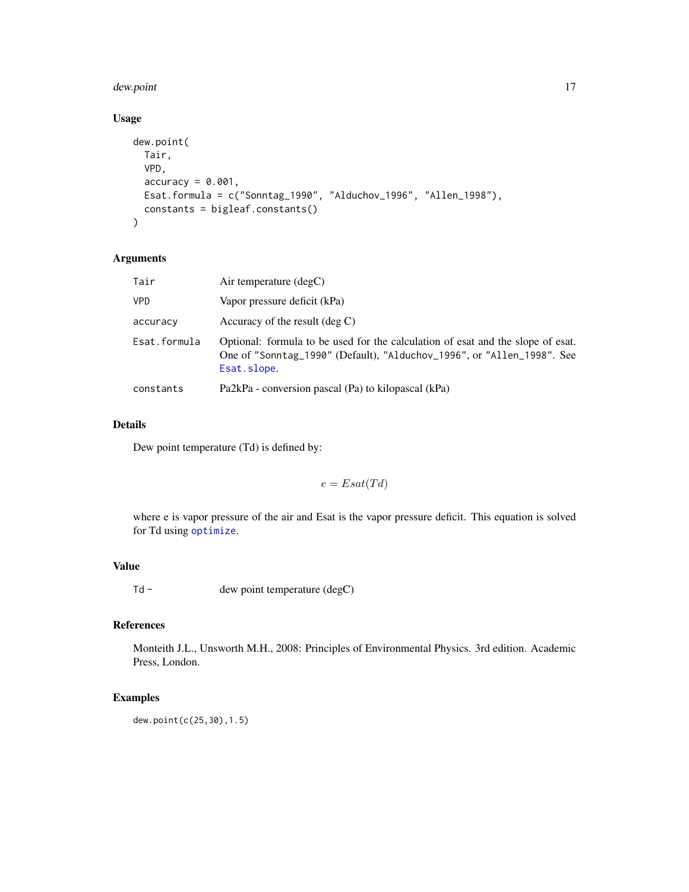#### dew.point 17

# Usage

```
dew.point(
 Tair,
 VPD,
 accuracy = 0.001,Esat.formula = c("Sonntag_1990", "Alduchov_1996", "Allen_1998"),
 constants = bigleaf.constants()
)
```
# Arguments

| Tair         | Air temperature $(\text{deg} C)$                                                                                                                                         |
|--------------|--------------------------------------------------------------------------------------------------------------------------------------------------------------------------|
| <b>VPD</b>   | Vapor pressure deficit (kPa)                                                                                                                                             |
| accuracy     | Accuracy of the result $(\text{deg } C)$                                                                                                                                 |
| Esat.formula | Optional: formula to be used for the calculation of esat and the slope of esat.<br>One of "Sonntag_1990" (Default), "Alduchov_1996", or "Allen_1998". See<br>Esat.slope. |
| constants    | Pa2kPa - conversion pascal (Pa) to kilopascal (kPa)                                                                                                                      |

# Details

Dew point temperature (Td) is defined by:

 $e = Esat(Td)$ 

where e is vapor pressure of the air and Esat is the vapor pressure deficit. This equation is solved for Td using [optimize](#page-0-0).

# Value

Td - dew point temperature (degC)

# References

Monteith J.L., Unsworth M.H., 2008: Principles of Environmental Physics. 3rd edition. Academic Press, London.

# Examples

dew.point(c(25,30),1.5)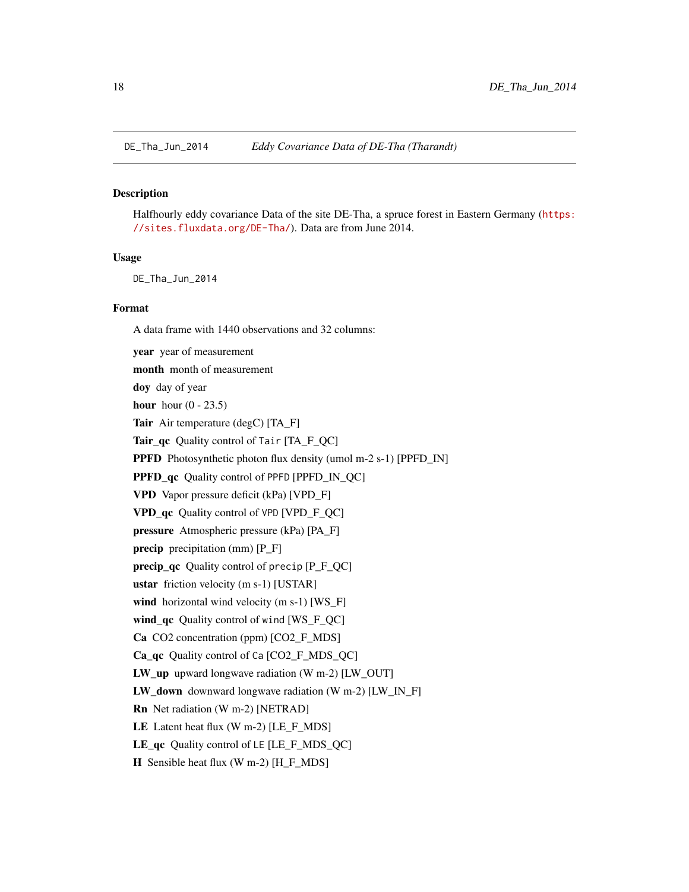<span id="page-17-0"></span>

#### **Description**

Halfhourly eddy covariance Data of the site DE-Tha, a spruce forest in Eastern Germany ([https:](https://sites.fluxdata.org/DE-Tha/) [//sites.fluxdata.org/DE-Tha/](https://sites.fluxdata.org/DE-Tha/)). Data are from June 2014.

#### Usage

DE\_Tha\_Jun\_2014

#### Format

A data frame with 1440 observations and 32 columns:

year year of measurement month month of measurement doy day of year hour hour  $(0 - 23.5)$ Tair Air temperature (degC) [TA\_F] Tair\_qc Quality control of Tair [TA\_F\_QC] PPFD Photosynthetic photon flux density (umol m-2 s-1) [PPFD\_IN] PPFD\_qc Quality control of PPFD [PPFD\_IN\_QC] VPD Vapor pressure deficit (kPa) [VPD\_F] VPD\_qc Quality control of VPD [VPD\_F\_QC] pressure Atmospheric pressure (kPa) [PA\_F] precip precipitation (mm) [P\_F] precip\_qc Quality control of precip [P\_F\_QC] ustar friction velocity (m s-1) [USTAR] wind horizontal wind velocity (m s-1) [WS\_F] wind\_qc Quality control of wind [WS\_F\_QC] Ca CO2 concentration (ppm) [CO2\_F\_MDS] Ca\_qc Quality control of Ca [CO2\_F\_MDS\_QC] LW\_up upward longwave radiation (W m-2) [LW\_OUT] LW\_down downward longwave radiation (W m-2) [LW\_IN\_F] Rn Net radiation (W m-2) [NETRAD]

LE Latent heat flux  $(W m-2)$  [LE F MDS]

LE\_qc Quality control of LE [LE\_F\_MDS\_QC]

H Sensible heat flux (W m-2) [H\_F\_MDS]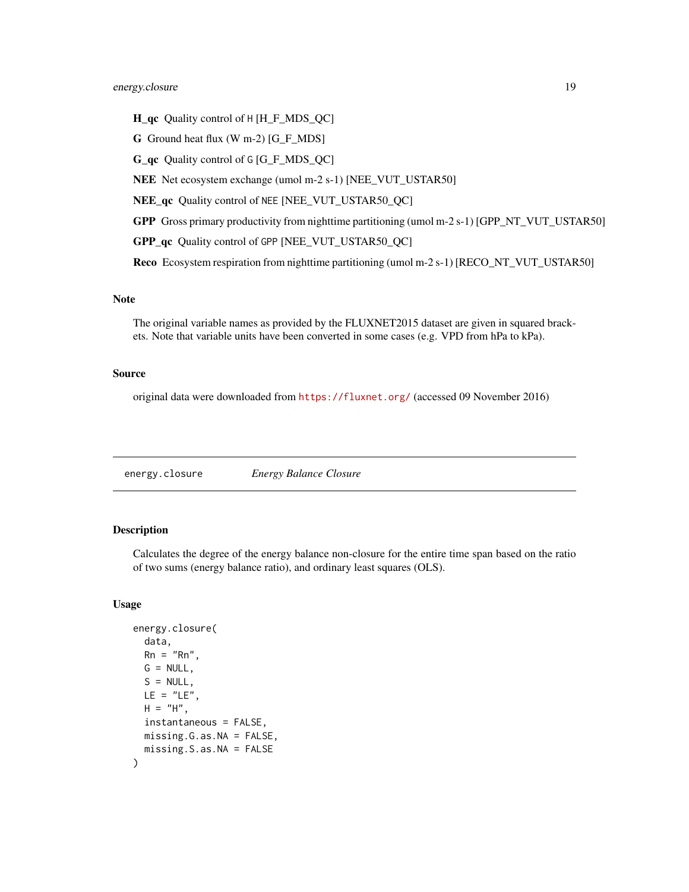# <span id="page-18-0"></span>energy.closure 19

- H\_qc Quality control of H [H\_F\_MDS\_QC]
- G Ground heat flux (W m-2) [G\_F\_MDS]
- G\_qc Quality control of G [G\_F\_MDS\_QC]
- NEE Net ecosystem exchange (umol m-2 s-1) [NEE\_VUT\_USTAR50]
- NEE\_qc Quality control of NEE [NEE\_VUT\_USTAR50\_QC]
- GPP Gross primary productivity from nighttime partitioning (umol m-2 s-1) [GPP\_NT\_VUT\_USTAR50]
- GPP\_qc Quality control of GPP [NEE\_VUT\_USTAR50\_QC]

Reco Ecosystem respiration from nighttime partitioning (umol m-2 s-1) [RECO\_NT\_VUT\_USTAR50]

# Note

The original variable names as provided by the FLUXNET2015 dataset are given in squared brackets. Note that variable units have been converted in some cases (e.g. VPD from hPa to kPa).

#### Source

original data were downloaded from <https://fluxnet.org/> (accessed 09 November 2016)

energy.closure *Energy Balance Closure*

# Description

Calculates the degree of the energy balance non-closure for the entire time span based on the ratio of two sums (energy balance ratio), and ordinary least squares (OLS).

#### Usage

```
energy.closure(
  data,
 Rn = "Rn",G = NULL,S = NULL,LE = "LE",H = "H",instantaneous = FALSE,
 missing.G.as.NA = FALSE,
 missing.S.as.NA = FALSE
)
```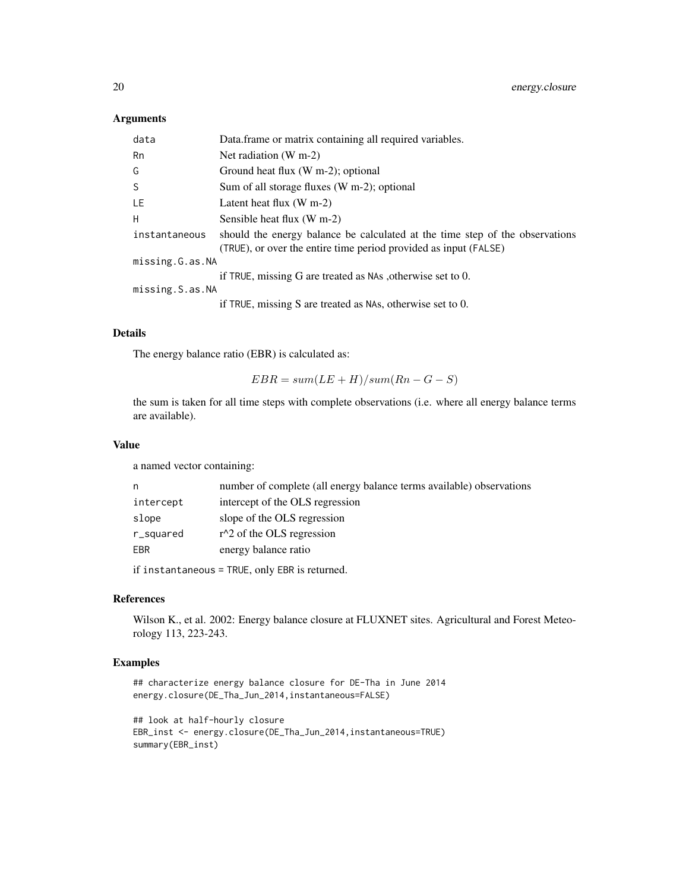# Arguments

| data            | Data.frame or matrix containing all required variables.                                                                                          |  |
|-----------------|--------------------------------------------------------------------------------------------------------------------------------------------------|--|
| Rn              | Net radiation $(W m-2)$                                                                                                                          |  |
| G               | Ground heat flux $(W m-2)$ ; optional                                                                                                            |  |
| S.              | Sum of all storage fluxes (W m-2); optional                                                                                                      |  |
| LE              | Latent heat flux $(W m-2)$                                                                                                                       |  |
| H               | Sensible heat flux (W m-2)                                                                                                                       |  |
| instantaneous   | should the energy balance be calculated at the time step of the observations<br>(TRUE), or over the entire time period provided as input (FALSE) |  |
| missing.G.as.NA |                                                                                                                                                  |  |
|                 | if TRUE, missing G are treated as NAs, otherwise set to 0.                                                                                       |  |
| missing.S.as.NA |                                                                                                                                                  |  |
|                 | if TRUE, missing S are treated as NAs, otherwise set to $0$ .                                                                                    |  |

#### Details

The energy balance ratio (EBR) is calculated as:

```
EBR = sum(LE + H)/sum(Rn - G - S)
```
the sum is taken for all time steps with complete observations (i.e. where all energy balance terms are available).

# Value

a named vector containing:

| n         | number of complete (all energy balance terms available) observations |
|-----------|----------------------------------------------------------------------|
| intercept | intercept of the OLS regression                                      |
| slope     | slope of the OLS regression                                          |
| r_squared | $r^2$ of the OLS regression                                          |
| EBR       | energy balance ratio                                                 |
|           |                                                                      |

if instantaneous = TRUE, only EBR is returned.

# References

Wilson K., et al. 2002: Energy balance closure at FLUXNET sites. Agricultural and Forest Meteorology 113, 223-243.

# Examples

```
## characterize energy balance closure for DE-Tha in June 2014
energy.closure(DE_Tha_Jun_2014,instantaneous=FALSE)
```

```
## look at half-hourly closure
EBR_inst <- energy.closure(DE_Tha_Jun_2014,instantaneous=TRUE)
summary(EBR_inst)
```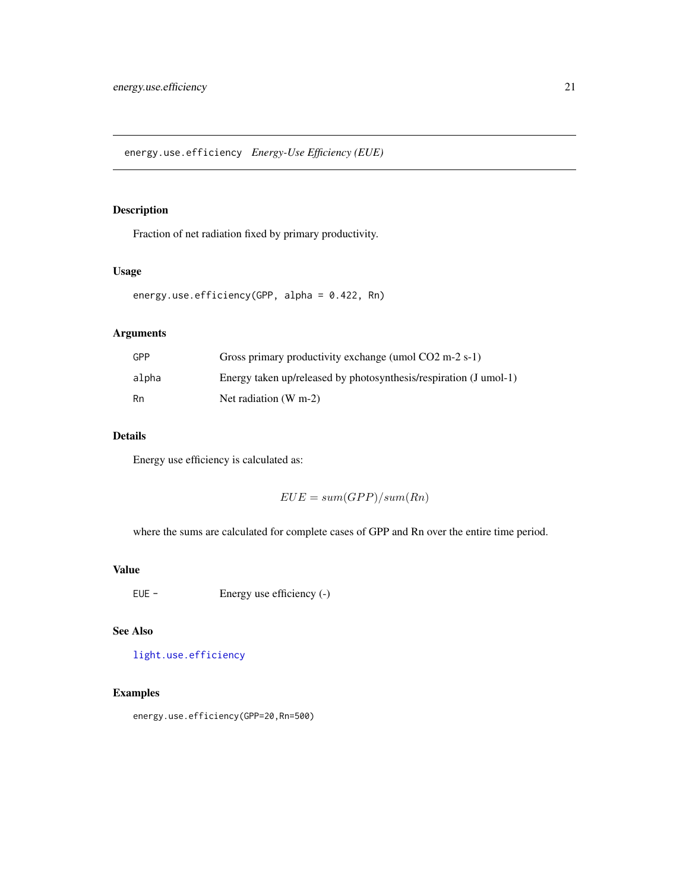<span id="page-20-0"></span>energy.use.efficiency *Energy-Use Efficiency (EUE)*

# Description

Fraction of net radiation fixed by primary productivity.

# Usage

```
energy.use.efficiency(GPP, alpha = 0.422, Rn)
```
# Arguments

| GPP   | Gross primary productivity exchange (umol $CO2 \text{ m-}2 \text{ s-}1$ ) |
|-------|---------------------------------------------------------------------------|
| alpha | Energy taken up/released by photosynthesis/respiration (J umol-1)         |
| Rn    | Net radiation $(W m-2)$                                                   |

# Details

Energy use efficiency is calculated as:

 $EUE = sum(GPP)/sum(Rn)$ 

where the sums are calculated for complete cases of GPP and Rn over the entire time period.

# Value

EUE - Energy use efficiency (-)

# See Also

[light.use.efficiency](#page-45-1)

# Examples

energy.use.efficiency(GPP=20,Rn=500)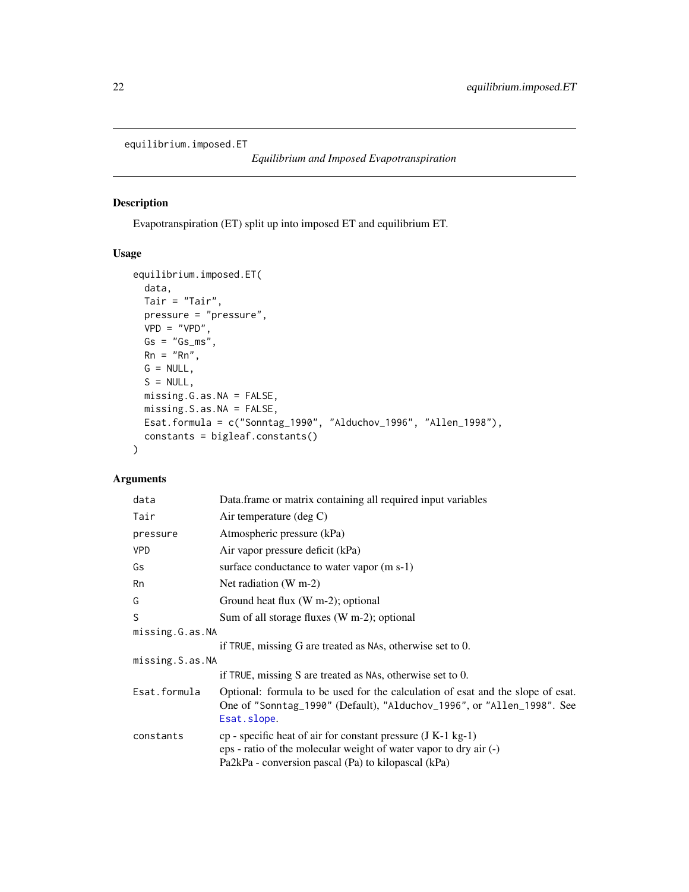```
equilibrium.imposed.ET
```
# Description

Evapotranspiration (ET) split up into imposed ET and equilibrium ET.

# Usage

```
equilibrium.imposed.ET(
  data,
  Tair = "Tair",
  pressure = "pressure",
  VPD = "VPD",Gs = "Gs_m s",Rn = "Rn",G = NULL,S = NULL,missing.G.as.NA = FALSE,
  missing.S.as.NA = FALSE,
  Esat.formula = c("Sonntag_1990", "Alduchov_1996", "Allen_1998"),
  constants = bigleaf.constants()
\mathcal{L}
```
# Arguments

| data            | Data frame or matrix containing all required input variables                                                                                                                                 |  |
|-----------------|----------------------------------------------------------------------------------------------------------------------------------------------------------------------------------------------|--|
| Tair            | Air temperature (deg $C$ )                                                                                                                                                                   |  |
| pressure        | Atmospheric pressure (kPa)                                                                                                                                                                   |  |
| <b>VPD</b>      | Air vapor pressure deficit (kPa)                                                                                                                                                             |  |
| Gs              | surface conductance to water vapor (m s-1)                                                                                                                                                   |  |
| Rn              | Net radiation $(W m-2)$                                                                                                                                                                      |  |
| G               | Ground heat flux (W m-2); optional                                                                                                                                                           |  |
| S               | Sum of all storage fluxes (W m-2); optional                                                                                                                                                  |  |
| missing.G.as.NA |                                                                                                                                                                                              |  |
|                 | if TRUE, missing G are treated as NAs, otherwise set to $0$ .                                                                                                                                |  |
| missing.S.as.NA |                                                                                                                                                                                              |  |
|                 | if TRUE, missing S are treated as NAs, otherwise set to 0.                                                                                                                                   |  |
| Esat.formula    | Optional: formula to be used for the calculation of esat and the slope of esat.<br>One of "Sonntag_1990" (Default), "Alduchov_1996", or "Allen_1998". See<br>Esat.slope.                     |  |
| constants       | $cp$ - specific heat of air for constant pressure $(J K-1 kg-1)$<br>eps - ratio of the molecular weight of water vapor to dry air (-)<br>Pa2kPa - conversion pascal (Pa) to kilopascal (kPa) |  |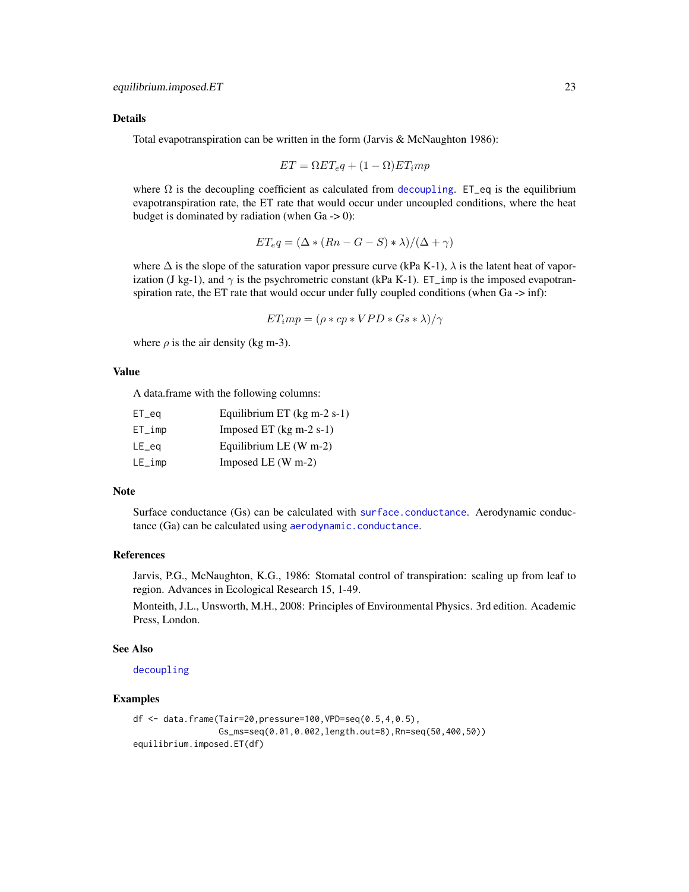# Details

Total evapotranspiration can be written in the form (Jarvis & McNaughton 1986):

$$
ET = \Omega ET_e q + (1 - \Omega) ET_i mp
$$

where  $\Omega$  is the [decoupling](#page-13-1) coefficient as calculated from decoupling. ET\_eq is the equilibrium evapotranspiration rate, the ET rate that would occur under uncoupled conditions, where the heat budget is dominated by radiation (when  $Ga \rightarrow 0$ ):

$$
ET_{e}q = (\Delta \ast (Rn - G - S) \ast \lambda)/(\Delta + \gamma)
$$

where  $\Delta$  is the slope of the saturation vapor pressure curve (kPa K-1),  $\lambda$  is the latent heat of vaporization (J kg-1), and  $\gamma$  is the psychrometric constant (kPa K-1). ET\_imp is the imposed evapotranspiration rate, the ET rate that would occur under fully coupled conditions (when Ga -> inf):

$$
ET_imp = (\rho * cp * VPD * Gs * \lambda)/\gamma
$$

where  $\rho$  is the air density (kg m-3).

# Value

A data.frame with the following columns:

| $ET\_eq$  | Equilibrium ET $(kg m-2 s-1)$ |
|-----------|-------------------------------|
| $ET\_imp$ | Imposed ET $(kg m-2 s-1)$     |
| LE_eg     | Equilibrium LE $(W m-2)$      |
| $LE\_imp$ | Imposed LE $(W m-2)$          |

#### Note

Surface conductance (Gs) can be calculated with [surface.conductance](#page-79-1). Aerodynamic conductance (Ga) can be calculated using [aerodynamic.conductance](#page-2-1).

# References

Jarvis, P.G., McNaughton, K.G., 1986: Stomatal control of transpiration: scaling up from leaf to region. Advances in Ecological Research 15, 1-49.

Monteith, J.L., Unsworth, M.H., 2008: Principles of Environmental Physics. 3rd edition. Academic Press, London.

#### See Also

[decoupling](#page-13-1)

# Examples

```
df <- data.frame(Tair=20,pressure=100,VPD=seq(0.5,4,0.5),
                 Gs_ms=seq(0.01,0.002,length.out=8),Rn=seq(50,400,50))
equilibrium.imposed.ET(df)
```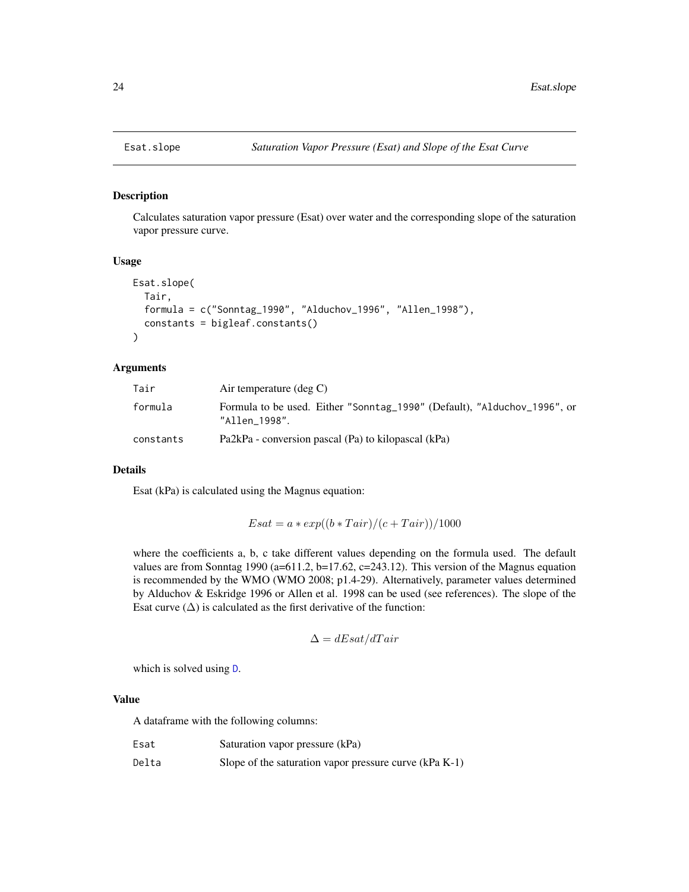<span id="page-23-1"></span><span id="page-23-0"></span>

# Description

Calculates saturation vapor pressure (Esat) over water and the corresponding slope of the saturation vapor pressure curve.

# Usage

```
Esat.slope(
  Tair,
  formula = c("Sonntag_1990", "Alduchov_1996", "Allen_1998"),
  constants = bigleaf.constants()
\mathcal{L}
```
# Arguments

| Tair      | Air temperature $(\text{deg } C)$                                                         |
|-----------|-------------------------------------------------------------------------------------------|
| formula   | Formula to be used. Either "Sonntag_1990" (Default), "Alduchov_1996", or<br>"Allen 1998". |
| constants | Pa2kPa - conversion pascal (Pa) to kilopascal (kPa)                                       |

#### Details

Esat (kPa) is calculated using the Magnus equation:

$$
Esat = a * exp((b * Tair)/(c + Tair))/1000
$$

where the coefficients a, b, c take different values depending on the formula used. The default values are from Sonntag 1990 (a=611.2, b=17.62, c=243.12). This version of the Magnus equation is recommended by the WMO (WMO 2008; p1.4-29). Alternatively, parameter values determined by Alduchov & Eskridge 1996 or Allen et al. 1998 can be used (see references). The slope of the Esat curve  $(\Delta)$  is calculated as the first derivative of the function:

$$
\Delta = dEsat/dTair
$$

which is solved using [D](#page-0-0).

# Value

A dataframe with the following columns:

| Esat  | Saturation vapor pressure (kPa)                          |
|-------|----------------------------------------------------------|
| Delta | Slope of the saturation vapor pressure curve $(kPa K-1)$ |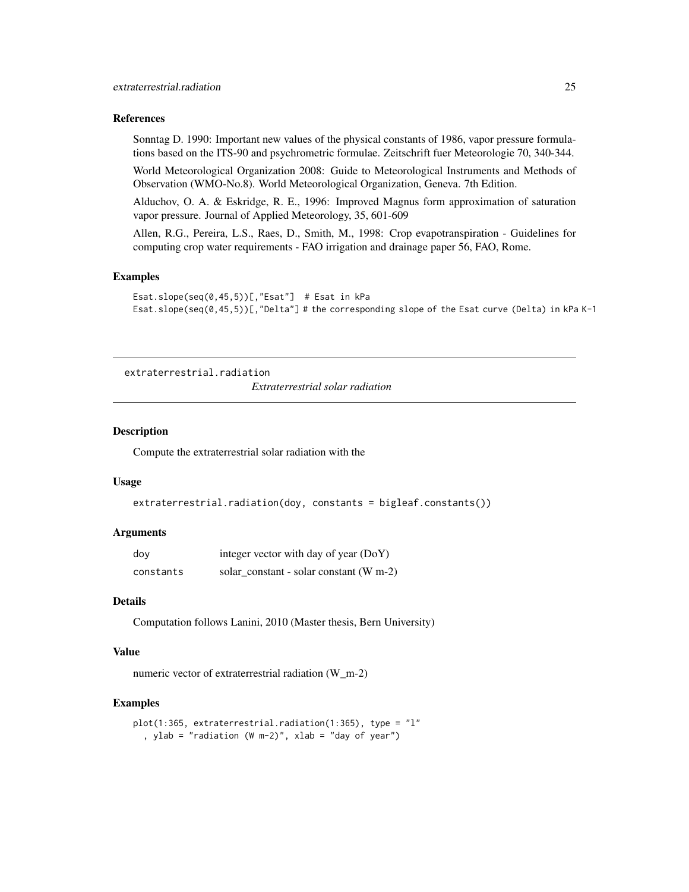#### <span id="page-24-0"></span>References

Sonntag D. 1990: Important new values of the physical constants of 1986, vapor pressure formulations based on the ITS-90 and psychrometric formulae. Zeitschrift fuer Meteorologie 70, 340-344.

World Meteorological Organization 2008: Guide to Meteorological Instruments and Methods of Observation (WMO-No.8). World Meteorological Organization, Geneva. 7th Edition.

Alduchov, O. A. & Eskridge, R. E., 1996: Improved Magnus form approximation of saturation vapor pressure. Journal of Applied Meteorology, 35, 601-609

Allen, R.G., Pereira, L.S., Raes, D., Smith, M., 1998: Crop evapotranspiration - Guidelines for computing crop water requirements - FAO irrigation and drainage paper 56, FAO, Rome.

# Examples

```
Esat.slope(seq(0,45,5))[,"Esat"] # Esat in kPa
Esat.slope(seq(0,45,5))[,"Delta"] # the corresponding slope of the Esat curve (Delta) in kPa K-1
```

```
extraterrestrial.radiation
                          Extraterrestrial solar radiation
```
#### Description

Compute the extraterrestrial solar radiation with the

# Usage

```
extraterrestrial.radiation(doy, constants = bigleaf.constants())
```
# Arguments

| dov       | integer vector with day of year (DoY)     |
|-----------|-------------------------------------------|
| constants | solar constant - solar constant $(W m-2)$ |

# Details

Computation follows Lanini, 2010 (Master thesis, Bern University)

# Value

numeric vector of extraterrestrial radiation (W\_m-2)

#### Examples

```
plot(1:365, extraterrestrial.radiation(1:365), type = "l"
  , ylab = "radiation (W m-2)", xlab = "day of year")
```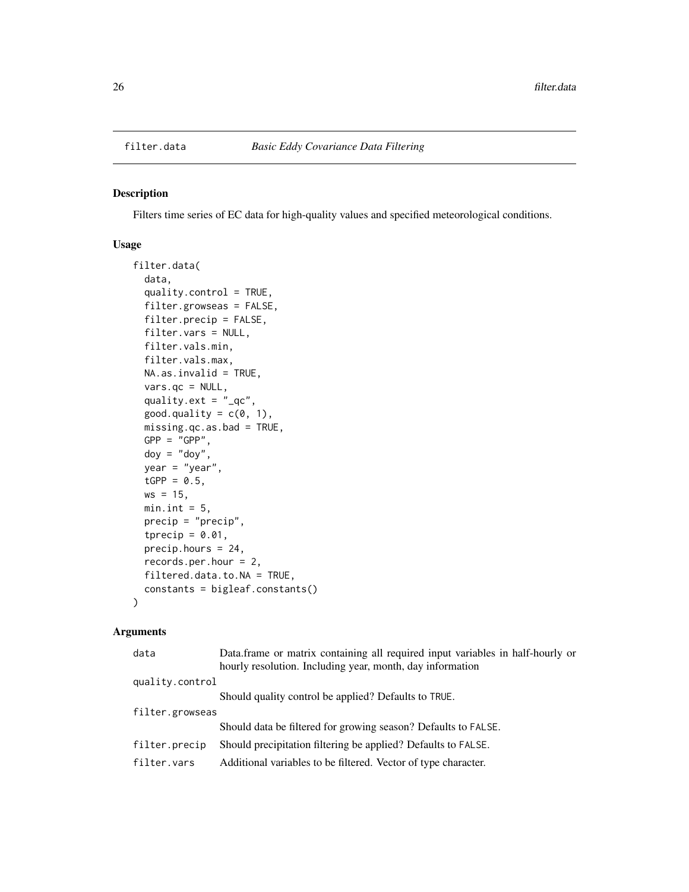<span id="page-25-0"></span>

# Description

Filters time series of EC data for high-quality values and specified meteorological conditions.

# Usage

```
filter.data(
  data,
  quality.control = TRUE,
  filter.growseas = FALSE,
  filter.precip = FALSE,
  filter.vars = NULL,
  filter.vals.min,
  filter.vals.max,
 NA.as.invalid = TRUE,
  vars.qc = NULL,quality.ext = "_{q}c",good.quality = c(0, 1),
 missing.qc.as.bad = TRUE,
 GPP = "GPP",\text{doy} = \text{"doy"},
 year = "year",
  tGPP = 0.5,
 ws = 15,min.int = 5,
 precip = "precip",
  tprecip = 0.01,
 precip.hours = 24,
  records.per.hour = 2,
 filtered.data.to.NA = TRUE,
  constants = bigleaf.constants()
)
```
# Arguments

| data            | Data.frame or matrix containing all required input variables in half-hourly or |
|-----------------|--------------------------------------------------------------------------------|
|                 | hourly resolution. Including year, month, day information                      |
| quality.control |                                                                                |
|                 | Should quality control be applied? Defaults to TRUE.                           |
| filter.growseas |                                                                                |
|                 | Should data be filtered for growing season? Defaults to FALSE.                 |
| filter.precip   | Should precipitation filtering be applied? Defaults to FALSE.                  |
| filter.vars     | Additional variables to be filtered. Vector of type character.                 |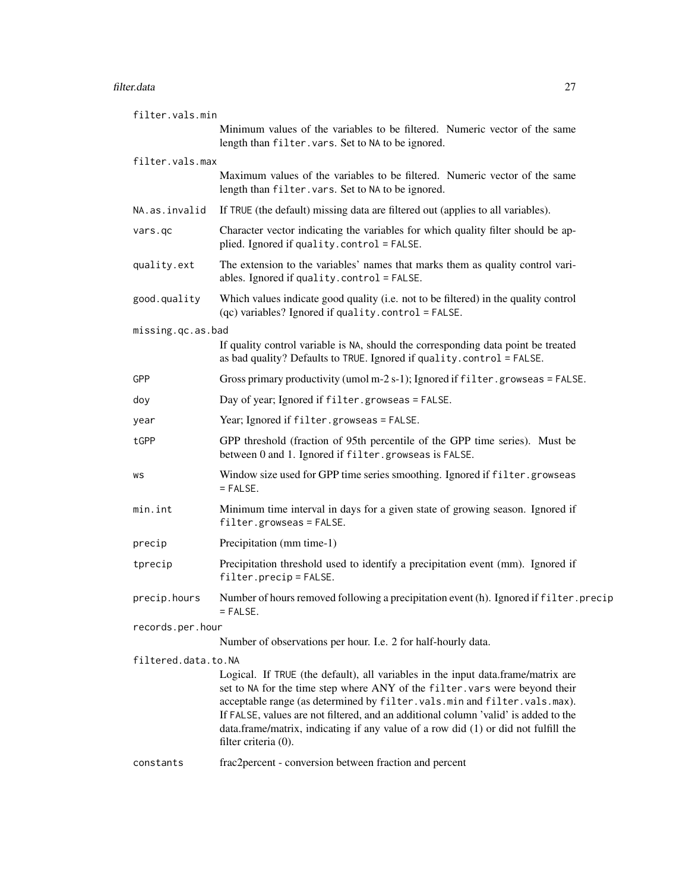#### filter.data 27

| filter.vals.min     |                                                                                                                                                                                                                                                                                                                                                                                                                                                  |
|---------------------|--------------------------------------------------------------------------------------------------------------------------------------------------------------------------------------------------------------------------------------------------------------------------------------------------------------------------------------------------------------------------------------------------------------------------------------------------|
|                     | Minimum values of the variables to be filtered. Numeric vector of the same<br>length than filter. vars. Set to NA to be ignored.                                                                                                                                                                                                                                                                                                                 |
| filter.vals.max     |                                                                                                                                                                                                                                                                                                                                                                                                                                                  |
|                     | Maximum values of the variables to be filtered. Numeric vector of the same<br>length than filter. vars. Set to NA to be ignored.                                                                                                                                                                                                                                                                                                                 |
| NA.as.invalid       | If TRUE (the default) missing data are filtered out (applies to all variables).                                                                                                                                                                                                                                                                                                                                                                  |
| vars.gc             | Character vector indicating the variables for which quality filter should be ap-<br>plied. Ignored if quality.control = FALSE.                                                                                                                                                                                                                                                                                                                   |
| quality.ext         | The extension to the variables' names that marks them as quality control vari-<br>ables. Ignored if quality.control = FALSE.                                                                                                                                                                                                                                                                                                                     |
| good.quality        | Which values indicate good quality (i.e. not to be filtered) in the quality control<br>(qc) variables? Ignored if quality.control = FALSE.                                                                                                                                                                                                                                                                                                       |
| missing.qc.as.bad   |                                                                                                                                                                                                                                                                                                                                                                                                                                                  |
|                     | If quality control variable is NA, should the corresponding data point be treated<br>as bad quality? Defaults to TRUE. Ignored if quality.control = FALSE.                                                                                                                                                                                                                                                                                       |
| GPP                 | Gross primary productivity (umol m-2 s-1); Ignored if $filter$ , growseas = $FALSE$ .                                                                                                                                                                                                                                                                                                                                                            |
| doy                 | Day of year; Ignored if filter.growseas = FALSE.                                                                                                                                                                                                                                                                                                                                                                                                 |
| year                | Year; Ignored if filter.growseas = FALSE.                                                                                                                                                                                                                                                                                                                                                                                                        |
| tGPP                | GPP threshold (fraction of 95th percentile of the GPP time series). Must be<br>between 0 and 1. Ignored if filter.growseas is FALSE.                                                                                                                                                                                                                                                                                                             |
| WS                  | Window size used for GPP time series smoothing. Ignored if filter.growseas<br>$=$ FALSE.                                                                                                                                                                                                                                                                                                                                                         |
| min.int             | Minimum time interval in days for a given state of growing season. Ignored if<br>$filter.growses = FALSE.$                                                                                                                                                                                                                                                                                                                                       |
| precip              | Precipitation (mm time-1)                                                                                                                                                                                                                                                                                                                                                                                                                        |
| tprecip             | Precipitation threshold used to identify a precipitation event (mm). Ignored if<br>$filter. \text{precip} = FALSE.$                                                                                                                                                                                                                                                                                                                              |
| precip.hours        | Number of hours removed following a precipitation event (h). Ignored if filter, precip<br>$=$ FALSE.                                                                                                                                                                                                                                                                                                                                             |
| records.per.hour    |                                                                                                                                                                                                                                                                                                                                                                                                                                                  |
|                     | Number of observations per hour. I.e. 2 for half-hourly data.                                                                                                                                                                                                                                                                                                                                                                                    |
| filtered.data.to.NA | Logical. If TRUE (the default), all variables in the input data.frame/matrix are<br>set to NA for the time step where ANY of the filter. vars were beyond their<br>acceptable range (as determined by filter.vals.min and filter.vals.max).<br>If FALSE, values are not filtered, and an additional column 'valid' is added to the<br>data.frame/matrix, indicating if any value of a row did (1) or did not fulfill the<br>filter criteria (0). |
| constants           | frac2percent - conversion between fraction and percent                                                                                                                                                                                                                                                                                                                                                                                           |
|                     |                                                                                                                                                                                                                                                                                                                                                                                                                                                  |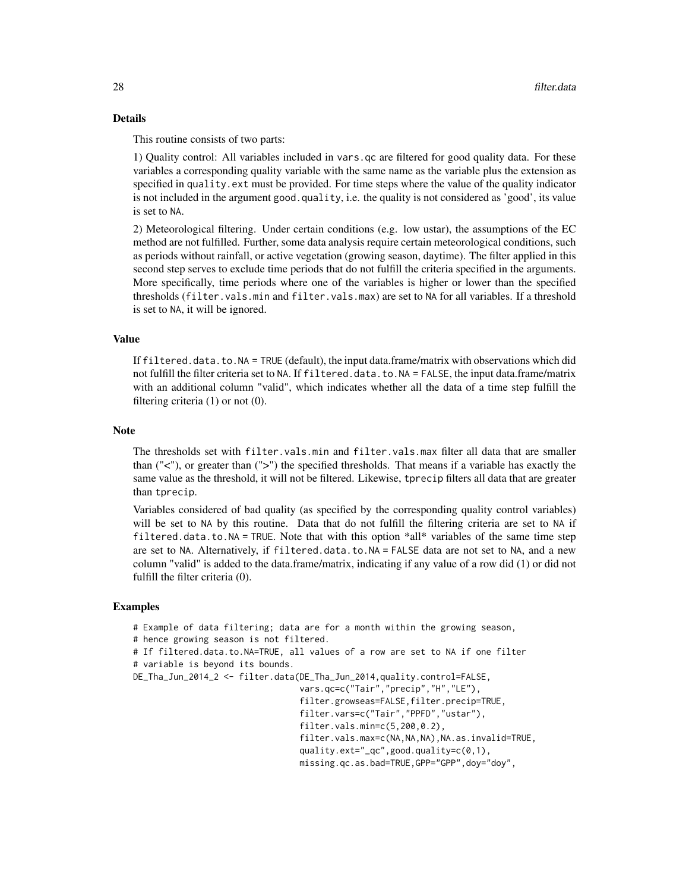## Details

This routine consists of two parts:

1) Quality control: All variables included in vars.qc are filtered for good quality data. For these variables a corresponding quality variable with the same name as the variable plus the extension as specified in quality.ext must be provided. For time steps where the value of the quality indicator is not included in the argument good.quality, i.e. the quality is not considered as 'good', its value is set to NA.

2) Meteorological filtering. Under certain conditions (e.g. low ustar), the assumptions of the EC method are not fulfilled. Further, some data analysis require certain meteorological conditions, such as periods without rainfall, or active vegetation (growing season, daytime). The filter applied in this second step serves to exclude time periods that do not fulfill the criteria specified in the arguments. More specifically, time periods where one of the variables is higher or lower than the specified thresholds (filter.vals.min and filter.vals.max) are set to NA for all variables. If a threshold is set to NA, it will be ignored.

# Value

If filtered.data.to.NA = TRUE (default), the input data.frame/matrix with observations which did not fulfill the filter criteria set to NA. If filtered.data.to.NA = FALSE, the input data.frame/matrix with an additional column "valid", which indicates whether all the data of a time step fulfill the filtering criteria (1) or not (0).

#### Note

The thresholds set with filter.vals.min and filter.vals.max filter all data that are smaller than ("<"), or greater than (">") the specified thresholds. That means if a variable has exactly the same value as the threshold, it will not be filtered. Likewise, tprecip filters all data that are greater than tprecip.

Variables considered of bad quality (as specified by the corresponding quality control variables) will be set to NA by this routine. Data that do not fulfill the filtering criteria are set to NA if filtered.data.to.NA = TRUE. Note that with this option  $*all*$  variables of the same time step are set to NA. Alternatively, if filtered.data.to.NA = FALSE data are not set to NA, and a new column "valid" is added to the data.frame/matrix, indicating if any value of a row did (1) or did not fulfill the filter criteria (0).

# Examples

# Example of data filtering; data are for a month within the growing season,

# hence growing season is not filtered.

# If filtered.data.to.NA=TRUE, all values of a row are set to NA if one filter

```
# variable is beyond its bounds.
```
DE\_Tha\_Jun\_2014\_2 <- filter.data(DE\_Tha\_Jun\_2014,quality.control=FALSE,

```
vars.qc=c("Tair","precip","H","LE"),
filter.growseas=FALSE,filter.precip=TRUE,
filter.vars=c("Tair","PPFD","ustar"),
filter.vals.min=c(5,200,0.2),
filter.vals.max=c(NA,NA,NA),NA.as.invalid=TRUE,
quality.ext="_qc",good.quality=c(0,1),
missing.qc.as.bad=TRUE,GPP="GPP",doy="doy",
```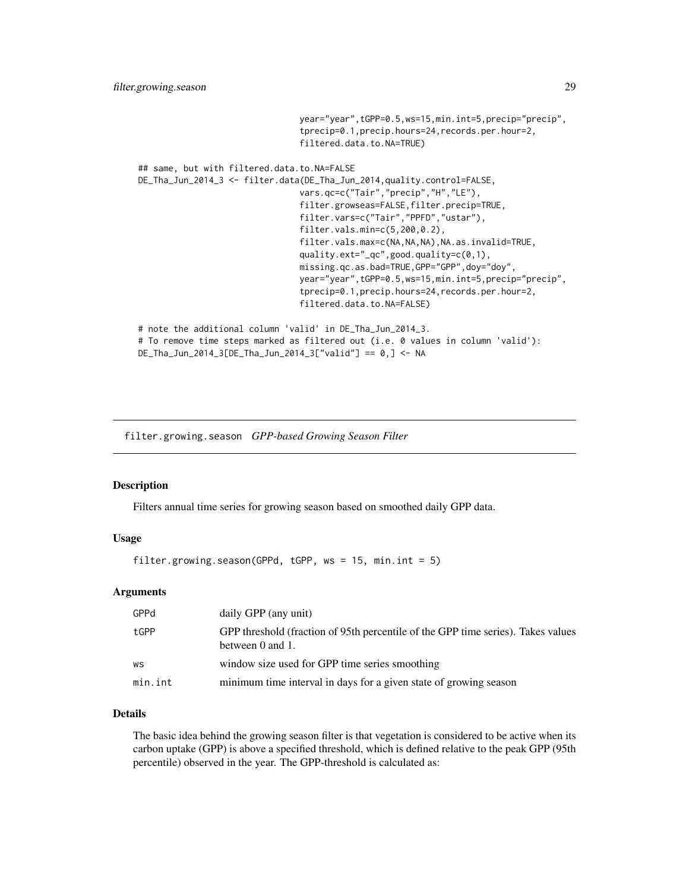```
year="year",tGPP=0.5,ws=15,min.int=5,precip="precip",
                                tprecip=0.1,precip.hours=24,records.per.hour=2,
                                filtered.data.to.NA=TRUE)
## same, but with filtered.data.to.NA=FALSE
DE_Tha_Jun_2014_3 <- filter.data(DE_Tha_Jun_2014,quality.control=FALSE,
                                vars.qc=c("Tair","precip","H","LE"),
                                filter.growseas=FALSE,filter.precip=TRUE,
                                filter.vars=c("Tair","PPFD","ustar"),
                                filter.vals.min=c(5,200,0.2),
                                filter.vals.max=c(NA,NA,NA),NA.as.invalid=TRUE,
                                quality.ext="_qc",good.quality=c(0,1),
                                missing.qc.as.bad=TRUE,GPP="GPP",doy="doy",
                                year="year",tGPP=0.5,ws=15,min.int=5,precip="precip",
                                tprecip=0.1,precip.hours=24,records.per.hour=2,
                                filtered.data.to.NA=FALSE)
# note the additional column 'valid' in DE_Tha_Jun_2014_3.
# To remove time steps marked as filtered out (i.e. 0 values in column 'valid'):
DE_Tha_Jun_2014_3[DE_Tha_Jun_2014_3["valid"] == 0,] <- NA
```
filter.growing.season *GPP-based Growing Season Filter*

#### Description

Filters annual time series for growing season based on smoothed daily GPP data.

#### Usage

filter.growing.season(GPPd, tGPP,  $ws = 15$ , min.int = 5)

# Arguments

| GPPd    | daily GPP (any unit)                                                                                 |
|---------|------------------------------------------------------------------------------------------------------|
| tGPP    | GPP threshold (fraction of 95th percentile of the GPP time series). Takes values<br>between 0 and 1. |
| WS      | window size used for GPP time series smoothing                                                       |
| min.int | minimum time interval in days for a given state of growing season                                    |

# Details

The basic idea behind the growing season filter is that vegetation is considered to be active when its carbon uptake (GPP) is above a specified threshold, which is defined relative to the peak GPP (95th percentile) observed in the year. The GPP-threshold is calculated as: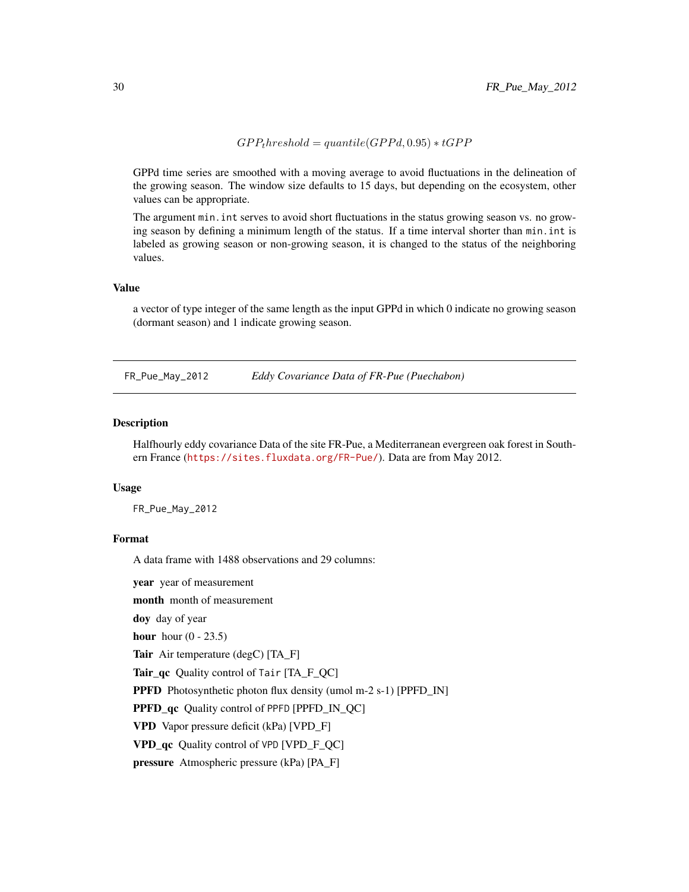$GPP<sub>t</sub> hreshold = quantile(GPPd, 0.95) * tGPP$ 

<span id="page-29-0"></span>GPPd time series are smoothed with a moving average to avoid fluctuations in the delineation of the growing season. The window size defaults to 15 days, but depending on the ecosystem, other values can be appropriate.

The argument min.int serves to avoid short fluctuations in the status growing season vs. no growing season by defining a minimum length of the status. If a time interval shorter than min.int is labeled as growing season or non-growing season, it is changed to the status of the neighboring values.

#### Value

a vector of type integer of the same length as the input GPPd in which 0 indicate no growing season (dormant season) and 1 indicate growing season.

FR\_Pue\_May\_2012 *Eddy Covariance Data of FR-Pue (Puechabon)*

#### **Description**

Halfhourly eddy covariance Data of the site FR-Pue, a Mediterranean evergreen oak forest in Southern France (<https://sites.fluxdata.org/FR-Pue/>). Data are from May 2012.

#### Usage

FR\_Pue\_May\_2012

# Format

A data frame with 1488 observations and 29 columns:

year year of measurement

month month of measurement

doy day of year

hour hour  $(0 - 23.5)$ 

Tair Air temperature (degC) [TA\_F]

Tair\_qc Quality control of Tair [TA\_F\_QC]

PPFD Photosynthetic photon flux density (umol m-2 s-1) [PPFD\_IN]

PPFD\_qc Quality control of PPFD [PPFD\_IN\_QC]

VPD Vapor pressure deficit (kPa) [VPD\_F]

VPD qc Quality control of VPD [VPD\_F\_QC]

pressure Atmospheric pressure (kPa) [PA\_F]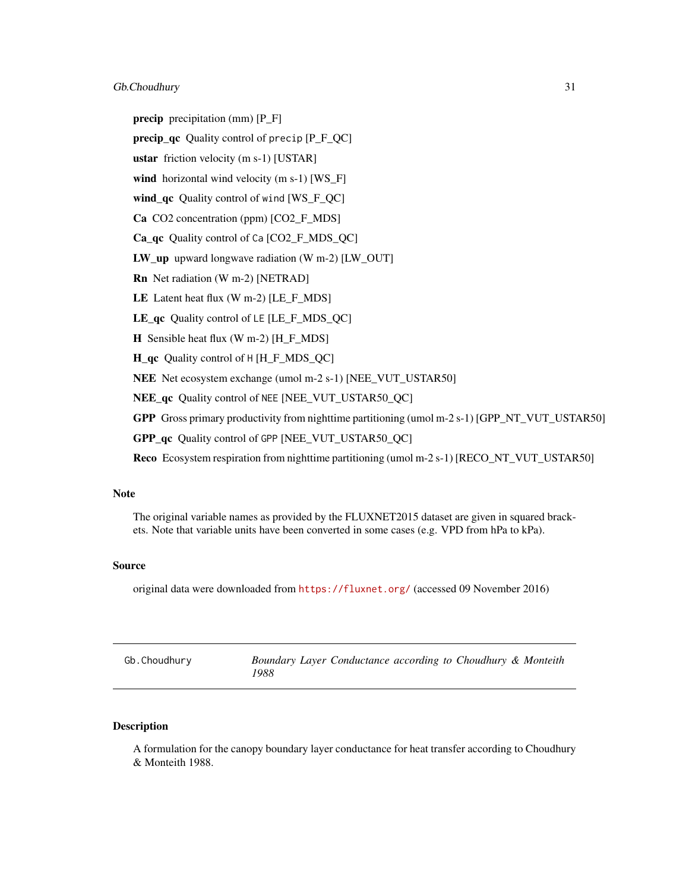# <span id="page-30-0"></span>Gb.Choudhury 31

precip precipitation (mm) [P\_F]

precip\_qc Quality control of precip [P\_F\_QC]

ustar friction velocity (m s-1) [USTAR]

wind horizontal wind velocity (m s-1) [WS\_F]

wind\_qc Quality control of wind [WS\_F\_QC]

Ca CO2 concentration (ppm) [CO2 F\_MDS]

Ca\_qc Quality control of Ca [CO2\_F\_MDS\_QC]

LW\_up upward longwave radiation (W m-2) [LW\_OUT]

Rn Net radiation (W m-2) [NETRAD]

LE Latent heat flux (W m-2) [LE\_F\_MDS]

LE\_qc Quality control of LE [LE\_F\_MDS\_QC]

H Sensible heat flux (W m-2) [H\_F\_MDS]

H\_qc Quality control of H [H\_F\_MDS\_QC]

NEE Net ecosystem exchange (umol m-2 s-1) [NEE\_VUT\_USTAR50]

NEE qc Quality control of NEE [NEE\_VUT\_USTAR50\_QC]

GPP Gross primary productivity from nighttime partitioning (umol m-2 s-1) [GPP\_NT\_VUT\_USTAR50]

GPP\_qc Quality control of GPP [NEE\_VUT\_USTAR50\_QC]

Reco Ecosystem respiration from nighttime partitioning (umol m-2 s-1) [RECO\_NT\_VUT\_USTAR50]

# Note

The original variable names as provided by the FLUXNET2015 dataset are given in squared brackets. Note that variable units have been converted in some cases (e.g. VPD from hPa to kPa).

# Source

original data were downloaded from <https://fluxnet.org/> (accessed 09 November 2016)

<span id="page-30-1"></span>

| Gb.Choudhury | Boundary Layer Conductance according to Choudhury & Monteith |
|--------------|--------------------------------------------------------------|
|              | 1988                                                         |

# Description

A formulation for the canopy boundary layer conductance for heat transfer according to Choudhury & Monteith 1988.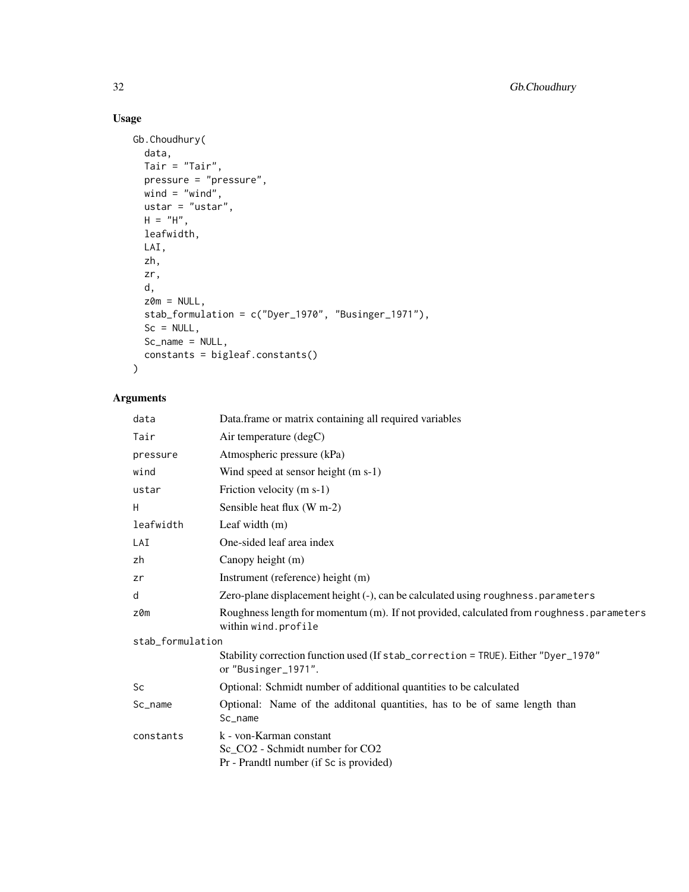# Usage

```
Gb.Choudhury(
  data,
  Tair = "Tair",pressure = "pressure",
  wind = "wind",ustar = "ustar",
 H = "H",leafwidth,
  LAI,
  zh,
  zr,
  d,
  z0m = NULL,
  stab_formulation = c("Dyer_1970", "Businger_1971"),
  Sc = NULL,Sc_name = NULL,
  constants = bigleaf.constants()
\mathcal{L}
```
# Arguments

| data             | Data.frame or matrix containing all required variables                                                          |  |
|------------------|-----------------------------------------------------------------------------------------------------------------|--|
| Tair             | Air temperature (degC)                                                                                          |  |
| pressure         | Atmospheric pressure (kPa)                                                                                      |  |
| wind             | Wind speed at sensor height (m s-1)                                                                             |  |
| ustar            | Friction velocity (m s-1)                                                                                       |  |
| H                | Sensible heat flux (W m-2)                                                                                      |  |
| leafwidth        | Leaf width $(m)$                                                                                                |  |
| LAI              | One-sided leaf area index                                                                                       |  |
| zh               | Canopy height (m)                                                                                               |  |
| zr               | Instrument (reference) height (m)                                                                               |  |
| d                | Zero-plane displacement height (-), can be calculated using roughness.parameters                                |  |
| z0m              | Roughness length for momentum (m). If not provided, calculated from roughness.parameters<br>within wind.profile |  |
| stab_formulation |                                                                                                                 |  |
|                  | Stability correction function used (If stab_correction = TRUE). Either "Dyer_1970"<br>or "Businger_1971".       |  |
| Sc               | Optional: Schmidt number of additional quantities to be calculated                                              |  |
| Sc_name          | Optional: Name of the additonal quantities, has to be of same length than<br>Sc_name                            |  |
| constants        | k - von-Karman constant<br>Sc_CO2 - Schmidt number for CO2<br>Pr - Prandtl number (if Sc is provided)           |  |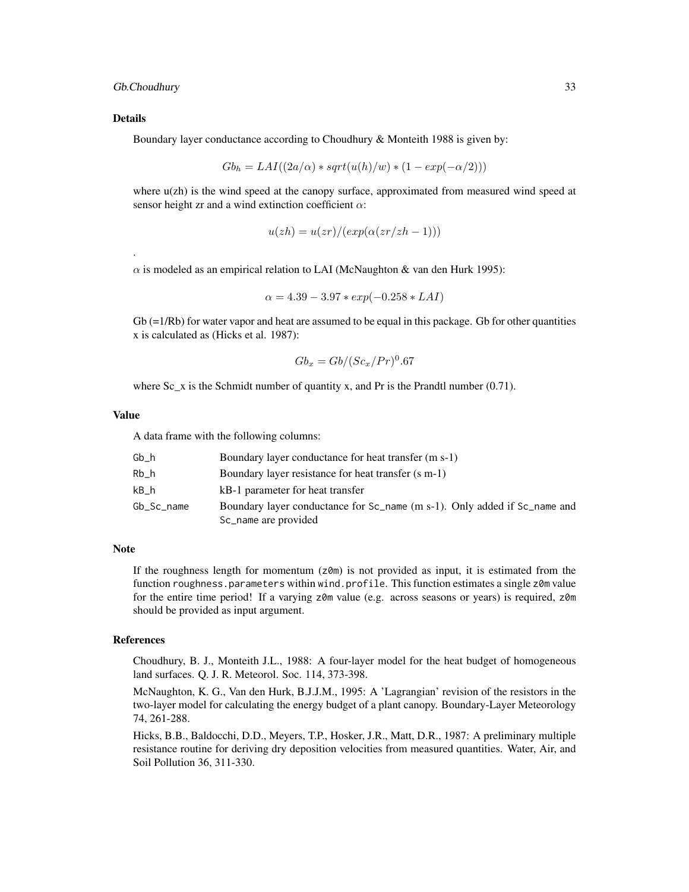#### Gb.Choudhury 33

#### Details

.

Boundary layer conductance according to Choudhury & Monteith 1988 is given by:

$$
Gbh = LAI((2a/\alpha) * sqrt(u(h)/w) * (1 - exp(-\alpha/2)))
$$

where u(zh) is the wind speed at the canopy surface, approximated from measured wind speed at sensor height zr and a wind extinction coefficient  $\alpha$ :

$$
u(zh) = u(zr)/(exp(\alpha(zr/zh - 1)))
$$

 $\alpha$  is modeled as an empirical relation to LAI (McNaughton & van den Hurk 1995):

$$
\alpha = 4.39 - 3.97 * exp(-0.258 * LAI)
$$

 $Gb (=1/Rb)$  for water vapor and heat are assumed to be equal in this package. Gb for other quantities x is calculated as (Hicks et al. 1987):

$$
Gb_x = Gb/(Sc_x/Pr)^0.67
$$

where Sc  $\bar{x}$  is the Schmidt number of quantity x, and Pr is the Prandtl number (0.71).

# Value

A data frame with the following columns:

| Gb h       | Boundary layer conductance for heat transfer (m s-1)                      |
|------------|---------------------------------------------------------------------------|
| Rb h       | Boundary layer resistance for heat transfer (s m-1)                       |
| kB h       | kB-1 parameter for heat transfer                                          |
| Gb_Sc_name | Boundary layer conductance for Sc_name (m s-1). Only added if Sc_name and |
|            | Sc_name are provided                                                      |

#### Note

If the roughness length for momentum  $(z<sub>0</sub>m)$  is not provided as input, it is estimated from the function roughness.parameters within wind.profile. This function estimates a single z0m value for the entire time period! If a varying z0m value (e.g. across seasons or years) is required, z0m should be provided as input argument.

#### References

Choudhury, B. J., Monteith J.L., 1988: A four-layer model for the heat budget of homogeneous land surfaces. Q. J. R. Meteorol. Soc. 114, 373-398.

McNaughton, K. G., Van den Hurk, B.J.J.M., 1995: A 'Lagrangian' revision of the resistors in the two-layer model for calculating the energy budget of a plant canopy. Boundary-Layer Meteorology 74, 261-288.

Hicks, B.B., Baldocchi, D.D., Meyers, T.P., Hosker, J.R., Matt, D.R., 1987: A preliminary multiple resistance routine for deriving dry deposition velocities from measured quantities. Water, Air, and Soil Pollution 36, 311-330.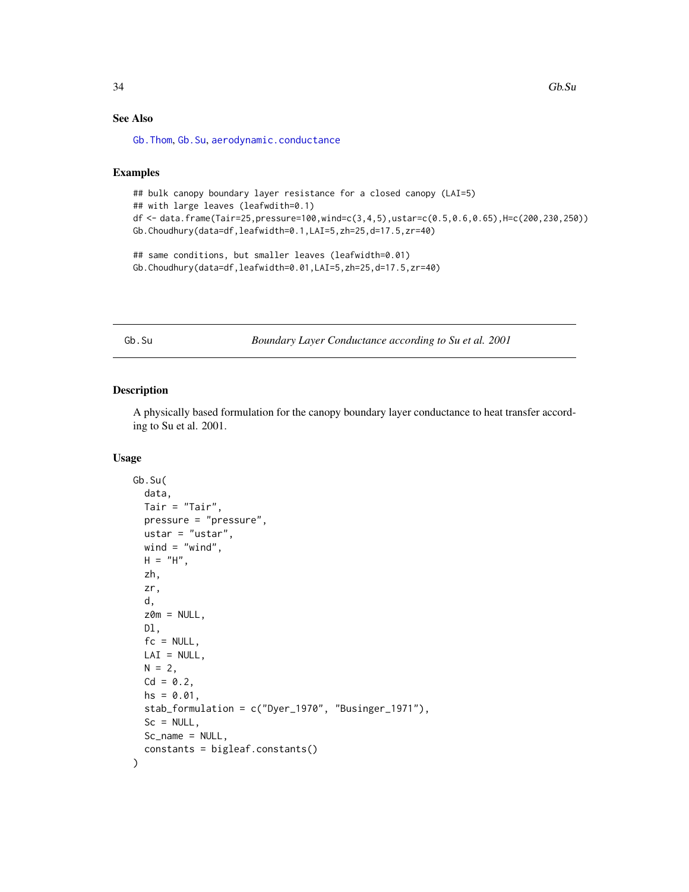# See Also

[Gb.Thom](#page-36-1), [Gb.Su](#page-33-1), [aerodynamic.conductance](#page-2-1)

#### Examples

```
## bulk canopy boundary layer resistance for a closed canopy (LAI=5)
## with large leaves (leafwdith=0.1)
df <- data.frame(Tair=25,pressure=100,wind=c(3,4,5),ustar=c(0.5,0.6,0.65),H=c(200,230,250))
Gb.Choudhury(data=df,leafwidth=0.1,LAI=5,zh=25,d=17.5,zr=40)
## same conditions, but smaller leaves (leafwidth=0.01)
Gb.Choudhury(data=df,leafwidth=0.01,LAI=5,zh=25,d=17.5,zr=40)
```
<span id="page-33-1"></span>Gb.Su *Boundary Layer Conductance according to Su et al. 2001*

# Description

A physically based formulation for the canopy boundary layer conductance to heat transfer according to Su et al. 2001.

#### Usage

```
Gb.Su(
  data,
  Tair = "Tair",
  pressure = "pressure",
  ustar = "ustar",
 wind = "wind",
 H = "H",zh,
  zr,
  d,
  z0m = NULL,Dl,
  fc = NULL,LAI = NULL,N = 2,
  Cd = 0.2,
  hs = 0.01,
  stab_formulation = c("Dyer_1970", "Businger_1971"),
  Sc = NULL,Sc_name = NULL,
  constants = bigleaf.constants()
)
```
<span id="page-33-0"></span>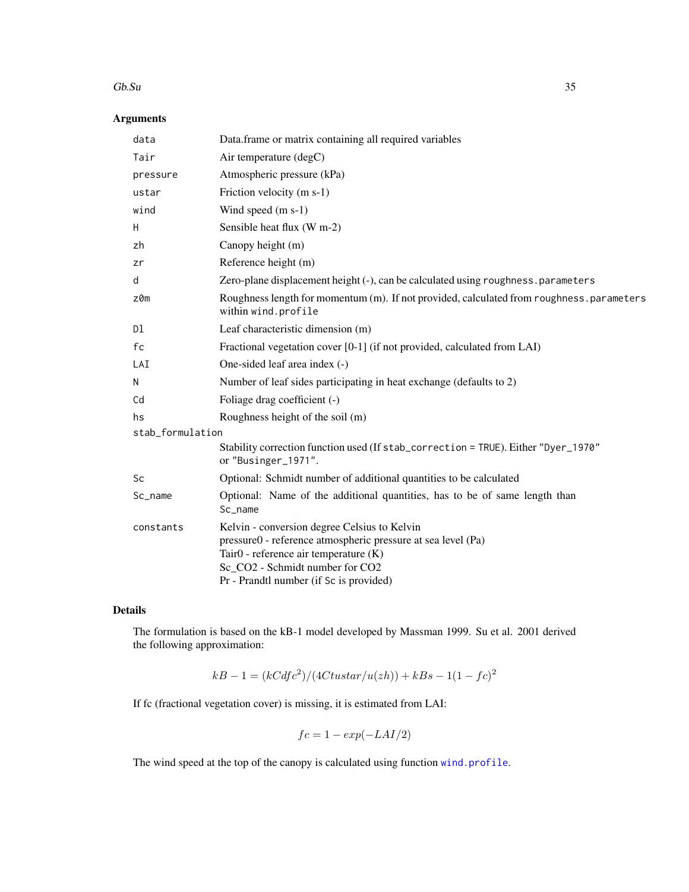#### $Gb.$ Su  $35$

# Arguments

| data             | Data.frame or matrix containing all required variables                                                                                                                                                                              |
|------------------|-------------------------------------------------------------------------------------------------------------------------------------------------------------------------------------------------------------------------------------|
| Tair             | Air temperature (degC)                                                                                                                                                                                                              |
| pressure         | Atmospheric pressure (kPa)                                                                                                                                                                                                          |
| ustar            | Friction velocity (m s-1)                                                                                                                                                                                                           |
| wind             | Wind speed (m s-1)                                                                                                                                                                                                                  |
| Η                | Sensible heat flux (W m-2)                                                                                                                                                                                                          |
| zh               | Canopy height (m)                                                                                                                                                                                                                   |
| zr               | Reference height (m)                                                                                                                                                                                                                |
| d                | Zero-plane displacement height (-), can be calculated using roughness.parameters                                                                                                                                                    |
| $z$ $0m$         | Roughness length for momentum (m). If not provided, calculated from roughness . parameters<br>within wind.profile                                                                                                                   |
| Dl               | Leaf characteristic dimension (m)                                                                                                                                                                                                   |
| fc               | Fractional vegetation cover [0-1] (if not provided, calculated from LAI)                                                                                                                                                            |
| LAI              | One-sided leaf area index (-)                                                                                                                                                                                                       |
| N                | Number of leaf sides participating in heat exchange (defaults to 2)                                                                                                                                                                 |
| Cd               | Foliage drag coefficient (-)                                                                                                                                                                                                        |
| hs               | Roughness height of the soil (m)                                                                                                                                                                                                    |
| stab_formulation |                                                                                                                                                                                                                                     |
|                  | Stability correction function used (If stab_correction = TRUE). Either "Dyer_1970"<br>or "Businger_1971".                                                                                                                           |
| Sc               | Optional: Schmidt number of additional quantities to be calculated                                                                                                                                                                  |
| Sc_name          | Optional: Name of the additional quantities, has to be of same length than<br>Sc_name                                                                                                                                               |
| constants        | Kelvin - conversion degree Celsius to Kelvin<br>pressure0 - reference atmospheric pressure at sea level (Pa)<br>Tair0 - reference air temperature (K)<br>Sc_CO2 - Schmidt number for CO2<br>Pr - Prandtl number (if Sc is provided) |

# Details

The formulation is based on the kB-1 model developed by Massman 1999. Su et al. 2001 derived the following approximation:

$$
kB - 1 = (kCdfc^2)/(4Ctustar/u(zh)) + kBs - 1(1 - fc)^2
$$

If fc (fractional vegetation cover) is missing, it is estimated from LAI:

$$
fc = 1 - exp(-LAI/2)
$$

The wind speed at the top of the canopy is calculated using function [wind.profile](#page-87-1).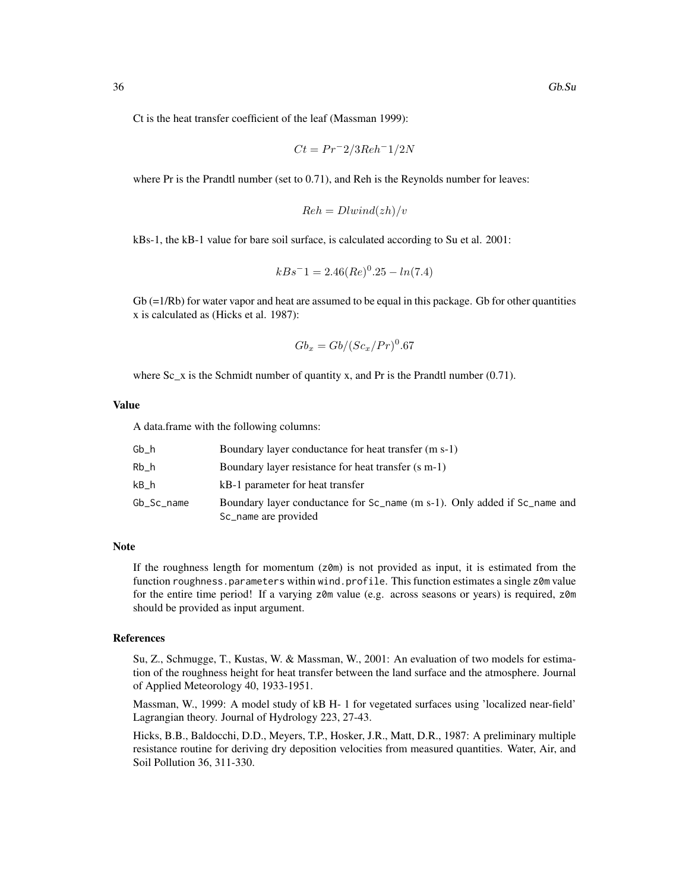Ct is the heat transfer coefficient of the leaf (Massman 1999):

$$
Ct = Pr^{-2}/3Reh^{-1}/2N
$$

where Pr is the Prandtl number (set to 0.71), and Reh is the Reynolds number for leaves:

$$
Reh = Dlwind(zh)/v
$$

kBs-1, the kB-1 value for bare soil surface, is calculated according to Su et al. 2001:

$$
kBs^-1 = 2.46(Re)^0.25 - ln(7.4)
$$

 $Gb (=1/Rb)$  for water vapor and heat are assumed to be equal in this package. Gb for other quantities x is calculated as (Hicks et al. 1987):

$$
Gb_x = Gb/(Sc_x/Pr)^0.67
$$

where Sc<sub>\_x</sub> is the Schmidt number of quantity x, and Pr is the Prandtl number (0.71).

# Value

A data.frame with the following columns:

| Gb h       | Boundary layer conductance for heat transfer (m s-1)                                              |
|------------|---------------------------------------------------------------------------------------------------|
| Rb h       | Boundary layer resistance for heat transfer (s m-1)                                               |
| kB h       | kB-1 parameter for heat transfer                                                                  |
| Gb_Sc_name | Boundary layer conductance for Sc_name (m s-1). Only added if Sc_name and<br>Sc_name are provided |

### Note

If the roughness length for momentum  $(z<sub>0</sub>m)$  is not provided as input, it is estimated from the function roughness.parameters within wind.profile. This function estimates a single z0m value for the entire time period! If a varying z0m value (e.g. across seasons or years) is required, z0m should be provided as input argument.

#### References

Su, Z., Schmugge, T., Kustas, W. & Massman, W., 2001: An evaluation of two models for estimation of the roughness height for heat transfer between the land surface and the atmosphere. Journal of Applied Meteorology 40, 1933-1951.

Massman, W., 1999: A model study of kB H- 1 for vegetated surfaces using 'localized near-field' Lagrangian theory. Journal of Hydrology 223, 27-43.

Hicks, B.B., Baldocchi, D.D., Meyers, T.P., Hosker, J.R., Matt, D.R., 1987: A preliminary multiple resistance routine for deriving dry deposition velocities from measured quantities. Water, Air, and Soil Pollution 36, 311-330.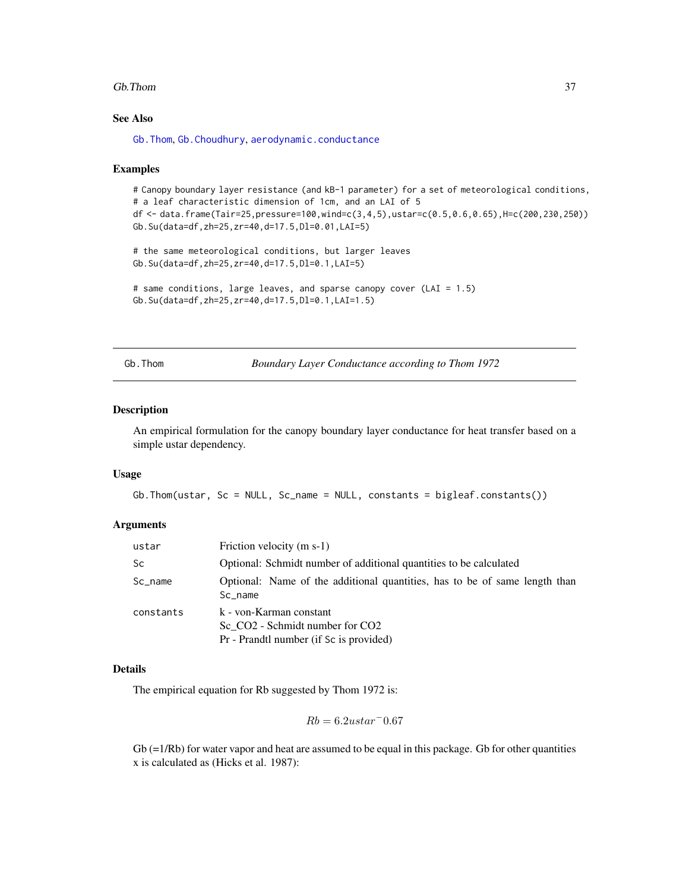#### Gb.Thom 37

# See Also

[Gb.Thom](#page-36-0), [Gb.Choudhury](#page-30-0), [aerodynamic.conductance](#page-2-0)

#### Examples

# Canopy boundary layer resistance (and kB-1 parameter) for a set of meteorological conditions, # a leaf characteristic dimension of 1cm, and an LAI of 5 df <- data.frame(Tair=25,pressure=100,wind=c(3,4,5),ustar=c(0.5,0.6,0.65),H=c(200,230,250)) Gb.Su(data=df,zh=25,zr=40,d=17.5,Dl=0.01,LAI=5)

```
# the same meteorological conditions, but larger leaves
Gb.Su(data=df,zh=25,zr=40,d=17.5,Dl=0.1,LAI=5)
```

```
# same conditions, large leaves, and sparse canopy cover (LAI = 1.5)
Gb.Su(data=df,zh=25,zr=40,d=17.5,Dl=0.1,LAI=1.5)
```
<span id="page-36-0"></span>Gb.Thom *Boundary Layer Conductance according to Thom 1972*

#### Description

An empirical formulation for the canopy boundary layer conductance for heat transfer based on a simple ustar dependency.

#### Usage

```
Gb.Thom(ustar, Sc = NULL, Sc_name = NULL, constants = bigleaf.constants())
```
#### Arguments

| ustar      | Friction velocity (m s-1)                                                                             |  |
|------------|-------------------------------------------------------------------------------------------------------|--|
| <b>Sc</b>  | Optional: Schmidt number of additional quantities to be calculated                                    |  |
| $Sc_$ name | Optional: Name of the additional quantities, has to be of same length than<br>Sc name                 |  |
| constants  | k - von-Karman constant<br>Sc CO2 - Schmidt number for CO2<br>Pr - Prandtl number (if Sc is provided) |  |

#### Details

The empirical equation for Rb suggested by Thom 1972 is:

$$
Rb = 6.2 ustar^- 0.67\,
$$

 $Gb (=1/Rb)$  for water vapor and heat are assumed to be equal in this package. Gb for other quantities x is calculated as (Hicks et al. 1987):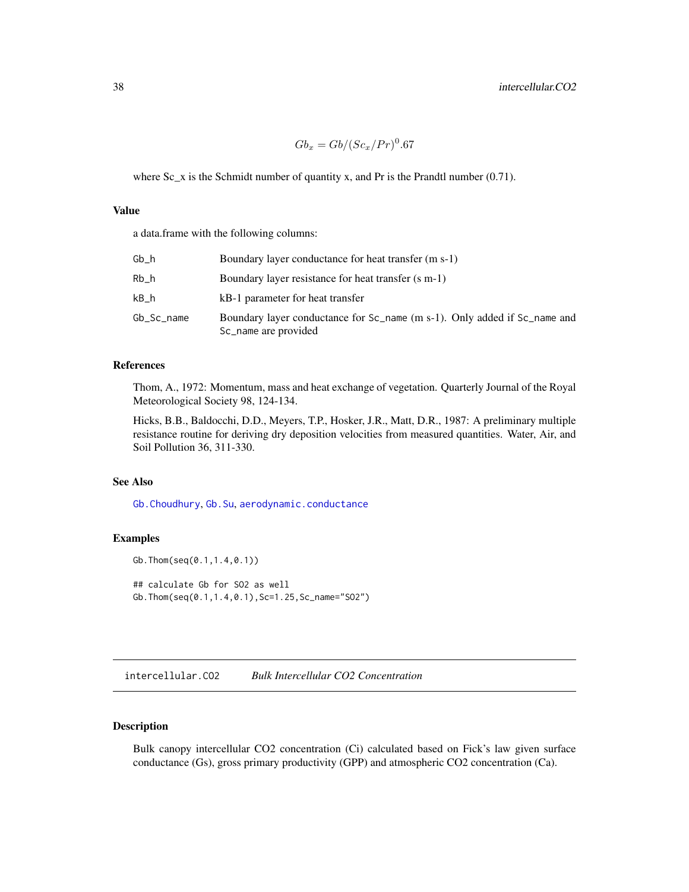$$
Gb_x = Gb/(Sc_x/Pr)^0.67
$$

where Sc<sub>\_x</sub> is the Schmidt number of quantity x, and Pr is the Prandtl number (0.71).

## Value

a data.frame with the following columns:

| Gb h       | Boundary layer conductance for heat transfer (m s-1)                                              |
|------------|---------------------------------------------------------------------------------------------------|
| Rb h       | Boundary layer resistance for heat transfer (s m-1)                                               |
| kB h       | kB-1 parameter for heat transfer                                                                  |
| Gb_Sc_name | Boundary layer conductance for Sc_name (m s-1). Only added if Sc_name and<br>Sc_name are provided |

#### References

Thom, A., 1972: Momentum, mass and heat exchange of vegetation. Quarterly Journal of the Royal Meteorological Society 98, 124-134.

Hicks, B.B., Baldocchi, D.D., Meyers, T.P., Hosker, J.R., Matt, D.R., 1987: A preliminary multiple resistance routine for deriving dry deposition velocities from measured quantities. Water, Air, and Soil Pollution 36, 311-330.

## See Also

[Gb.Choudhury](#page-30-0), [Gb.Su](#page-33-0), [aerodynamic.conductance](#page-2-0)

## Examples

```
Gb.Thom(seq(0.1,1.4,0.1))
## calculate Gb for SO2 as well
Gb.Thom(seq(0.1,1.4,0.1),Sc=1.25,Sc_name="SO2")
```
<span id="page-37-0"></span>intercellular.CO2 *Bulk Intercellular CO2 Concentration*

# Description

Bulk canopy intercellular CO2 concentration (Ci) calculated based on Fick's law given surface conductance (Gs), gross primary productivity (GPP) and atmospheric CO2 concentration (Ca).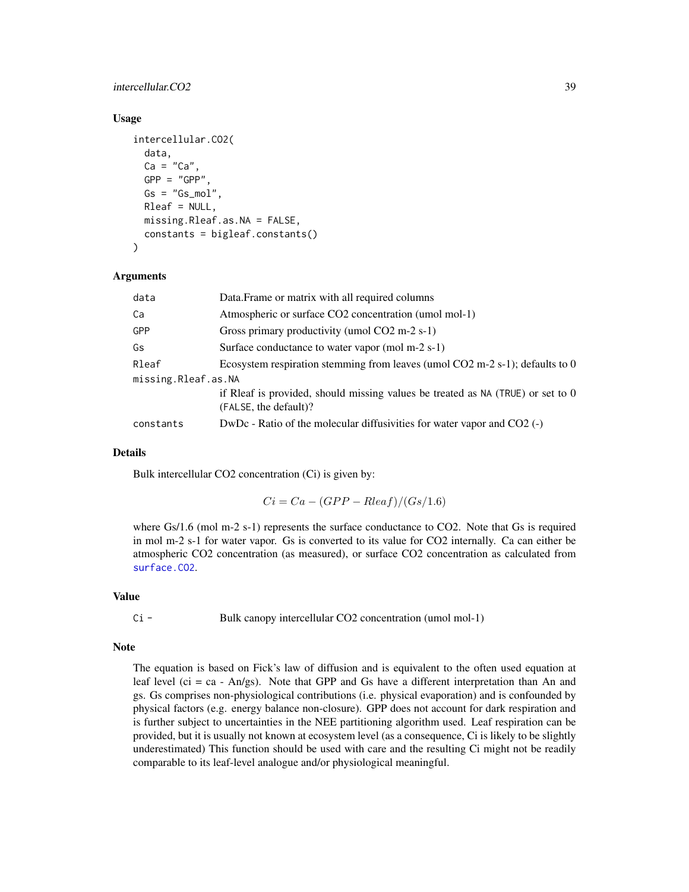## intercellular.CO2 39

## Usage

```
intercellular.CO2(
  data,
  Ca = "Ca",
  GPP = "GPP",
  Gs = "Gs_mol",Rleaf = NULL,
 missing.Rleaf.as.NA = FALSE,
  constants = bigleaf.constants()
)
```
## Arguments

| data                | Data. Frame or matrix with all required columns                                                          |  |
|---------------------|----------------------------------------------------------------------------------------------------------|--|
| Ca                  | Atmospheric or surface CO2 concentration (umol mol-1)                                                    |  |
| GPP                 | Gross primary productivity (umol CO2 m-2 s-1)                                                            |  |
| Gs                  | Surface conductance to water vapor (mol m-2 s-1)                                                         |  |
| Rleaf               | Ecosystem respiration stemming from leaves (umol $CO2$ m-2 s-1); defaults to 0                           |  |
| missing.Rleaf.as.NA |                                                                                                          |  |
|                     | if Rleaf is provided, should missing values be treated as NA (TRUE) or set to 0<br>(FALSE, the default)? |  |
| constants           | $DwDc$ - Ratio of the molecular diffusivities for water vapor and $CO2$ (-)                              |  |
|                     |                                                                                                          |  |

## Details

Bulk intercellular CO2 concentration (Ci) is given by:

 $Ci = Ca - (GPP - Rleaf)/(Gs/1.6)$ 

where Gs/1.6 (mol m-2 s-1) represents the surface conductance to CO2. Note that Gs is required in mol m-2 s-1 for water vapor. Gs is converted to its value for CO2 internally. Ca can either be atmospheric CO2 concentration (as measured), or surface CO2 concentration as calculated from [surface.CO2](#page-76-0).

#### Value

Ci - Bulk canopy intercellular CO2 concentration (umol mol-1)

#### Note

The equation is based on Fick's law of diffusion and is equivalent to the often used equation at leaf level (ci = ca - An/gs). Note that GPP and Gs have a different interpretation than An and gs. Gs comprises non-physiological contributions (i.e. physical evaporation) and is confounded by physical factors (e.g. energy balance non-closure). GPP does not account for dark respiration and is further subject to uncertainties in the NEE partitioning algorithm used. Leaf respiration can be provided, but it is usually not known at ecosystem level (as a consequence, Ci is likely to be slightly underestimated) This function should be used with care and the resulting Ci might not be readily comparable to its leaf-level analogue and/or physiological meaningful.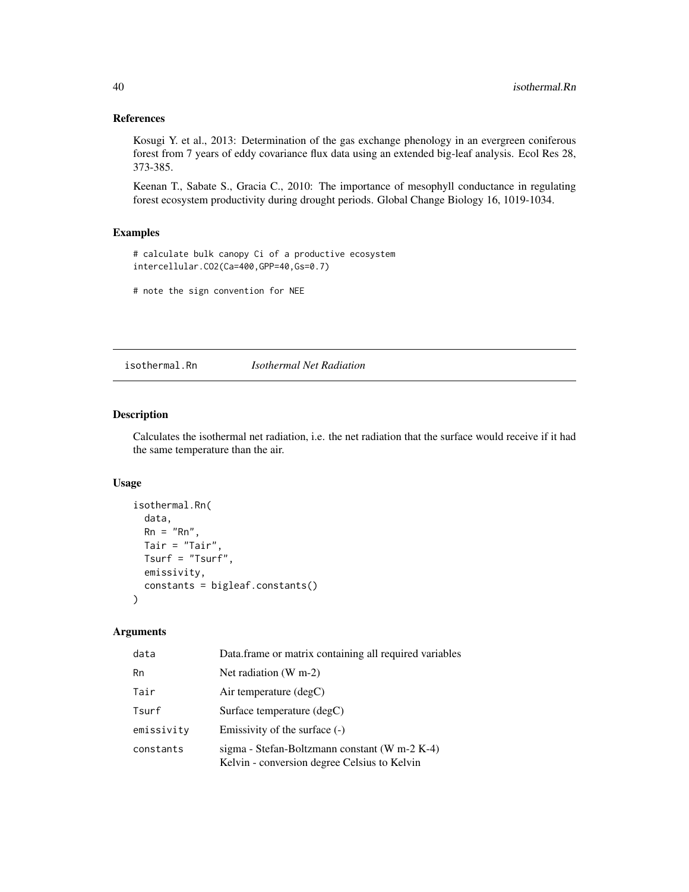# References

Kosugi Y. et al., 2013: Determination of the gas exchange phenology in an evergreen coniferous forest from 7 years of eddy covariance flux data using an extended big-leaf analysis. Ecol Res 28, 373-385.

Keenan T., Sabate S., Gracia C., 2010: The importance of mesophyll conductance in regulating forest ecosystem productivity during drought periods. Global Change Biology 16, 1019-1034.

## Examples

# calculate bulk canopy Ci of a productive ecosystem intercellular.CO2(Ca=400,GPP=40,Gs=0.7)

# note the sign convention for NEE

isothermal.Rn *Isothermal Net Radiation*

## Description

Calculates the isothermal net radiation, i.e. the net radiation that the surface would receive if it had the same temperature than the air.

## Usage

```
isothermal.Rn(
  data,
  Rn = "Rn",Tair = "Tair",
 Tsurf = "Tsurf",
 emissivity,
  constants = bigleaf.constants()
)
```
# Arguments

| data       | Data.frame or matrix containing all required variables                                        |
|------------|-----------------------------------------------------------------------------------------------|
| Rn         | Net radiation $(W m-2)$                                                                       |
| Tair       | Air temperature $(\text{deg} C)$                                                              |
| Tsurf      | Surface temperature (degC)                                                                    |
| emissivity | Emissivity of the surface $(-)$                                                               |
| constants  | sigma - Stefan-Boltzmann constant (W m-2 K-4)<br>Kelvin - conversion degree Celsius to Kelvin |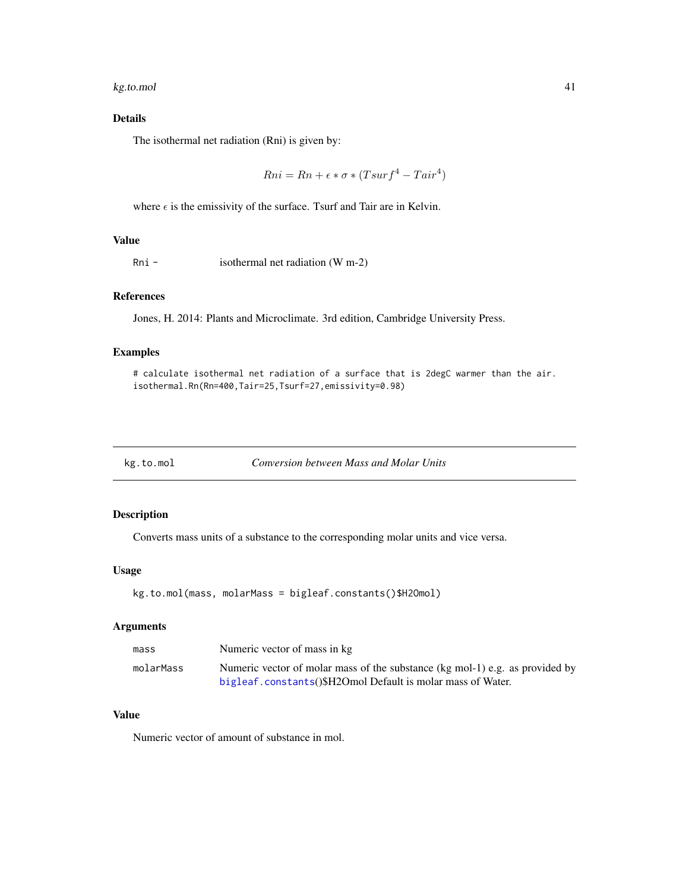#### kg.to.mol 41

# Details

The isothermal net radiation (Rni) is given by:

$$
Rni = Rn + \epsilon * \sigma * (Tsurf^4 - Tair^4)
$$

where  $\epsilon$  is the emissivity of the surface. Tsurf and Tair are in Kelvin.

## Value

Rni - isothermal net radiation (W m-2)

# References

Jones, H. 2014: Plants and Microclimate. 3rd edition, Cambridge University Press.

# Examples

```
# calculate isothermal net radiation of a surface that is 2degC warmer than the air.
isothermal.Rn(Rn=400,Tair=25,Tsurf=27,emissivity=0.98)
```
kg.to.mol *Conversion between Mass and Molar Units*

## Description

Converts mass units of a substance to the corresponding molar units and vice versa.

## Usage

```
kg.to.mol(mass, molarMass = bigleaf.constants()$H2Omol)
```
# Arguments

| mass      | Numeric vector of mass in kg                                                 |
|-----------|------------------------------------------------------------------------------|
| molarMass | Numeric vector of molar mass of the substance (kg mol-1) e.g. as provided by |
|           | bigleaf.constants()\$H2Omol Default is molar mass of Water.                  |

# Value

Numeric vector of amount of substance in mol.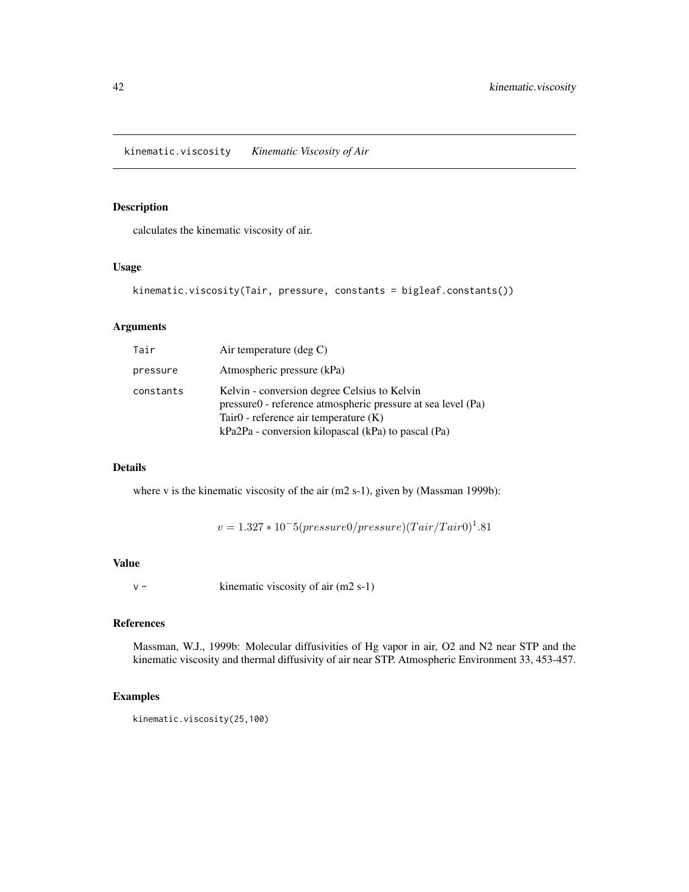# Description

calculates the kinematic viscosity of air.

## Usage

```
kinematic.viscosity(Tair, pressure, constants = bigleaf.constants())
```
## Arguments

| Tair      | Air temperature $(\text{deg } C)$                                                                                                                                                                                 |
|-----------|-------------------------------------------------------------------------------------------------------------------------------------------------------------------------------------------------------------------|
| pressure  | Atmospheric pressure (kPa)                                                                                                                                                                                        |
| constants | Kelvin - conversion degree Celsius to Kelvin<br>pressure0 - reference atmospheric pressure at sea level (Pa)<br>Tair $0$ - reference air temperature $(K)$<br>kPa2Pa - conversion kilopascal (kPa) to pascal (Pa) |

## Details

where v is the kinematic viscosity of the air (m2 s-1), given by (Massman 1999b):

 $v = 1.327 * 10^{-5} (pressure0/ pressure) (Tair/Tair0)^{1}.81$ 

## Value

v - kinematic viscosity of air (m2 s-1)

# References

Massman, W.J., 1999b: Molecular diffusivities of Hg vapor in air, O2 and N2 near STP and the kinematic viscosity and thermal diffusivity of air near STP. Atmospheric Environment 33, 453-457.

# Examples

kinematic.viscosity(25,100)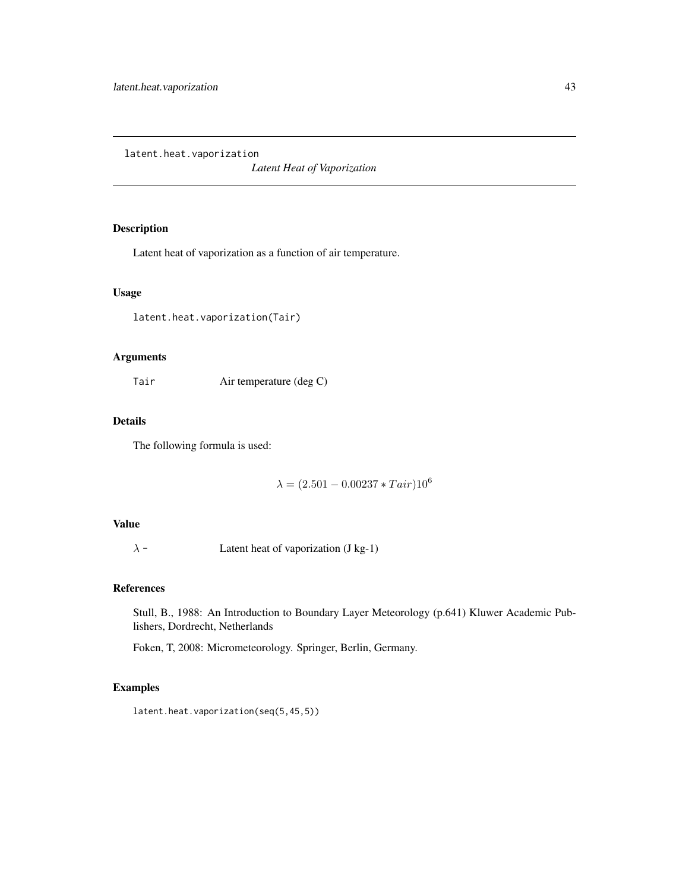<span id="page-42-0"></span>latent.heat.vaporization

*Latent Heat of Vaporization*

# Description

Latent heat of vaporization as a function of air temperature.

# Usage

latent.heat.vaporization(Tair)

# Arguments

Tair Air temperature (deg C)

# Details

The following formula is used:

 $\lambda = (2.501 - 0.00237 * Tair)10^6$ 

# Value

 $\lambda$  - Latent heat of vaporization (J kg-1)

# References

Stull, B., 1988: An Introduction to Boundary Layer Meteorology (p.641) Kluwer Academic Publishers, Dordrecht, Netherlands

Foken, T, 2008: Micrometeorology. Springer, Berlin, Germany.

# Examples

latent.heat.vaporization(seq(5,45,5))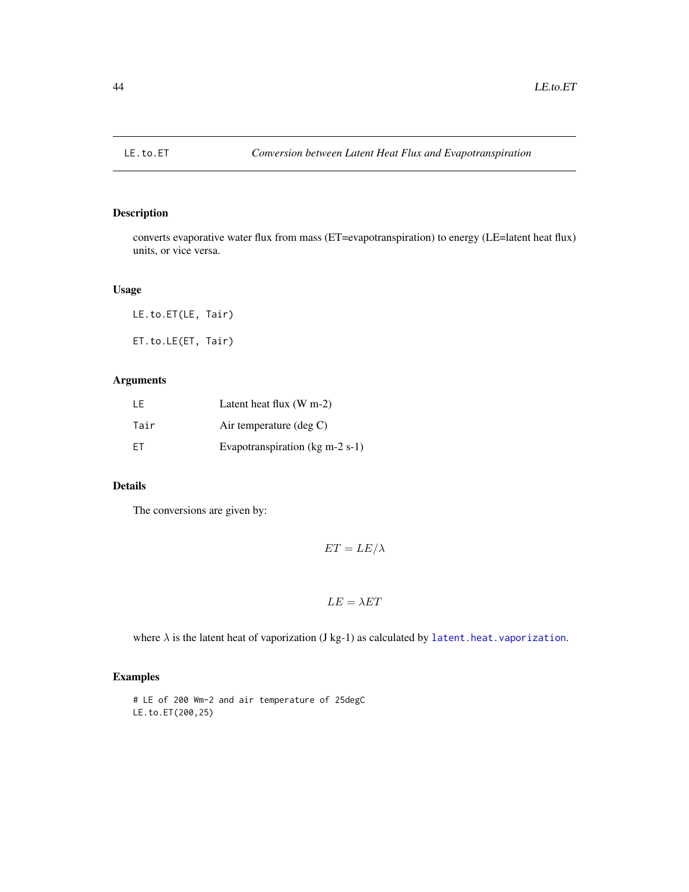## Description

converts evaporative water flux from mass (ET=evapotranspiration) to energy (LE=latent heat flux) units, or vice versa.

# Usage

LE.to.ET(LE, Tair) ET.to.LE(ET, Tair)

# Arguments

| I F       | Latent heat flux $(W m-2)$                          |
|-----------|-----------------------------------------------------|
| Tair      | Air temperature $(\deg C)$                          |
| <b>FT</b> | Evapotranspiration ( $kg \text{ m-}2 \text{ s-}1$ ) |

# Details

The conversions are given by:

$$
ET = LE/\lambda
$$

$$
LE = \lambda ET
$$

where  $\lambda$  is the latent heat of vaporization (J kg-1) as calculated by [latent.heat.vaporization](#page-42-0).

# Examples

# LE of 200 Wm-2 and air temperature of 25degC LE.to.ET(200,25)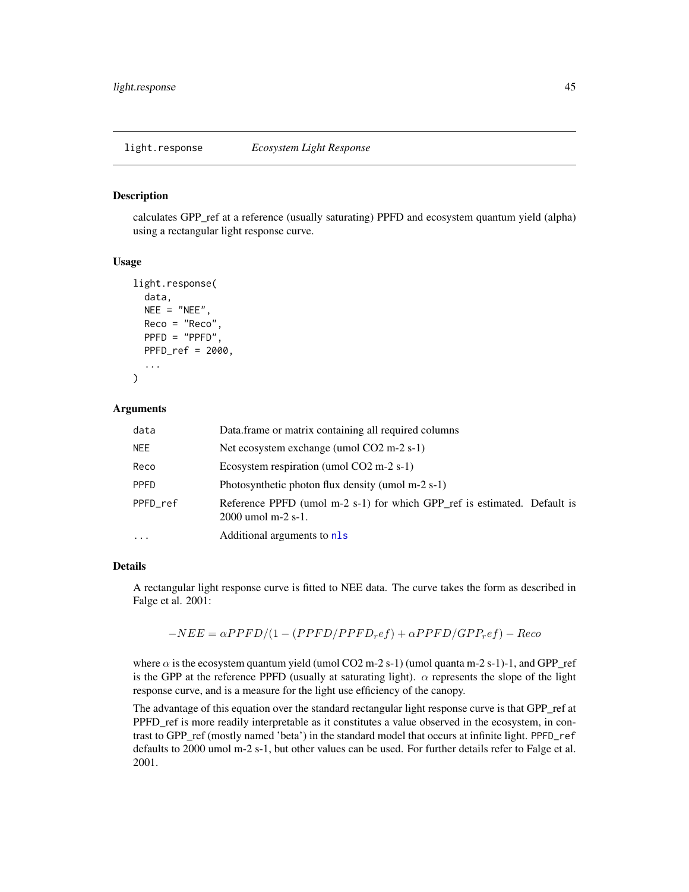#### Description

calculates GPP\_ref at a reference (usually saturating) PPFD and ecosystem quantum yield (alpha) using a rectangular light response curve.

#### Usage

```
light.response(
  data,
  NEE = "NEE",Reco = "Reco",
  PPFD = "PPFD",
  PPFD_ref = 2000,
  ...
\mathcal{L}
```
#### Arguments

| data        | Data.frame or matrix containing all required columns                                             |
|-------------|--------------------------------------------------------------------------------------------------|
| <b>NEE</b>  | Net ecosystem exchange (umol $CO2 \text{ m-}2 \text{ s-}1$ )                                     |
| Reco        | Ecosystem respiration (umol $CO2$ m-2 s-1)                                                       |
| <b>PPFD</b> | Photosynthetic photon flux density (umol m-2 s-1)                                                |
| PPFD ref    | Reference PPFD (umol m-2 s-1) for which GPP_ref is estimated. Default is<br>$2000$ umol m-2 s-1. |
| $\cdot$     | Additional arguments to nls                                                                      |

#### Details

A rectangular light response curve is fitted to NEE data. The curve takes the form as described in Falge et al. 2001:

 $-NEE = \alpha PPFD/(1-(PPFD/PPFD_ref) + \alpha PPFD/GPP_ref) - Reco$ 

where  $\alpha$  is the ecosystem quantum yield (umol CO2 m-2 s-1) (umol quanta m-2 s-1)-1, and GPP\_ref is the GPP at the reference PPFD (usually at saturating light).  $\alpha$  represents the slope of the light response curve, and is a measure for the light use efficiency of the canopy.

The advantage of this equation over the standard rectangular light response curve is that GPP\_ref at PPFD ref is more readily interpretable as it constitutes a value observed in the ecosystem, in contrast to GPP\_ref (mostly named 'beta') in the standard model that occurs at infinite light. PPFD\_ref defaults to 2000 umol m-2 s-1, but other values can be used. For further details refer to Falge et al. 2001.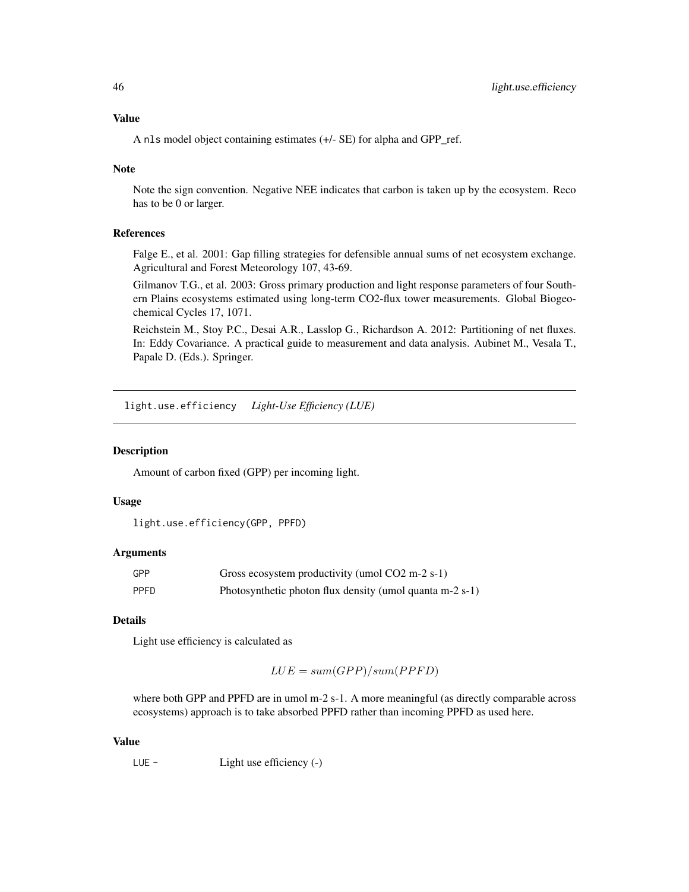# Value

A nls model object containing estimates (+/- SE) for alpha and GPP\_ref.

## Note

Note the sign convention. Negative NEE indicates that carbon is taken up by the ecosystem. Reco has to be 0 or larger.

## References

Falge E., et al. 2001: Gap filling strategies for defensible annual sums of net ecosystem exchange. Agricultural and Forest Meteorology 107, 43-69.

Gilmanov T.G., et al. 2003: Gross primary production and light response parameters of four Southern Plains ecosystems estimated using long-term CO2-flux tower measurements. Global Biogeochemical Cycles 17, 1071.

Reichstein M., Stoy P.C., Desai A.R., Lasslop G., Richardson A. 2012: Partitioning of net fluxes. In: Eddy Covariance. A practical guide to measurement and data analysis. Aubinet M., Vesala T., Papale D. (Eds.). Springer.

light.use.efficiency *Light-Use Efficiency (LUE)*

## Description

Amount of carbon fixed (GPP) per incoming light.

# Usage

```
light.use.efficiency(GPP, PPFD)
```
#### Arguments

| GPP         | Gross ecosystem productivity (umol CO2 m-2 s-1)          |
|-------------|----------------------------------------------------------|
| <b>PPFD</b> | Photosynthetic photon flux density (umol quanta m-2 s-1) |

# Details

Light use efficiency is calculated as

$$
LUE = sum(GPP)/sum(PPFD)
$$

where both GPP and PPFD are in umol m-2 s-1. A more meaningful (as directly comparable across ecosystems) approach is to take absorbed PPFD rather than incoming PPFD as used here.

#### Value

LUE - Light use efficiency (-)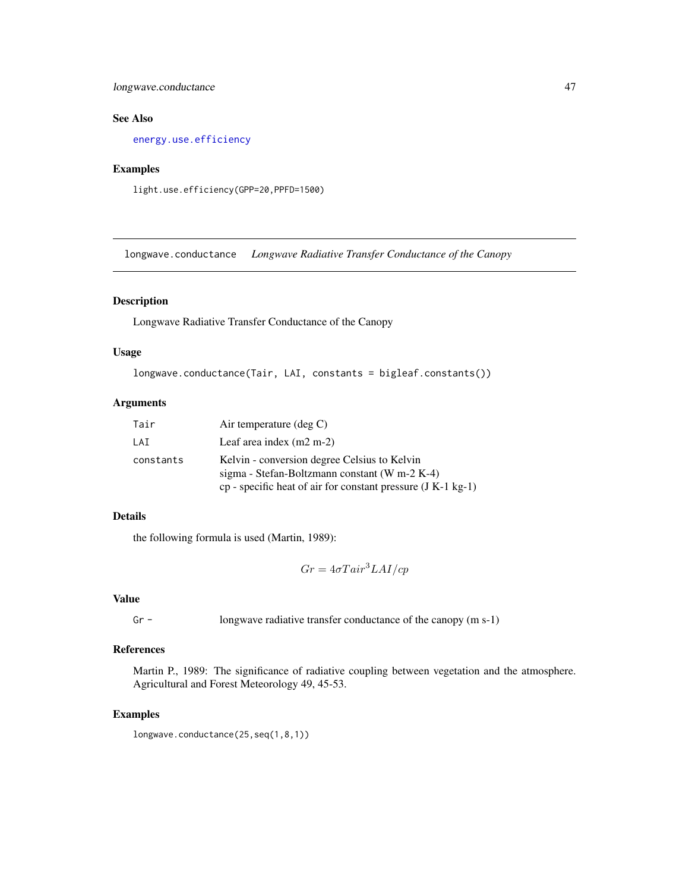# longwave.conductance 47

# See Also

[energy.use.efficiency](#page-20-0)

# Examples

light.use.efficiency(GPP=20,PPFD=1500)

longwave.conductance *Longwave Radiative Transfer Conductance of the Canopy*

# Description

Longwave Radiative Transfer Conductance of the Canopy

# Usage

```
longwave.conductance(Tair, LAI, constants = bigleaf.constants())
```
# Arguments

| Tair      | Air temperature $(\text{deg } C)$                                                                                                                               |
|-----------|-----------------------------------------------------------------------------------------------------------------------------------------------------------------|
| LAI       | Leaf area index $(m2 m-2)$                                                                                                                                      |
| constants | Kelvin - conversion degree Celsius to Kelvin<br>sigma - Stefan-Boltzmann constant (W m-2 K-4)<br>$cp$ - specific heat of air for constant pressure (J K-1 kg-1) |

# Details

the following formula is used (Martin, 1989):

 $Gr = 4\sigma T a i r^3 L A I/cp$ 

## Value

Gr - longwave radiative transfer conductance of the canopy (m s-1)

# References

Martin P., 1989: The significance of radiative coupling between vegetation and the atmosphere. Agricultural and Forest Meteorology 49, 45-53.

# Examples

longwave.conductance(25,seq(1,8,1))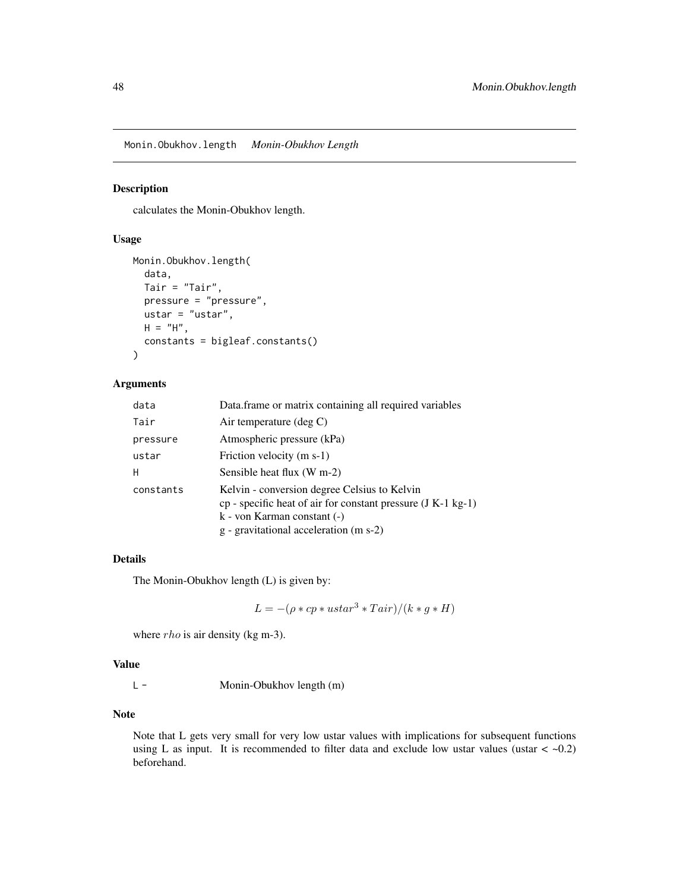<span id="page-47-0"></span>Monin.Obukhov.length *Monin-Obukhov Length*

#### Description

calculates the Monin-Obukhov length.

## Usage

```
Monin.Obukhov.length(
  data,
  Tair = "Tair",
 pressure = "pressure",
 ustar = "ustar",
 H = "H",constants = bigleaf.constants()
\mathcal{E}
```
# Arguments

| data      | Data.frame or matrix containing all required variables                                                                                                                                      |
|-----------|---------------------------------------------------------------------------------------------------------------------------------------------------------------------------------------------|
| Tair      | Air temperature (deg $C$ )                                                                                                                                                                  |
| pressure  | Atmospheric pressure (kPa)                                                                                                                                                                  |
| ustar     | Friction velocity (m s-1)                                                                                                                                                                   |
| H         | Sensible heat flux (W m-2)                                                                                                                                                                  |
| constants | Kelvin - conversion degree Celsius to Kelvin<br>cp - specific heat of air for constant pressure $(J K-1 kg-1)$<br>$k$ - von Karman constant $(-)$<br>g - gravitational acceleration (m s-2) |

## Details

The Monin-Obukhov length (L) is given by:

$$
L = -(\rho * cp * ustar^3 * Tair) / (k * g * H)
$$

where *rho* is air density (kg m-3).

## Value

L - Monin-Obukhov length (m)

# Note

Note that L gets very small for very low ustar values with implications for subsequent functions using L as input. It is recommended to filter data and exclude low ustar values (ustar  $<$  -0.2) beforehand.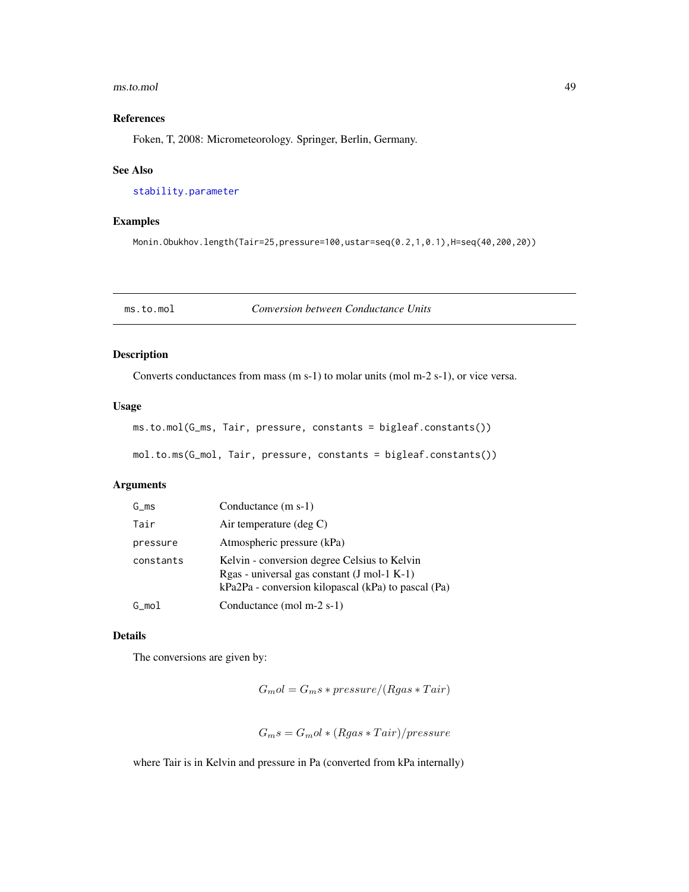#### ms.to.mol 49

# References

Foken, T, 2008: Micrometeorology. Springer, Berlin, Germany.

## See Also

[stability.parameter](#page-70-0)

## Examples

Monin.Obukhov.length(Tair=25,pressure=100,ustar=seq(0.2,1,0.1),H=seq(40,200,20))

ms.to.mol *Conversion between Conductance Units*

## Description

Converts conductances from mass (m s-1) to molar units (mol m-2 s-1), or vice versa.

#### Usage

```
ms.to.mol(G_ms, Tair, pressure, constants = bigleaf.constants())
```

```
mol.to.ms(G_mol, Tair, pressure, constants = bigleaf.constants())
```
# Arguments

| G ms      | Conductance $(m s-1)$                                                                                                                                |
|-----------|------------------------------------------------------------------------------------------------------------------------------------------------------|
| Tair      | Air temperature $(\text{deg } C)$                                                                                                                    |
| pressure  | Atmospheric pressure (kPa)                                                                                                                           |
| constants | Kelvin - conversion degree Celsius to Kelvin<br>$Rgas - universal gas constant (J mol-1 K-1)$<br>kPa2Pa - conversion kilopascal (kPa) to pascal (Pa) |
| G mol     | Conductance (mol m-2 s-1)                                                                                                                            |

## Details

The conversions are given by:

 $G_{m}ol = G_{m}s * pressure/(Rgas * Tair)$ 

 $G_m s = G_m o l * (Rgas * Tair)/pressure$ 

where Tair is in Kelvin and pressure in Pa (converted from kPa internally)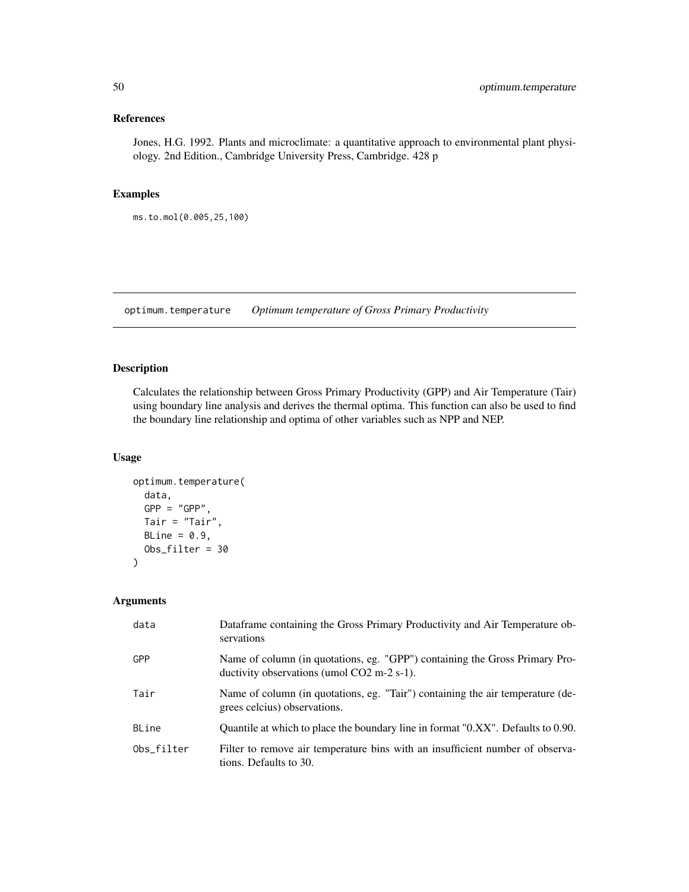# References

Jones, H.G. 1992. Plants and microclimate: a quantitative approach to environmental plant physiology. 2nd Edition., Cambridge University Press, Cambridge. 428 p

# Examples

ms.to.mol(0.005,25,100)

optimum.temperature *Optimum temperature of Gross Primary Productivity*

## Description

Calculates the relationship between Gross Primary Productivity (GPP) and Air Temperature (Tair) using boundary line analysis and derives the thermal optima. This function can also be used to find the boundary line relationship and optima of other variables such as NPP and NEP.

## Usage

```
optimum.temperature(
  data,
  GPP = "GPP".Tair = "Tair",
 BLine = 0.9,
  Obs_filter = 30
\mathcal{L}
```
# Arguments

| data       | Dataframe containing the Gross Primary Productivity and Air Temperature ob-<br>servations                                 |
|------------|---------------------------------------------------------------------------------------------------------------------------|
| GPP        | Name of column (in quotations, eg. "GPP") containing the Gross Primary Pro-<br>ductivity observations (umol CO2 m-2 s-1). |
| Tair       | Name of column (in quotations, eg. "Tair") containing the air temperature (de-<br>grees celcius) observations.            |
| BLine      | Quantile at which to place the boundary line in format "0.XX". Defaults to 0.90.                                          |
| Obs_filter | Filter to remove air temperature bins with an insufficient number of observa-<br>tions. Defaults to 30.                   |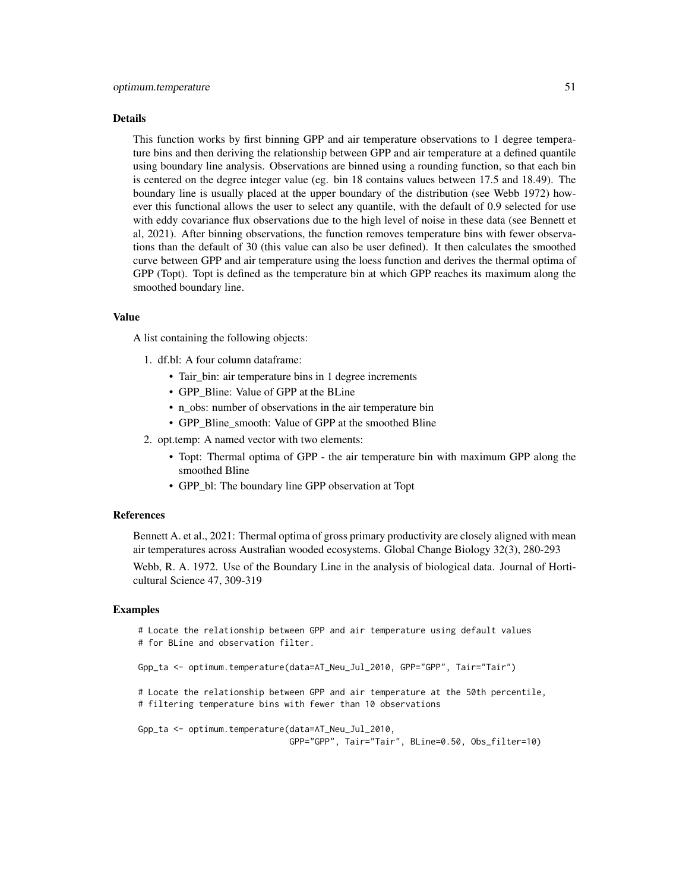#### Details

This function works by first binning GPP and air temperature observations to 1 degree temperature bins and then deriving the relationship between GPP and air temperature at a defined quantile using boundary line analysis. Observations are binned using a rounding function, so that each bin is centered on the degree integer value (eg. bin 18 contains values between 17.5 and 18.49). The boundary line is usually placed at the upper boundary of the distribution (see Webb 1972) however this functional allows the user to select any quantile, with the default of 0.9 selected for use with eddy covariance flux observations due to the high level of noise in these data (see Bennett et al, 2021). After binning observations, the function removes temperature bins with fewer observations than the default of 30 (this value can also be user defined). It then calculates the smoothed curve between GPP and air temperature using the loess function and derives the thermal optima of GPP (Topt). Topt is defined as the temperature bin at which GPP reaches its maximum along the smoothed boundary line.

#### Value

A list containing the following objects:

- 1. df.bl: A four column dataframe:
	- Tair\_bin: air temperature bins in 1 degree increments
	- GPP\_Bline: Value of GPP at the BLine
	- n\_obs: number of observations in the air temperature bin
	- GPP\_Bline\_smooth: Value of GPP at the smoothed Bline
- 2. opt.temp: A named vector with two elements:
	- Topt: Thermal optima of GPP the air temperature bin with maximum GPP along the smoothed Bline
	- GPP\_bl: The boundary line GPP observation at Topt

#### References

Bennett A. et al., 2021: Thermal optima of gross primary productivity are closely aligned with mean air temperatures across Australian wooded ecosystems. Global Change Biology 32(3), 280-293

Webb, R. A. 1972. Use of the Boundary Line in the analysis of biological data. Journal of Horticultural Science 47, 309-319

#### Examples

# Locate the relationship between GPP and air temperature using default values # for BLine and observation filter.

Gpp\_ta <- optimum.temperature(data=AT\_Neu\_Jul\_2010, GPP="GPP", Tair="Tair")

# Locate the relationship between GPP and air temperature at the 50th percentile, # filtering temperature bins with fewer than 10 observations

```
Gpp_ta <- optimum.temperature(data=AT_Neu_Jul_2010,
                              GPP="GPP", Tair="Tair", BLine=0.50, Obs_filter=10)
```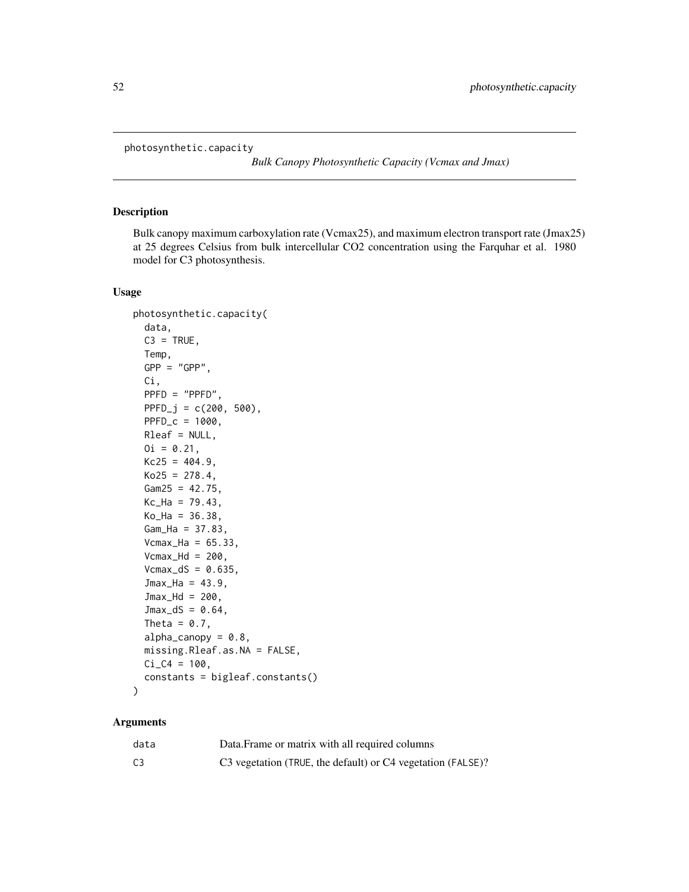photosynthetic.capacity

*Bulk Canopy Photosynthetic Capacity (Vcmax and Jmax)*

## Description

Bulk canopy maximum carboxylation rate (Vcmax25), and maximum electron transport rate (Jmax25) at 25 degrees Celsius from bulk intercellular CO2 concentration using the Farquhar et al. 1980 model for C3 photosynthesis.

# Usage

```
photosynthetic.capacity(
  data,
  C3 = TRUE,Temp,
  GPP = "GPP".Ci,
 PPFD = "PPFD",
 PPFD_j = c(200, 500),
 PPFD_c = 1000,
 Rleaf = NULL,
 0i = 0.21,Kc25 = 404.9,
 Ko25 = 278.4,
 Gam25 = 42.75,
 Kc_{Ha} = 79.43,
 Ko_{Ha} = 36.38,
 Gam_Ha = 37.83,Vcmax_Ha = 65.33,
  Vcmax_Hd = 200,
  Vcmax_dS = 0.635,
  Jmax_Ha = 43.9,
  Jmax_Hd = 200,
  Jmax_d = 0.64,
  Theta = 0.7,
  alpha\_canopy = 0.8,
 missing.Rleaf.as.NA = FALSE,
 Ci_C4 = 100,constants = bigleaf.constants()
)
```
## Arguments

| data           | Data. Frame or matrix with all required columns             |
|----------------|-------------------------------------------------------------|
| C <sub>3</sub> | C3 vegetation (TRUE, the default) or C4 vegetation (FALSE)? |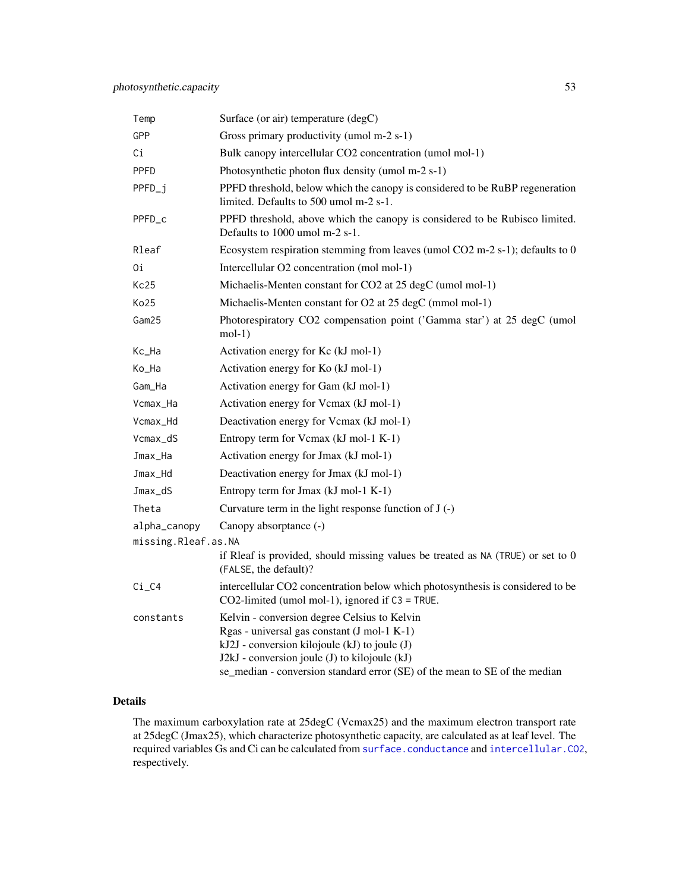| Temp                | Surface (or air) temperature (degC)                                                                                                                                                                                                                                         |
|---------------------|-----------------------------------------------------------------------------------------------------------------------------------------------------------------------------------------------------------------------------------------------------------------------------|
| GPP                 | Gross primary productivity (umol m-2 s-1)                                                                                                                                                                                                                                   |
| Сi                  | Bulk canopy intercellular CO2 concentration (umol mol-1)                                                                                                                                                                                                                    |
| PPFD                | Photosynthetic photon flux density (umol m-2 s-1)                                                                                                                                                                                                                           |
| PPFD_i              | PPFD threshold, below which the canopy is considered to be RuBP regeneration<br>limited. Defaults to 500 umol m-2 s-1.                                                                                                                                                      |
| PPFD_c              | PPFD threshold, above which the canopy is considered to be Rubisco limited.<br>Defaults to 1000 umol m-2 s-1.                                                                                                                                                               |
| Rleaf               | Ecosystem respiration stemming from leaves (umol CO2 m-2 s-1); defaults to 0                                                                                                                                                                                                |
| 0i                  | Intercellular O2 concentration (mol mol-1)                                                                                                                                                                                                                                  |
| Kc25                | Michaelis-Menten constant for CO2 at 25 degC (umol mol-1)                                                                                                                                                                                                                   |
| Ko25                | Michaelis-Menten constant for O2 at 25 degC (mmol mol-1)                                                                                                                                                                                                                    |
| Gam25               | Photorespiratory CO2 compensation point ('Gamma star') at 25 degC (umol<br>$mol-1)$                                                                                                                                                                                         |
| Kc_Ha               | Activation energy for Kc (kJ mol-1)                                                                                                                                                                                                                                         |
| Ko_Ha               | Activation energy for Ko (kJ mol-1)                                                                                                                                                                                                                                         |
| Gam_Ha              | Activation energy for Gam (kJ mol-1)                                                                                                                                                                                                                                        |
| Vcmax_Ha            | Activation energy for Vcmax (kJ mol-1)                                                                                                                                                                                                                                      |
| Vcmax_Hd            | Deactivation energy for Vcmax (kJ mol-1)                                                                                                                                                                                                                                    |
| Vcmax_dS            | Entropy term for Vcmax (kJ mol-1 K-1)                                                                                                                                                                                                                                       |
| Jmax_Ha             | Activation energy for Jmax (kJ mol-1)                                                                                                                                                                                                                                       |
| Jmax_Hd             | Deactivation energy for Jmax (kJ mol-1)                                                                                                                                                                                                                                     |
| Jmax_dS             | Entropy term for Jmax (kJ mol-1 K-1)                                                                                                                                                                                                                                        |
| Theta               | Curvature term in the light response function of $J(-)$                                                                                                                                                                                                                     |
| alpha_canopy        | Canopy absorptance (-)                                                                                                                                                                                                                                                      |
| missing.Rleaf.as.NA |                                                                                                                                                                                                                                                                             |
|                     | if Rleaf is provided, should missing values be treated as $NA$ (TRUE) or set to $0$<br>(FALSE, the default)?                                                                                                                                                                |
| Ci_C4               | intercellular CO2 concentration below which photosynthesis is considered to be<br>CO2-limited (umol mol-1), ignored if $C3 = TRUE$ .                                                                                                                                        |
| constants           | Kelvin - conversion degree Celsius to Kelvin<br>Rgas - universal gas constant (J mol-1 K-1)<br>kJ2J - conversion kilojoule (kJ) to joule (J)<br>J2kJ - conversion joule (J) to kilojoule (kJ)<br>se_median - conversion standard error (SE) of the mean to SE of the median |

# Details

The maximum carboxylation rate at 25degC (Vcmax25) and the maximum electron transport rate at 25degC (Jmax25), which characterize photosynthetic capacity, are calculated as at leaf level. The required variables Gs and Ci can be calculated from [surface.conductance](#page-79-0) and [intercellular.CO2](#page-37-0), respectively.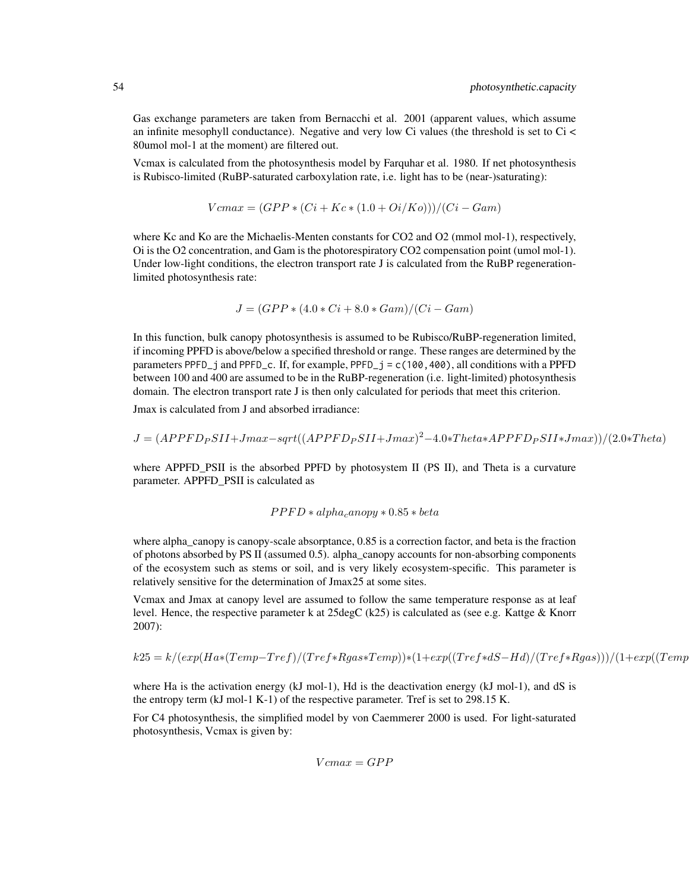Gas exchange parameters are taken from Bernacchi et al. 2001 (apparent values, which assume an infinite mesophyll conductance). Negative and very low Ci values (the threshold is set to Ci < 80umol mol-1 at the moment) are filtered out.

Vcmax is calculated from the photosynthesis model by Farquhar et al. 1980. If net photosynthesis is Rubisco-limited (RuBP-saturated carboxylation rate, i.e. light has to be (near-)saturating):

$$
Vcmax = (GPP * (Ci + Kc * (1.0 + Oi/Ko)))/(Ci - Gam)
$$

where Kc and Ko are the Michaelis-Menten constants for CO2 and O2 (mmol mol-1), respectively, Oi is the O2 concentration, and Gam is the photorespiratory CO2 compensation point (umol mol-1). Under low-light conditions, the electron transport rate J is calculated from the RuBP regenerationlimited photosynthesis rate:

$$
J = (GPP * (4.0 * Ci + 8.0 * Gam)/(Ci - Gam)
$$

In this function, bulk canopy photosynthesis is assumed to be Rubisco/RuBP-regeneration limited, if incoming PPFD is above/below a specified threshold or range. These ranges are determined by the parameters PPFD<sub>-j</sub> and PPFD<sub>-c</sub>. If, for example, PPFD<sub>-j</sub> =  $c(100, 400)$ , all conditions with a PPFD between 100 and 400 are assumed to be in the RuBP-regeneration (i.e. light-limited) photosynthesis domain. The electron transport rate J is then only calculated for periods that meet this criterion.

Jmax is calculated from J and absorbed irradiance:

$$
J = (APPF D_P S II + J max - sqrt((APPF D_P S II + J max)^2 - 4.0 * The tax AP P F D_P S II * J max))/(2.0 * The tax P F D_P S II * J max)
$$

where APPFD\_PSII is the absorbed PPFD by photosystem II (PS II), and Theta is a curvature parameter. APPFD\_PSII is calculated as

#### $PPFD * alpha$ <sub>c</sub>anopy  $* 0.85 * beta$

where alpha\_canopy is canopy-scale absorptance, 0.85 is a correction factor, and beta is the fraction of photons absorbed by PS II (assumed 0.5). alpha\_canopy accounts for non-absorbing components of the ecosystem such as stems or soil, and is very likely ecosystem-specific. This parameter is relatively sensitive for the determination of Jmax25 at some sites.

Vcmax and Jmax at canopy level are assumed to follow the same temperature response as at leaf level. Hence, the respective parameter k at 25degC (k25) is calculated as (see e.g. Kattge & Knorr 2007):

$$
k25 = k/(exp(Ha*(Temp-Tref)/(Tref*Rgas*Temp))*(1+exp((Tref*dS-Hd)/(Tref*Rgas)))/(1+exp((TempDf*Rgs/\#Hc)))
$$

where Ha is the activation energy (kJ mol-1), Hd is the deactivation energy (kJ mol-1), and dS is the entropy term (kJ mol-1 K-1) of the respective parameter. Tref is set to 298.15 K.

For C4 photosynthesis, the simplified model by von Caemmerer 2000 is used. For light-saturated photosynthesis, Vcmax is given by:

 $Vcmax = GPP$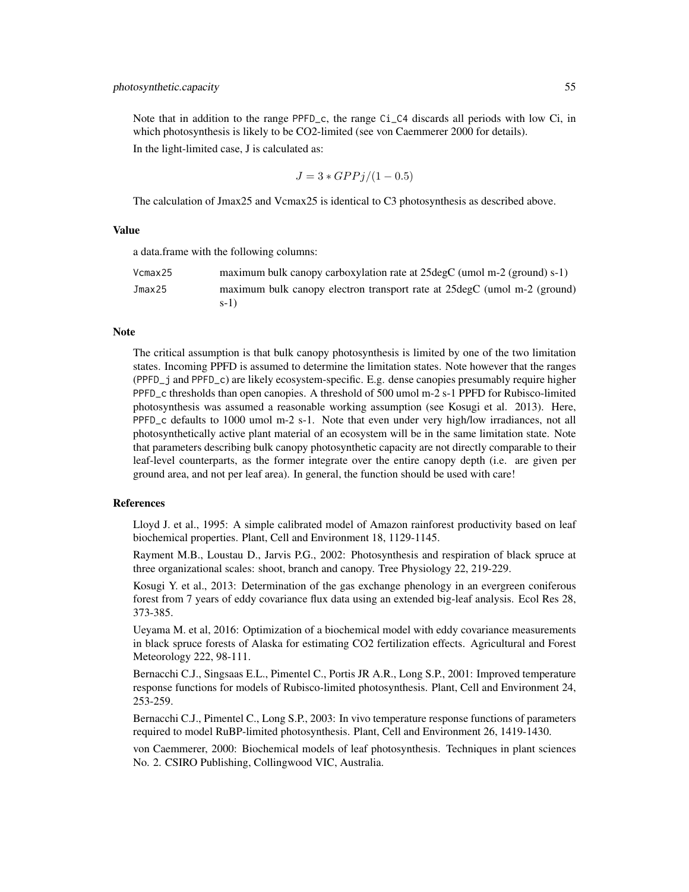Note that in addition to the range PPFD<sub>-</sub>c, the range  $Ci$ - $C4$  discards all periods with low  $Ci$ , in which photosynthesis is likely to be CO2-limited (see von Caemmerer 2000 for details). In the light-limited case, J is calculated as:

$$
J = 3 * GPPj/(1 - 0.5)
$$

The calculation of Jmax25 and Vcmax25 is identical to C3 photosynthesis as described above.

## Value

a data.frame with the following columns:

| Vcmax25 | maximum bulk canopy carboxylation rate at 25 degC (umol m-2 (ground) s-1) |
|---------|---------------------------------------------------------------------------|
| Jmax25  | maximum bulk canopy electron transport rate at 25 degC (umol m-2 (ground) |
|         | $s-1$ )                                                                   |

#### Note

The critical assumption is that bulk canopy photosynthesis is limited by one of the two limitation states. Incoming PPFD is assumed to determine the limitation states. Note however that the ranges (PPFD\_j and PPFD\_c) are likely ecosystem-specific. E.g. dense canopies presumably require higher PPFD\_c thresholds than open canopies. A threshold of 500 umol m-2 s-1 PPFD for Rubisco-limited photosynthesis was assumed a reasonable working assumption (see Kosugi et al. 2013). Here, PPFD\_c defaults to 1000 umol m-2 s-1. Note that even under very high/low irradiances, not all photosynthetically active plant material of an ecosystem will be in the same limitation state. Note that parameters describing bulk canopy photosynthetic capacity are not directly comparable to their leaf-level counterparts, as the former integrate over the entire canopy depth (i.e. are given per ground area, and not per leaf area). In general, the function should be used with care!

## References

Lloyd J. et al., 1995: A simple calibrated model of Amazon rainforest productivity based on leaf biochemical properties. Plant, Cell and Environment 18, 1129-1145.

Rayment M.B., Loustau D., Jarvis P.G., 2002: Photosynthesis and respiration of black spruce at three organizational scales: shoot, branch and canopy. Tree Physiology 22, 219-229.

Kosugi Y. et al., 2013: Determination of the gas exchange phenology in an evergreen coniferous forest from 7 years of eddy covariance flux data using an extended big-leaf analysis. Ecol Res 28, 373-385.

Ueyama M. et al, 2016: Optimization of a biochemical model with eddy covariance measurements in black spruce forests of Alaska for estimating CO2 fertilization effects. Agricultural and Forest Meteorology 222, 98-111.

Bernacchi C.J., Singsaas E.L., Pimentel C., Portis JR A.R., Long S.P., 2001: Improved temperature response functions for models of Rubisco-limited photosynthesis. Plant, Cell and Environment 24, 253-259.

Bernacchi C.J., Pimentel C., Long S.P., 2003: In vivo temperature response functions of parameters required to model RuBP-limited photosynthesis. Plant, Cell and Environment 26, 1419-1430.

von Caemmerer, 2000: Biochemical models of leaf photosynthesis. Techniques in plant sciences No. 2. CSIRO Publishing, Collingwood VIC, Australia.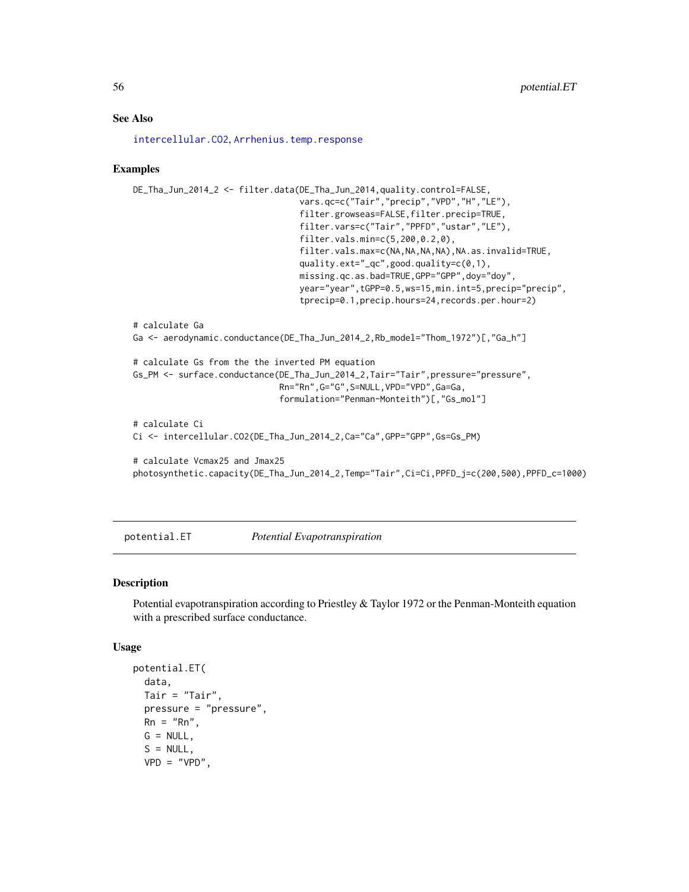## See Also

[intercellular.CO2](#page-37-0), [Arrhenius.temp.response](#page-8-0)

## Examples

```
DE_Tha_Jun_2014_2 <- filter.data(DE_Tha_Jun_2014,quality.control=FALSE,
                                 vars.qc=c("Tair","precip","VPD","H","LE"),
                                 filter.growseas=FALSE,filter.precip=TRUE,
                                 filter.vars=c("Tair","PPFD","ustar","LE"),
                                 filter.vals.min=c(5,200,0.2,0),
                                 filter.vals.max=c(NA,NA,NA,NA),NA.as.invalid=TRUE,
                                 quality.ext="_qc",good.quality=c(0,1),
                                 missing.qc.as.bad=TRUE,GPP="GPP",doy="doy",
                                 year="year",tGPP=0.5,ws=15,min.int=5,precip="precip",
                                 tprecip=0.1,precip.hours=24,records.per.hour=2)
# calculate Ga
Ga <- aerodynamic.conductance(DE_Tha_Jun_2014_2,Rb_model="Thom_1972")[,"Ga_h"]
# calculate Gs from the the inverted PM equation
Gs_PM <- surface.conductance(DE_Tha_Jun_2014_2,Tair="Tair",pressure="pressure",
                             Rn="Rn",G="G",S=NULL,VPD="VPD",Ga=Ga,
                             formulation="Penman-Monteith")[,"Gs_mol"]
# calculate Ci
Ci <- intercellular.CO2(DE_Tha_Jun_2014_2,Ca="Ca",GPP="GPP",Gs=Gs_PM)
# calculate Vcmax25 and Jmax25
photosynthetic.capacity(DE_Tha_Jun_2014_2,Temp="Tair",Ci=Ci,PPFD_j=c(200,500),PPFD_c=1000)
```
potential.ET *Potential Evapotranspiration*

## Description

Potential evapotranspiration according to Priestley & Taylor 1972 or the Penman-Monteith equation with a prescribed surface conductance.

#### Usage

```
potential.ET(
 data,
 Tair = "Tair",
 pressure = "pressure",
 Rn = "Rn".G = NULL,S = NULL,VPD = "VPD",
```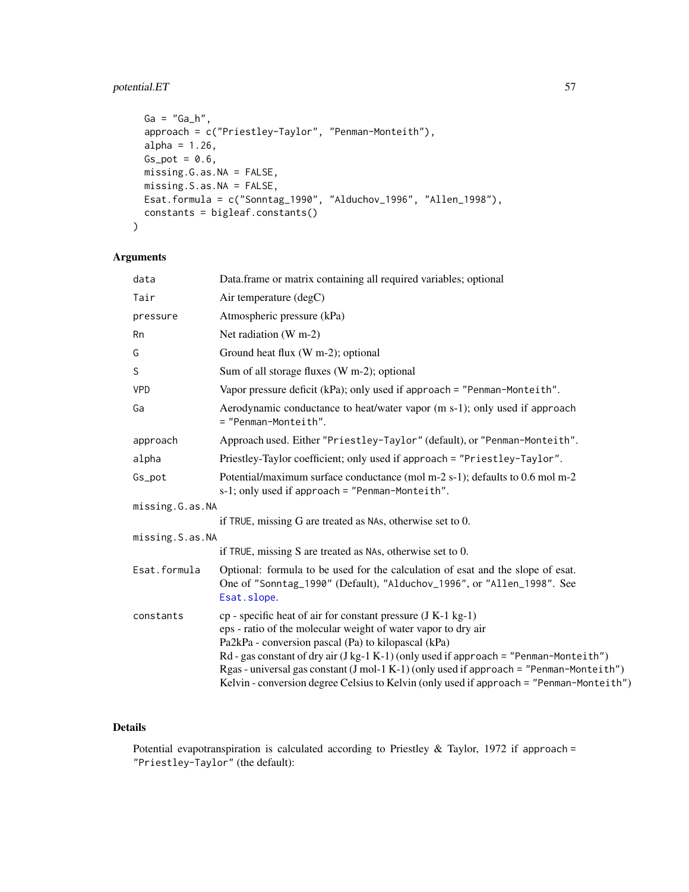# potential.ET 57

```
Ga = "Ga_h",approach = c("Priestley-Taylor", "Penman-Monteith"),
 alpha = 1.26,
 Gs\_pot = 0.6,
 missing.G.as.NA = FALSE,
 missing.S.as.NA = FALSE,
 Esat.formula = c("Sonntag_1990", "Alduchov_1996", "Allen_1998"),
 constants = bigleaf.constants()
)
```
# Arguments

| data            | Data.frame or matrix containing all required variables; optional                                                                                                                                                                                                                                                                                                                                                                                                           |
|-----------------|----------------------------------------------------------------------------------------------------------------------------------------------------------------------------------------------------------------------------------------------------------------------------------------------------------------------------------------------------------------------------------------------------------------------------------------------------------------------------|
| Tair            | Air temperature (degC)                                                                                                                                                                                                                                                                                                                                                                                                                                                     |
| pressure        | Atmospheric pressure (kPa)                                                                                                                                                                                                                                                                                                                                                                                                                                                 |
| Rn              | Net radiation (W m-2)                                                                                                                                                                                                                                                                                                                                                                                                                                                      |
| G               | Ground heat flux (W m-2); optional                                                                                                                                                                                                                                                                                                                                                                                                                                         |
| S               | Sum of all storage fluxes (W m-2); optional                                                                                                                                                                                                                                                                                                                                                                                                                                |
| <b>VPD</b>      | Vapor pressure deficit (kPa); only used if approach = "Penman-Monteith".                                                                                                                                                                                                                                                                                                                                                                                                   |
| Ga              | Aerodynamic conductance to heat/water vapor (m s-1); only used if approach<br>= "Penman-Monteith".                                                                                                                                                                                                                                                                                                                                                                         |
| approach        | Approach used. Either "Priestley-Taylor" (default), or "Penman-Monteith".                                                                                                                                                                                                                                                                                                                                                                                                  |
| alpha           | Priestley-Taylor coefficient; only used if approach = "Priestley-Taylor".                                                                                                                                                                                                                                                                                                                                                                                                  |
| Gs_pot          | Potential/maximum surface conductance (mol m-2 s-1); defaults to 0.6 mol m-2<br>$s-1$ ; only used if approach = "Penman-Monteith".                                                                                                                                                                                                                                                                                                                                         |
| missing.G.as.NA |                                                                                                                                                                                                                                                                                                                                                                                                                                                                            |
|                 | if TRUE, missing G are treated as NAs, otherwise set to 0.                                                                                                                                                                                                                                                                                                                                                                                                                 |
| missing.S.as.NA |                                                                                                                                                                                                                                                                                                                                                                                                                                                                            |
|                 | if TRUE, missing S are treated as NAs, otherwise set to 0.                                                                                                                                                                                                                                                                                                                                                                                                                 |
| Esat.formula    | Optional: formula to be used for the calculation of esat and the slope of esat.<br>One of "Sonntag_1990" (Default), "Alduchov_1996", or "Allen_1998". See<br>Esat.slope.                                                                                                                                                                                                                                                                                                   |
| constants       | $cp$ - specific heat of air for constant pressure $(J K-1 kg-1)$<br>eps - ratio of the molecular weight of water vapor to dry air<br>Pa2kPa - conversion pascal (Pa) to kilopascal (kPa)<br>$Rd$ - gas constant of dry air (J kg-1 K-1) (only used if approach = "Penman-Monteith")<br>Rgas-universal gas constant $(J mol-1 K-1)$ (only used if approach = "Penman-Monteith")<br>Kelvin - conversion degree Celsius to Kelvin (only used if approach = "Penman-Monteith") |

# Details

Potential evapotranspiration is calculated according to Priestley & Taylor, 1972 if approach = "Priestley-Taylor" (the default):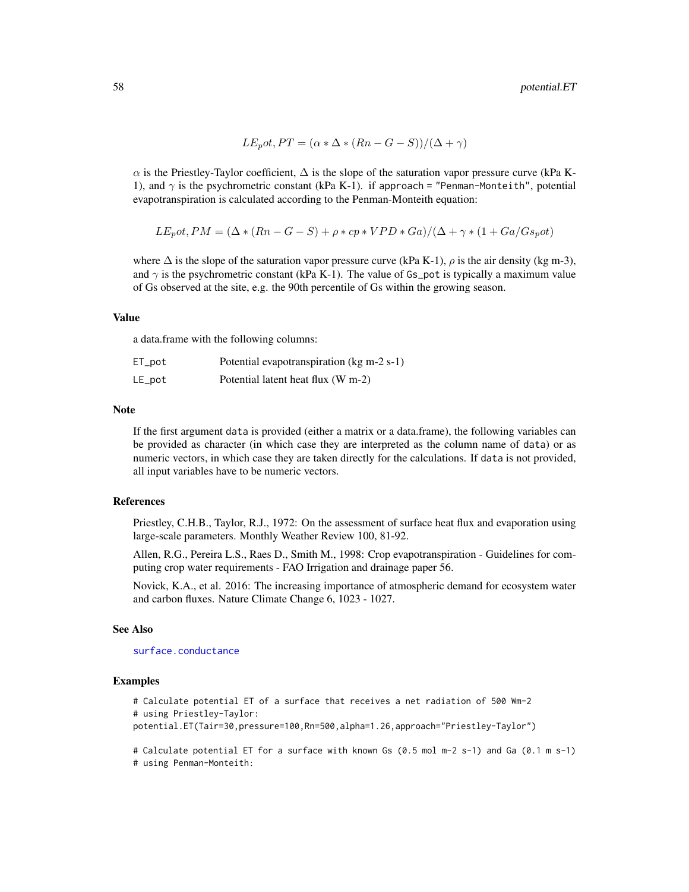$$
LEpot, PT = (\alpha * \Delta * (Rn - G - S))/(\Delta + \gamma)
$$

 $\alpha$  is the Priestley-Taylor coefficient,  $\Delta$  is the slope of the saturation vapor pressure curve (kPa K-1), and  $\gamma$  is the psychrometric constant (kPa K-1). if approach = "Penman-Monteith", potential evapotranspiration is calculated according to the Penman-Monteith equation:

$$
LEpot, PM = (\Delta * (Rn - G - S) + \rho * cp * VPD * Ga)/(\Delta + \gamma * (1 + Ga/Gspot)
$$

where  $\Delta$  is the slope of the saturation vapor pressure curve (kPa K-1),  $\rho$  is the air density (kg m-3), and  $\gamma$  is the psychrometric constant (kPa K-1). The value of Gs\_pot is typically a maximum value of Gs observed at the site, e.g. the 90th percentile of Gs within the growing season.

#### Value

a data.frame with the following columns:

| $ET\_pot$ | Potential evapotranspiration (kg m-2 s-1) |
|-----------|-------------------------------------------|
| $LE\_pot$ | Potential latent heat flux (W m-2)        |

#### Note

If the first argument data is provided (either a matrix or a data.frame), the following variables can be provided as character (in which case they are interpreted as the column name of data) or as numeric vectors, in which case they are taken directly for the calculations. If data is not provided, all input variables have to be numeric vectors.

### References

Priestley, C.H.B., Taylor, R.J., 1972: On the assessment of surface heat flux and evaporation using large-scale parameters. Monthly Weather Review 100, 81-92.

Allen, R.G., Pereira L.S., Raes D., Smith M., 1998: Crop evapotranspiration - Guidelines for computing crop water requirements - FAO Irrigation and drainage paper 56.

Novick, K.A., et al. 2016: The increasing importance of atmospheric demand for ecosystem water and carbon fluxes. Nature Climate Change 6, 1023 - 1027.

## See Also

[surface.conductance](#page-79-0)

#### Examples

```
# Calculate potential ET of a surface that receives a net radiation of 500 Wm-2
# using Priestley-Taylor:
potential.ET(Tair=30,pressure=100,Rn=500,alpha=1.26,approach="Priestley-Taylor")
```
# Calculate potential ET for a surface with known Gs (0.5 mol m-2 s-1) and Ga (0.1 m s-1)

# using Penman-Monteith: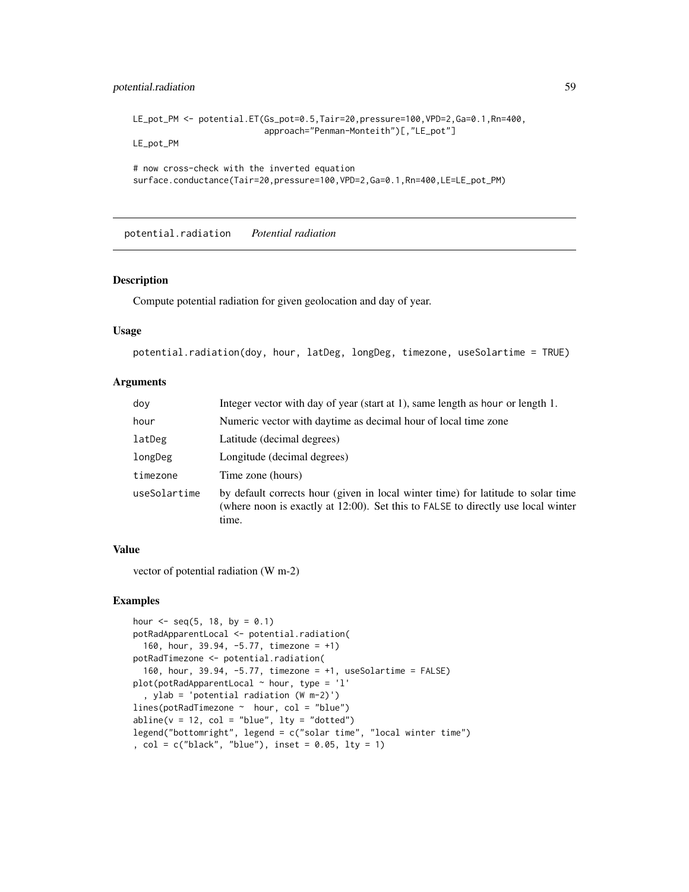# potential.radiation 59

```
LE_pot_PM <- potential.ET(Gs_pot=0.5,Tair=20,pressure=100,VPD=2,Ga=0.1,Rn=400,
                          approach="Penman-Monteith")[,"LE_pot"]
LE_pot_PM
```

```
# now cross-check with the inverted equation
surface.conductance(Tair=20,pressure=100,VPD=2,Ga=0.1,Rn=400,LE=LE_pot_PM)
```
potential.radiation *Potential radiation*

## Description

Compute potential radiation for given geolocation and day of year.

## Usage

```
potential.radiation(doy, hour, latDeg, longDeg, timezone, useSolartime = TRUE)
```
#### Arguments

| doy          | Integer vector with day of year (start at 1), same length as hour or length 1.                                                                                                |
|--------------|-------------------------------------------------------------------------------------------------------------------------------------------------------------------------------|
| hour         | Numeric vector with daytime as decimal hour of local time zone                                                                                                                |
| latDeg       | Latitude (decimal degrees)                                                                                                                                                    |
| longDeg      | Longitude (decimal degrees)                                                                                                                                                   |
| timezone     | Time zone (hours)                                                                                                                                                             |
| useSolartime | by default corrects hour (given in local winter time) for latitude to solar time<br>(where noon is exactly at 12:00). Set this to FALSE to directly use local winter<br>time. |

## Value

vector of potential radiation (W m-2)

# Examples

```
hour \leq - seq(5, 18, by = 0.1)
potRadApparentLocal <- potential.radiation(
  160, hour, 39.94, -5.77, timezone = +1)
potRadTimezone <- potential.radiation(
  160, hour, 39.94, -5.77, timezone = +1, useSolartime = FALSE)
plot(potRadApparentLocal ~ ~ hour, type = 'l', ylab = 'potential radiation (W m-2)')
lines(potRadTimezone ~ hour, col = "blue")
abline(v = 12, col = "blue", lty = "dotted")legend("bottomright", legend = c("solar time", "local winter time")
, col = c("black", "blue"), inset = 0.05, lty = 1)
```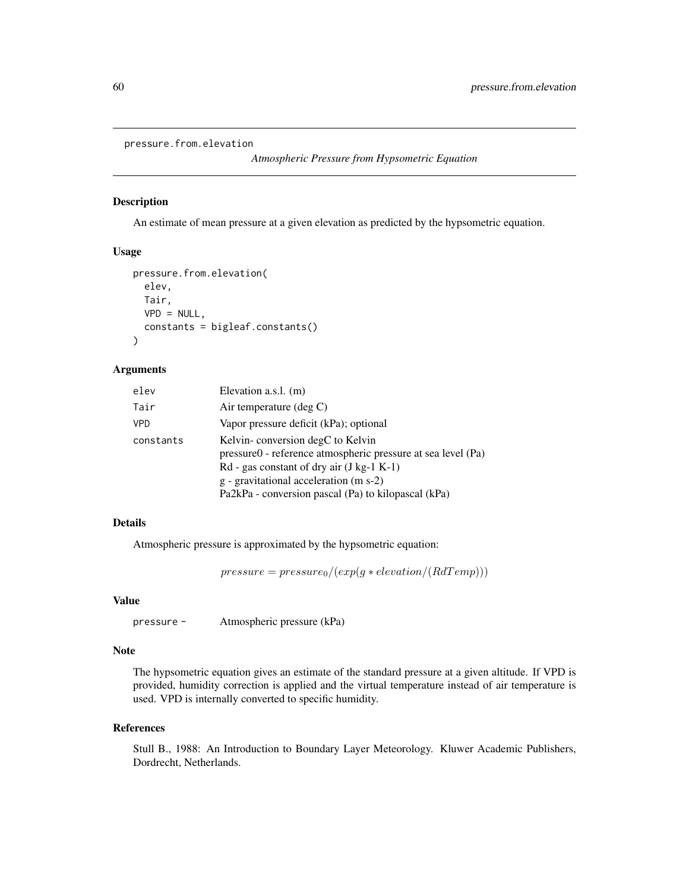```
pressure.from.elevation
```

```
Atmospheric Pressure from Hypsometric Equation
```
#### Description

An estimate of mean pressure at a given elevation as predicted by the hypsometric equation.

## Usage

```
pressure.from.elevation(
  elev,
  Tair,
  VPD = NULL,constants = bigleaf.constants()
\mathcal{L}
```
# Arguments

| elev       | Elevation a.s.l. (m)                                         |
|------------|--------------------------------------------------------------|
| Tair       | Air temperature $(\text{deg } C)$                            |
| <b>VPD</b> | Vapor pressure deficit (kPa); optional                       |
| constants  | Kelvin-conversion degC to Kelvin                             |
|            | pressure0 - reference atmospheric pressure at sea level (Pa) |
|            | $Rd$ - gas constant of dry air (J kg-1 K-1)                  |
|            | g - gravitational acceleration (m s-2)                       |
|            | Pa2kPa - conversion pascal (Pa) to kilopascal (kPa)          |

## Details

Atmospheric pressure is approximated by the hypsometric equation:

 $pressure = pressure_0/(exp(g * elevation/(RdTemp)))$ 

## Value

```
pressure - Atmospheric pressure (kPa)
```
## Note

The hypsometric equation gives an estimate of the standard pressure at a given altitude. If VPD is provided, humidity correction is applied and the virtual temperature instead of air temperature is used. VPD is internally converted to specific humidity.

## References

Stull B., 1988: An Introduction to Boundary Layer Meteorology. Kluwer Academic Publishers, Dordrecht, Netherlands.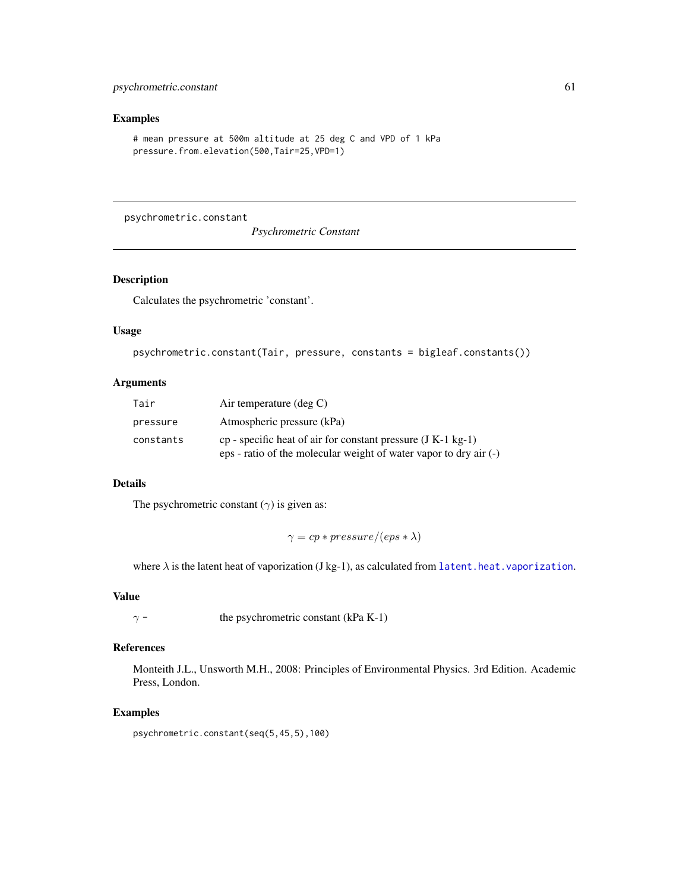# psychrometric.constant 61

# Examples

```
# mean pressure at 500m altitude at 25 deg C and VPD of 1 kPa
pressure.from.elevation(500,Tair=25,VPD=1)
```
psychrometric.constant

*Psychrometric Constant*

# Description

Calculates the psychrometric 'constant'.

## Usage

```
psychrometric.constant(Tair, pressure, constants = bigleaf.constants())
```
## Arguments

| Tair      | Air temperature $(\text{deg } C)$                                 |
|-----------|-------------------------------------------------------------------|
| pressure  | Atmospheric pressure (kPa)                                        |
| constants | cp - specific heat of air for constant pressure $(J K-1 kg-1)$    |
|           | eps - ratio of the molecular weight of water vapor to dry air (-) |

# Details

The psychrometric constant  $(\gamma)$  is given as:

 $\gamma = cp * pressure/(eps * \lambda)$ 

where  $\lambda$  is the latent heat of vaporization (J kg-1), as calculated from [latent.heat.vaporization](#page-42-0).

# Value

 $\gamma$  - the psychrometric constant (kPa K-1)

## References

Monteith J.L., Unsworth M.H., 2008: Principles of Environmental Physics. 3rd Edition. Academic Press, London.

# Examples

psychrometric.constant(seq(5,45,5),100)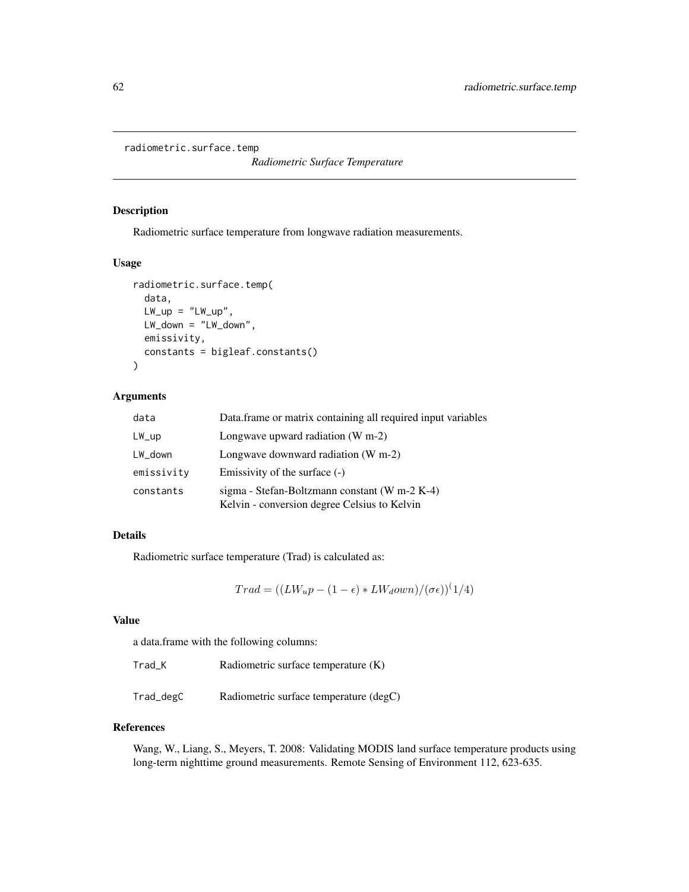```
radiometric.surface.temp
```
*Radiometric Surface Temperature*

## Description

Radiometric surface temperature from longwave radiation measurements.

#### Usage

```
radiometric.surface.temp(
  data,
 LW_{\perp}up = "LW_{\perp}up",LW_down = "LW_down",
  emissivity,
  constants = bigleaf.constants()
)
```
# Arguments

| data            | Data.frame or matrix containing all required input variables                                  |
|-----------------|-----------------------------------------------------------------------------------------------|
| $LW_{\perp}$ up | Longwave upward radiation $(W m-2)$                                                           |
| LW_down         | Longwave downward radiation $(W m-2)$                                                         |
| emissivity      | Emissivity of the surface (-)                                                                 |
| constants       | sigma - Stefan-Boltzmann constant (W m-2 K-4)<br>Kelvin - conversion degree Celsius to Kelvin |

## Details

Radiometric surface temperature (Trad) is calculated as:

 $Trad = ((LW_u p - (1 - \epsilon) * LW_down)/(\sigma \epsilon))$ <sup>(</sup>1/4)

# Value

a data.frame with the following columns:

| Trad K | Radiometric surface temperature $(K)$ |  |
|--------|---------------------------------------|--|
|--------|---------------------------------------|--|

Trad\_degC Radiometric surface temperature (degC)

#### References

Wang, W., Liang, S., Meyers, T. 2008: Validating MODIS land surface temperature products using long-term nighttime ground measurements. Remote Sensing of Environment 112, 623-635.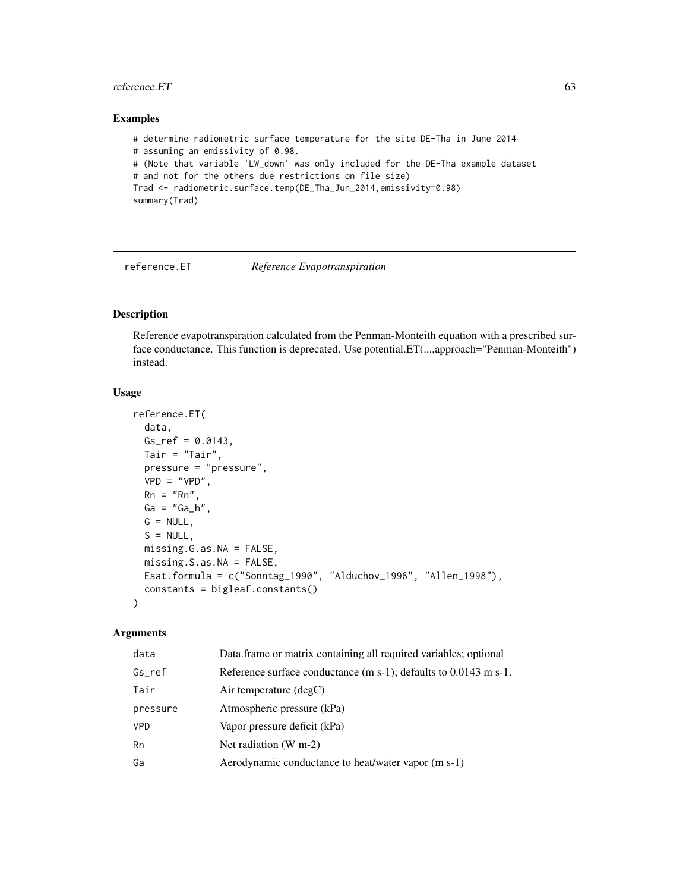#### reference.ET 63

## Examples

# determine radiometric surface temperature for the site DE-Tha in June 2014 # assuming an emissivity of 0.98. # (Note that variable 'LW\_down' was only included for the DE-Tha example dataset # and not for the others due restrictions on file size) Trad <- radiometric.surface.temp(DE\_Tha\_Jun\_2014,emissivity=0.98) summary(Trad)

reference.ET *Reference Evapotranspiration*

# Description

Reference evapotranspiration calculated from the Penman-Monteith equation with a prescribed surface conductance. This function is deprecated. Use potential. ET(...,approach="Penman-Monteith") instead.

## Usage

```
reference.ET(
 data,
 Gs_ref = 0.0143,Tair = "Tair",
 pressure = "pressure",
 VPD = "VPD",Rn = "Rn",Ga = "Ga_h",G = NULL,S = NULL.
 missing.G.as.NA = FALSE,
 missing.S.as.NA = FALSE,
 Esat.formula = c("Sonntag_1990", "Alduchov_1996", "Allen_1998"),
 constants = bigleaf.constants()
)
```
## Arguments

| data       | Data.frame or matrix containing all required variables; optional    |
|------------|---------------------------------------------------------------------|
| Gs ref     | Reference surface conductance $(m s-1)$ ; defaults to 0.0143 m s-1. |
| Tair       | Air temperature $(\text{deg} C)$                                    |
| pressure   | Atmospheric pressure (kPa)                                          |
| <b>VPD</b> | Vapor pressure deficit (kPa)                                        |
| Rn         | Net radiation $(W m-2)$                                             |
| Ga         | Aerodynamic conductance to heat/water vapor (m s-1)                 |
|            |                                                                     |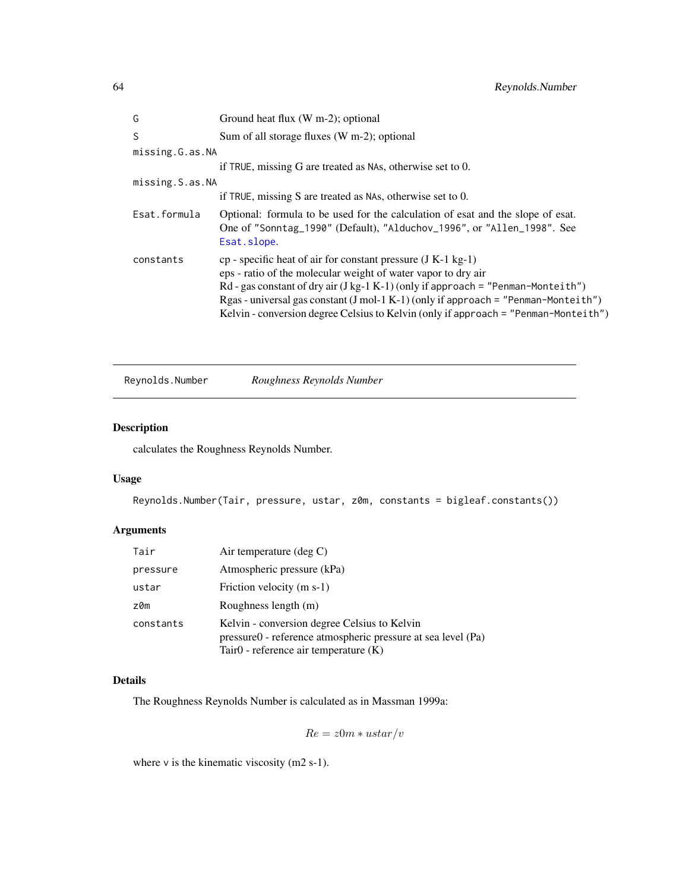| G               | Ground heat flux (W m-2); optional                                                                                                                                                                                                                                                                                                                                                                 |
|-----------------|----------------------------------------------------------------------------------------------------------------------------------------------------------------------------------------------------------------------------------------------------------------------------------------------------------------------------------------------------------------------------------------------------|
| S.              | Sum of all storage fluxes (W m-2); optional                                                                                                                                                                                                                                                                                                                                                        |
| missing.G.as.NA |                                                                                                                                                                                                                                                                                                                                                                                                    |
|                 | if TRUE, missing G are treated as NAs, otherwise set to 0.                                                                                                                                                                                                                                                                                                                                         |
| missing.S.as.NA |                                                                                                                                                                                                                                                                                                                                                                                                    |
|                 | if TRUE, missing S are treated as NAs, otherwise set to $0$ .                                                                                                                                                                                                                                                                                                                                      |
| Esat.formula    | Optional: formula to be used for the calculation of esat and the slope of esat.<br>One of "Sonntag_1990" (Default), "Alduchov_1996", or "Allen_1998". See<br>Esat.slope.                                                                                                                                                                                                                           |
| constants       | $cp$ - specific heat of air for constant pressure (J K-1 kg-1)<br>eps - ratio of the molecular weight of water vapor to dry air<br>Rd - gas constant of dry air $(J kg-1 K-1)$ (only if approach = "Penman-Monteith")<br>Rgas - universal gas constant (J mol-1 K-1) (only if approach = "Penman-Monteith")<br>Kelvin - conversion degree Celsius to Kelvin (only if approach = "Penman-Monteith") |

Reynolds.Number *Roughness Reynolds Number*

# Description

calculates the Roughness Reynolds Number.

# Usage

```
Reynolds.Number(Tair, pressure, ustar, z0m, constants = bigleaf.constants())
```
# Arguments

| Tair      | Air temperature $(\text{deg } C)$                                                                                                                     |
|-----------|-------------------------------------------------------------------------------------------------------------------------------------------------------|
| pressure  | Atmospheric pressure (kPa)                                                                                                                            |
| ustar     | Friction velocity (m s-1)                                                                                                                             |
| z0m       | Roughness length (m)                                                                                                                                  |
| constants | Kelvin - conversion degree Celsius to Kelvin<br>pressure0 - reference atmospheric pressure at sea level (Pa)<br>Tair0 - reference air temperature (K) |

## Details

The Roughness Reynolds Number is calculated as in Massman 1999a:

 $Re = z0m * ustar/v$ 

where  $v$  is the kinematic viscosity (m2 s-1).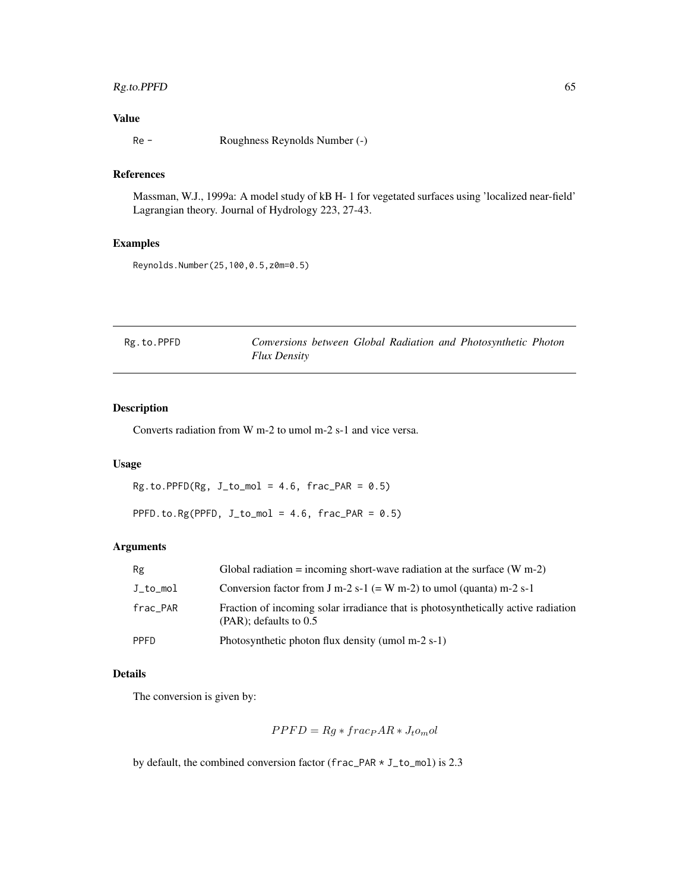# Rg.to.PPFD 65

# Value

Re - Roughness Reynolds Number (-)

# References

Massman, W.J., 1999a: A model study of kB H- 1 for vegetated surfaces using 'localized near-field' Lagrangian theory. Journal of Hydrology 223, 27-43.

# Examples

Reynolds.Number(25,100,0.5,z0m=0.5)

| Rg.to.PPFD |                     |  |  | Conversions between Global Radiation and Photosynthetic Photon |  |
|------------|---------------------|--|--|----------------------------------------------------------------|--|
|            | <b>Flux Density</b> |  |  |                                                                |  |

# Description

Converts radiation from W m-2 to umol m-2 s-1 and vice versa.

## Usage

 $Rg.to.PPFD(Rg, J_to_model = 4.6, frac_PAR = 0.5)$ 

PPFD.to.Rg(PPFD,  $J_to_{mol} = 4.6$ ,  $frac\_PAR = 0.5)$ 

## Arguments

| Rg          | Global radiation = incoming short-wave radiation at the surface $(W m-2)$                                      |
|-------------|----------------------------------------------------------------------------------------------------------------|
| J_to_mol    | Conversion factor from J m-2 s-1 (= W m-2) to umol (quanta) m-2 s-1                                            |
| frac_PAR    | Fraction of incoming solar irradiance that is photosynthetically active radiation<br>$(PAR)$ ; defaults to 0.5 |
| <b>PPFD</b> | Photosynthetic photon flux density (umol m-2 s-1)                                                              |

# Details

The conversion is given by:

$$
PPFD = Rg * frac_{P}AR * J_{t}o_{m}ol
$$

by default, the combined conversion factor (frac\_PAR \* J\_to\_mol) is 2.3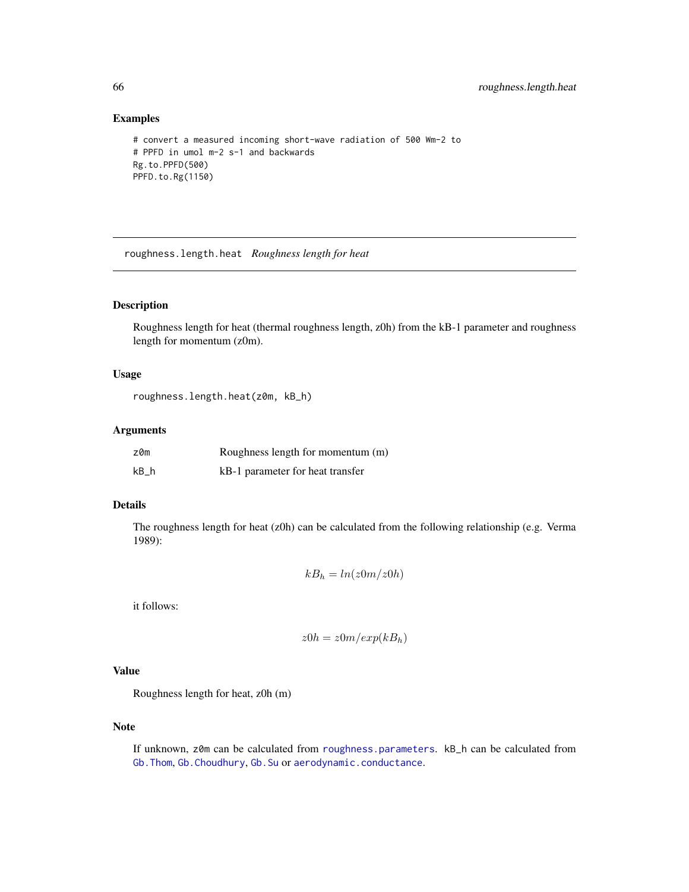# Examples

```
# convert a measured incoming short-wave radiation of 500 Wm-2 to
# PPFD in umol m-2 s-1 and backwards
Rg.to.PPFD(500)
PPFD.to.Rg(1150)
```
roughness.length.heat *Roughness length for heat*

## Description

Roughness length for heat (thermal roughness length, z0h) from the kB-1 parameter and roughness length for momentum (z0m).

## Usage

roughness.length.heat(z0m, kB\_h)

## Arguments

| z0m   | Roughness length for momentum (m) |
|-------|-----------------------------------|
| $kB_$ | kB-1 parameter for heat transfer  |

#### Details

The roughness length for heat  $(z0h)$  can be calculated from the following relationship (e.g. Verma 1989):

$$
kB_h = \ln(z0m/z0h)
$$

it follows:

$$
z0h = z0m/exp(kB_h)
$$

# Value

Roughness length for heat, z0h (m)

# Note

If unknown, z0m can be calculated from [roughness.parameters](#page-66-0). kB\_h can be calculated from [Gb.Thom](#page-36-0), [Gb.Choudhury](#page-30-0), [Gb.Su](#page-33-0) or [aerodynamic.conductance](#page-2-0).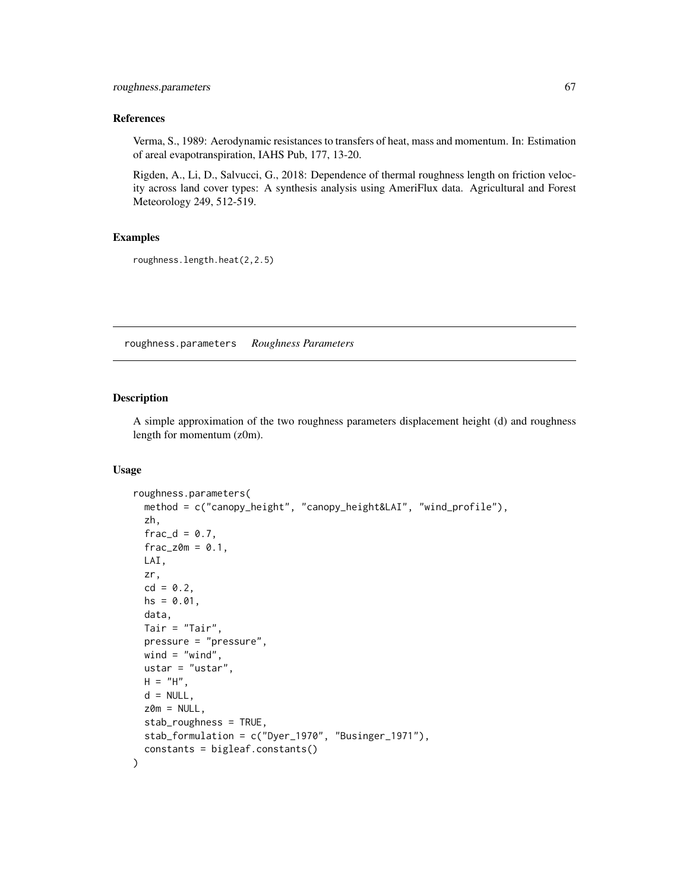## References

Verma, S., 1989: Aerodynamic resistances to transfers of heat, mass and momentum. In: Estimation of areal evapotranspiration, IAHS Pub, 177, 13-20.

Rigden, A., Li, D., Salvucci, G., 2018: Dependence of thermal roughness length on friction velocity across land cover types: A synthesis analysis using AmeriFlux data. Agricultural and Forest Meteorology 249, 512-519.

### Examples

roughness.length.heat(2,2.5)

<span id="page-66-0"></span>roughness.parameters *Roughness Parameters*

#### Description

A simple approximation of the two roughness parameters displacement height (d) and roughness length for momentum (z0m).

## Usage

```
roughness.parameters(
  method = c("canopy_height", "canopy_height&LAI", "wind_profile"),
  zh,
  frac_d = 0.7,
  frac_z=0.1,
 LAI,
  zr,
  cd = 0.2,
 hs = 0.01,
  data,
  Tair = "Tair",
  pressure = "pressure",
 wind = "wind",
 ustar = "ustar",
 H = "H",d = NULL,
 z0m = NULL,
  stab_roughness = TRUE,
  stab_formulation = c("Dyer_1970", "Businger_1971"),
  constants = bigleaf.constants()
)
```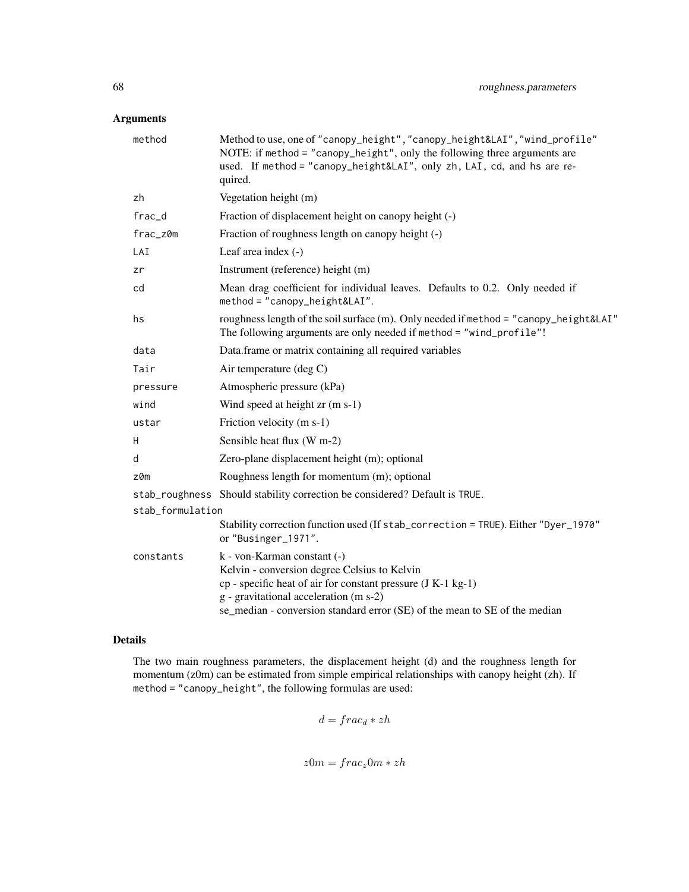# Arguments

| method           | Method to use, one of "canopy_height", "canopy_height&LAI", "wind_profile"<br>NOTE: if method = "canopy_height", only the following three arguments are<br>used. If method = "canopy_height&LAI", only zh, LAI, cd, and hs are re-<br>quired.                           |
|------------------|-------------------------------------------------------------------------------------------------------------------------------------------------------------------------------------------------------------------------------------------------------------------------|
| zh               | Vegetation height (m)                                                                                                                                                                                                                                                   |
| frac_d           | Fraction of displacement height on canopy height (-)                                                                                                                                                                                                                    |
| frac_z0m         | Fraction of roughness length on canopy height (-)                                                                                                                                                                                                                       |
| LAI              | Leaf area index $(-)$                                                                                                                                                                                                                                                   |
| zr               | Instrument (reference) height (m)                                                                                                                                                                                                                                       |
| cd               | Mean drag coefficient for individual leaves. Defaults to 0.2. Only needed if<br>$method = "canopy\_height&LAI".$                                                                                                                                                        |
| hs               | roughness length of the soil surface (m). Only needed if method = "canopy_height&LAI"<br>The following arguments are only needed if method = "wind_profile"!                                                                                                            |
| data             | Data.frame or matrix containing all required variables                                                                                                                                                                                                                  |
| Tair             | Air temperature (deg C)                                                                                                                                                                                                                                                 |
| pressure         | Atmospheric pressure (kPa)                                                                                                                                                                                                                                              |
| wind             | Wind speed at height zr (m s-1)                                                                                                                                                                                                                                         |
| ustar            | Friction velocity (m s-1)                                                                                                                                                                                                                                               |
| Н                | Sensible heat flux (W m-2)                                                                                                                                                                                                                                              |
| d                | Zero-plane displacement height (m); optional                                                                                                                                                                                                                            |
| z0m              | Roughness length for momentum (m); optional                                                                                                                                                                                                                             |
|                  | stab_roughness Should stability correction be considered? Default is TRUE.                                                                                                                                                                                              |
| stab_formulation |                                                                                                                                                                                                                                                                         |
|                  | Stability correction function used (If stab_correction = TRUE). Either "Dyer_1970"<br>or "Businger_1971".                                                                                                                                                               |
| constants        | k - von-Karman constant (-)<br>Kelvin - conversion degree Celsius to Kelvin<br>$cp$ - specific heat of air for constant pressure $(J K-1 kg-1)$<br>g - gravitational acceleration (m s-2)<br>se_median - conversion standard error (SE) of the mean to SE of the median |

# Details

The two main roughness parameters, the displacement height (d) and the roughness length for momentum (z0m) can be estimated from simple empirical relationships with canopy height (zh). If method = "canopy\_height", the following formulas are used:

$$
d = frac_d * zh
$$

$$
z0m = frac_z0m * zh
$$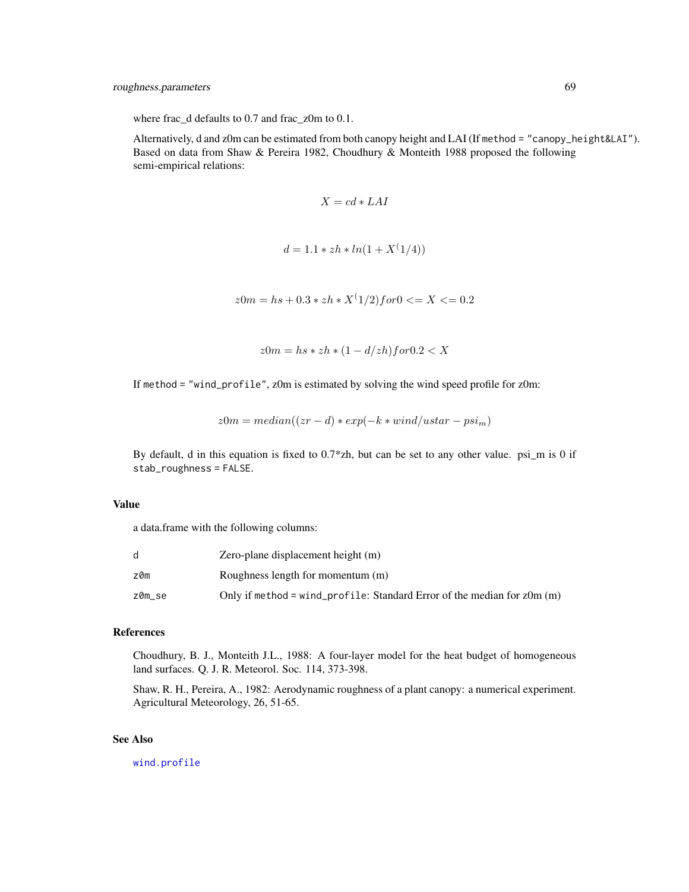where frac\_d defaults to 0.7 and frac\_z0m to 0.1.

Alternatively, d and z0m can be estimated from both canopy height and LAI (If method = "canopy\_height&LAI"). Based on data from Shaw & Pereira 1982, Choudhury & Monteith 1988 proposed the following semi-empirical relations:

$$
X = cd * LAI
$$

$$
d = 1.1 * zh * ln(1 + X^{(1/4)})
$$

 $z0m = hs + 0.3 * zh * X^(1/2) for 0 \le X \le 0.2$ 

 $z0m = hs * zh * (1 - d/zh) for 0.2 < X$ 

If method = "wind\_profile", z0m is estimated by solving the wind speed profile for z0m:

$$
z0m = median((zr - d) * exp(-k * wind/ustar - psim)
$$

By default, d in this equation is fixed to 0.7\*zh, but can be set to any other value. psi\_m is 0 if stab\_roughness = FALSE.

#### Value

a data.frame with the following columns:

| d      | Zero-plane displacement height (m)                                         |
|--------|----------------------------------------------------------------------------|
| z0m    | Roughness length for momentum (m)                                          |
| z0m_se | Only if method = wind_profile: Standard Error of the median for $z$ Om (m) |

#### References

Choudhury, B. J., Monteith J.L., 1988: A four-layer model for the heat budget of homogeneous land surfaces. Q. J. R. Meteorol. Soc. 114, 373-398.

Shaw, R. H., Pereira, A., 1982: Aerodynamic roughness of a plant canopy: a numerical experiment. Agricultural Meteorology, 26, 51-65.

## See Also

[wind.profile](#page-87-0)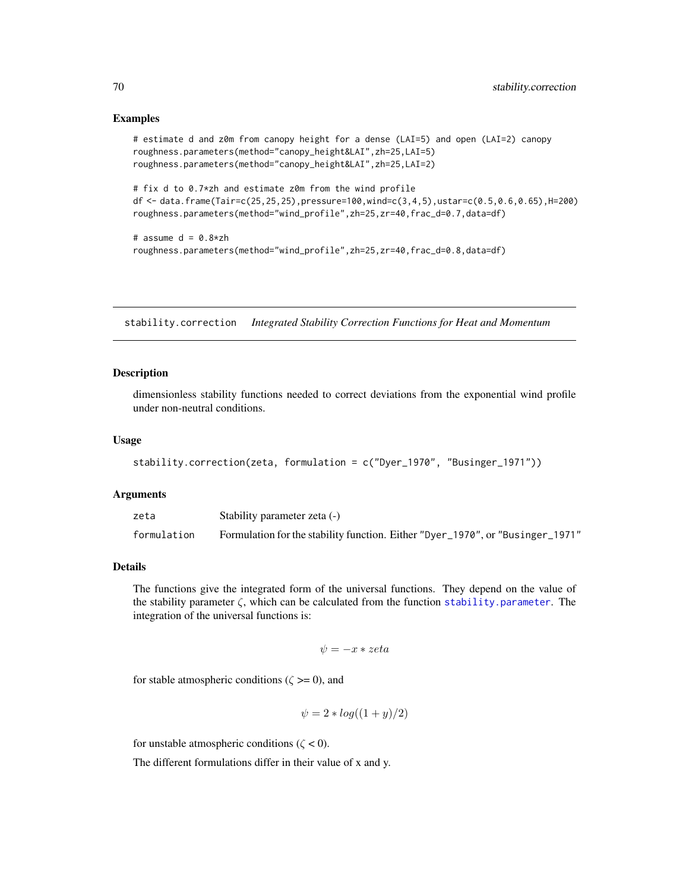## Examples

```
# estimate d and z0m from canopy height for a dense (LAI=5) and open (LAI=2) canopy
roughness.parameters(method="canopy_height&LAI",zh=25,LAI=5)
roughness.parameters(method="canopy_height&LAI",zh=25,LAI=2)
```

```
# fix d to 0.7*zh and estimate z0m from the wind profile
df <- data.frame(Tair=c(25,25,25),pressure=100,wind=c(3,4,5),ustar=c(0.5,0.6,0.65),H=200)
roughness.parameters(method="wind_profile",zh=25,zr=40,frac_d=0.7,data=df)
```

```
# assume d = 0.8 \times zh
roughness.parameters(method="wind_profile",zh=25,zr=40,frac_d=0.8,data=df)
```
stability.correction *Integrated Stability Correction Functions for Heat and Momentum*

#### Description

dimensionless stability functions needed to correct deviations from the exponential wind profile under non-neutral conditions.

## Usage

```
stability.correction(zeta, formulation = c("Dyer_1970", "Businger_1971"))
```
#### **Arguments**

| zeta        | Stability parameter zeta (-)                                                   |
|-------------|--------------------------------------------------------------------------------|
| formulation | Formulation for the stability function. Either "Dyer_1970", or "Businger_1971" |

#### Details

The functions give the integrated form of the universal functions. They depend on the value of the stability parameter  $\zeta$ , which can be calculated from the function [stability.parameter](#page-70-0). The integration of the universal functions is:

$$
\psi = -x * zeta
$$

for stable atmospheric conditions ( $\zeta \ge 0$ ), and

$$
\psi = 2 * log((1 + y)/2)
$$

for unstable atmospheric conditions ( $\zeta$  < 0).

The different formulations differ in their value of x and y.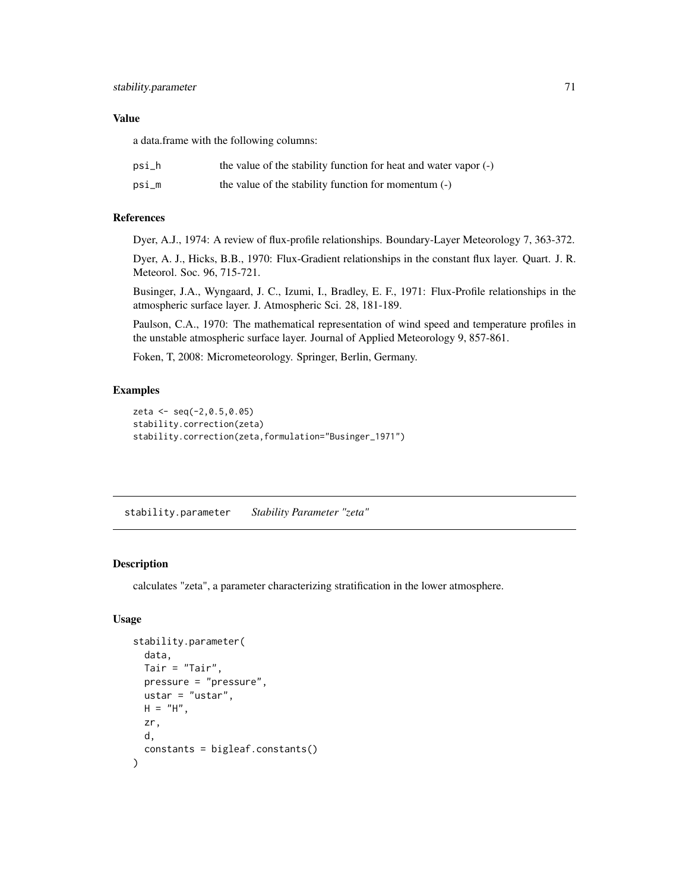## Value

a data.frame with the following columns:

| psi_h | the value of the stability function for heat and water vapor (-) |
|-------|------------------------------------------------------------------|
| psi_m | the value of the stability function for momentum (-)             |

# References

Dyer, A.J., 1974: A review of flux-profile relationships. Boundary-Layer Meteorology 7, 363-372.

Dyer, A. J., Hicks, B.B., 1970: Flux-Gradient relationships in the constant flux layer. Quart. J. R. Meteorol. Soc. 96, 715-721.

Businger, J.A., Wyngaard, J. C., Izumi, I., Bradley, E. F., 1971: Flux-Profile relationships in the atmospheric surface layer. J. Atmospheric Sci. 28, 181-189.

Paulson, C.A., 1970: The mathematical representation of wind speed and temperature profiles in the unstable atmospheric surface layer. Journal of Applied Meteorology 9, 857-861.

Foken, T, 2008: Micrometeorology. Springer, Berlin, Germany.

# Examples

```
zeta <- seq(-2,0.5,0.05)
stability.correction(zeta)
stability.correction(zeta,formulation="Businger_1971")
```
<span id="page-70-0"></span>stability.parameter *Stability Parameter "zeta"*

# Description

calculates "zeta", a parameter characterizing stratification in the lower atmosphere.

# Usage

```
stability.parameter(
  data,
 Tair = "Tair",
 pressure = "pressure",
 ustar = "ustar",
 H = "H",zr,
 d,
  constants = bigleaf.constants()
)
```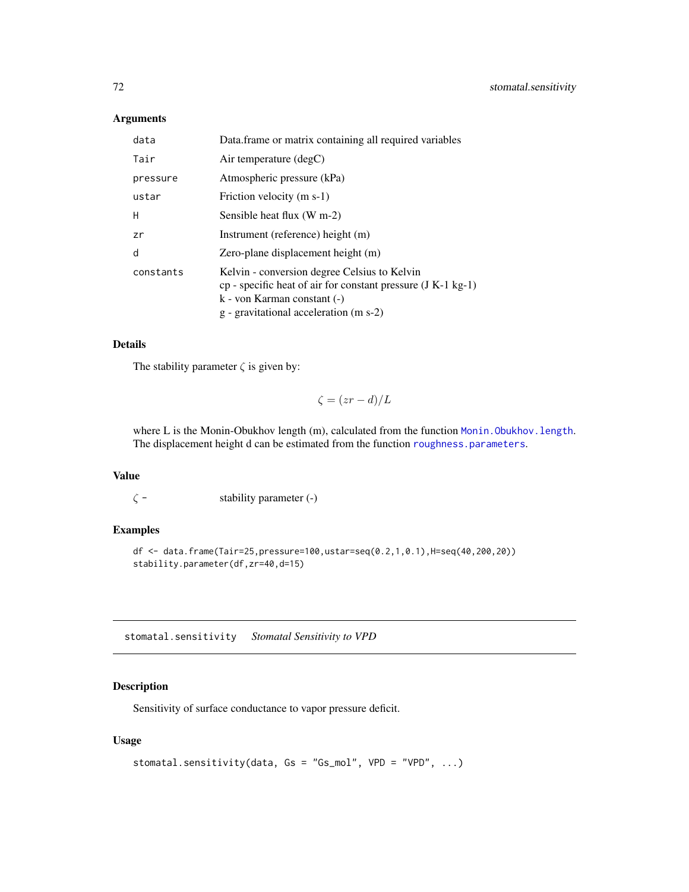# Arguments

| data      | Data.frame or matrix containing all required variables                                                                                                                                        |
|-----------|-----------------------------------------------------------------------------------------------------------------------------------------------------------------------------------------------|
| Tair      | Air temperature $(\text{deg} C)$                                                                                                                                                              |
| pressure  | Atmospheric pressure (kPa)                                                                                                                                                                    |
| ustar     | Friction velocity (m s-1)                                                                                                                                                                     |
| H         | Sensible heat flux (W m-2)                                                                                                                                                                    |
| zr        | Instrument (reference) height (m)                                                                                                                                                             |
| d         | Zero-plane displacement height (m)                                                                                                                                                            |
| constants | Kelvin - conversion degree Celsius to Kelvin<br>$cp$ - specific heat of air for constant pressure $(J K-1 kg-1)$<br>$k$ - von Karman constant $(-)$<br>g - gravitational acceleration (m s-2) |

# Details

The stability parameter  $\zeta$  is given by:

 $\zeta = (zr - d)/L$ 

where L is the Monin-Obukhov length (m), calculated from the function Monin. Obukhov. length. The displacement height d can be estimated from the function [roughness.parameters](#page-66-0).

## Value

 $\zeta$  - stability parameter (-)

# Examples

```
df <- data.frame(Tair=25,pressure=100,ustar=seq(0.2,1,0.1),H=seq(40,200,20))
stability.parameter(df,zr=40,d=15)
```
stomatal.sensitivity *Stomatal Sensitivity to VPD*

# Description

Sensitivity of surface conductance to vapor pressure deficit.

## Usage

```
stomatal.sensitivity(data, Gs = "Gs_mol", VPD = "VPD", ...)
```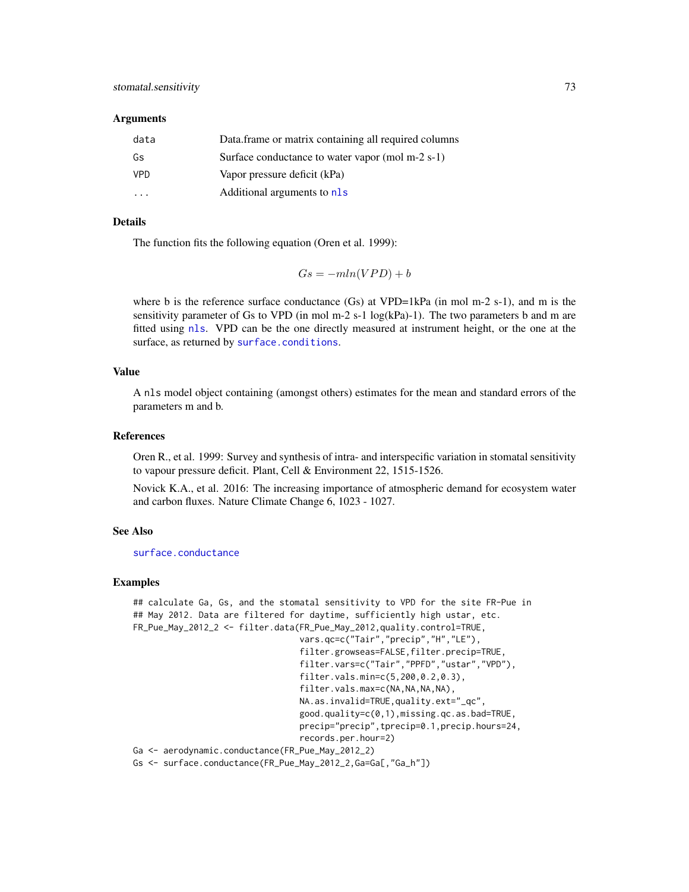#### <span id="page-72-0"></span>**Arguments**

| data       | Data frame or matrix containing all required columns |
|------------|------------------------------------------------------|
| Gs         | Surface conductance to water vapor (mol m-2 s-1)     |
| <b>VPD</b> | Vapor pressure deficit (kPa)                         |
|            | Additional arguments to nls                          |

# Details

The function fits the following equation (Oren et al. 1999):

$$
Gs = -mln(VPD) + b
$$

where b is the reference surface conductance  $(Gs)$  at VPD=1kPa (in mol m-2 s-1), and m is the sensitivity parameter of Gs to VPD (in mol m-2 s-1  $log(kPa)$ -1). The two parameters b and m are fitted using [nls](#page-0-0). VPD can be the one directly measured at instrument height, or the one at the surface, as returned by [surface.conditions](#page-77-0).

#### Value

A nls model object containing (amongst others) estimates for the mean and standard errors of the parameters m and b.

# References

Oren R., et al. 1999: Survey and synthesis of intra- and interspecific variation in stomatal sensitivity to vapour pressure deficit. Plant, Cell & Environment 22, 1515-1526.

Novick K.A., et al. 2016: The increasing importance of atmospheric demand for ecosystem water and carbon fluxes. Nature Climate Change 6, 1023 - 1027.

#### See Also

[surface.conductance](#page-79-0)

# Examples

```
## calculate Ga, Gs, and the stomatal sensitivity to VPD for the site FR-Pue in
## May 2012. Data are filtered for daytime, sufficiently high ustar, etc.
FR_Pue_May_2012_2 <- filter.data(FR_Pue_May_2012,quality.control=TRUE,
                                 vars.qc=c("Tair","precip","H","LE"),
                                 filter.growseas=FALSE,filter.precip=TRUE,
                                 filter.vars=c("Tair","PPFD","ustar","VPD"),
                                 filter.vals.min=c(5,200,0.2,0.3),
                                 filter.vals.max=c(NA,NA,NA,NA),
                                 NA.as.invalid=TRUE,quality.ext="_qc",
                                 good.quality=c(0,1),missing.qc.as.bad=TRUE,
                                 precip="precip",tprecip=0.1,precip.hours=24,
                                 records.per.hour=2)
Ga <- aerodynamic.conductance(FR_Pue_May_2012_2)
Gs <- surface.conductance(FR_Pue_May_2012_2,Ga=Ga[,"Ga_h"])
```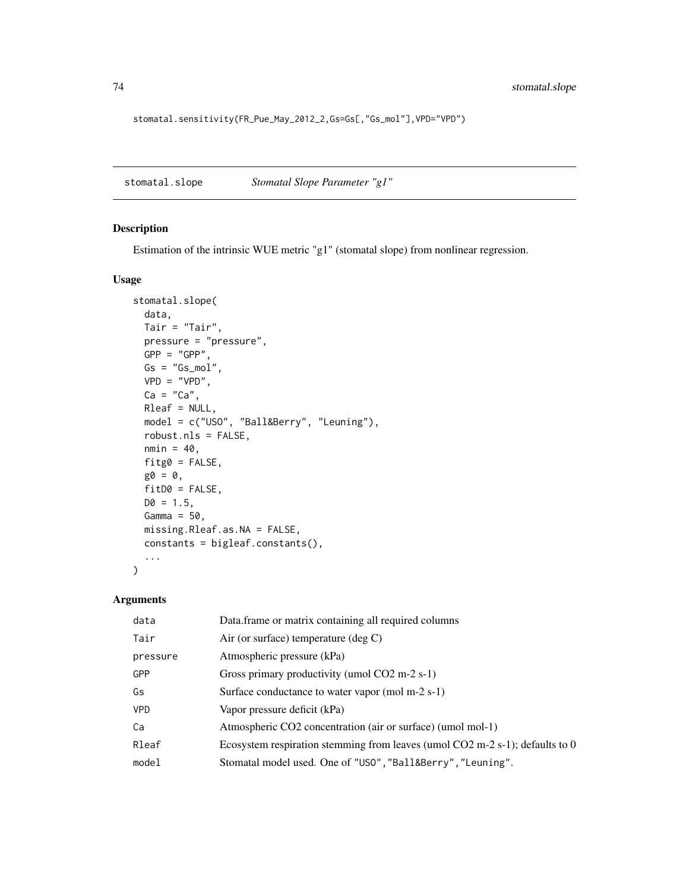stomatal.sensitivity(FR\_Pue\_May\_2012\_2,Gs=Gs[,"Gs\_mol"],VPD="VPD")

<span id="page-73-0"></span>stomatal.slope *Stomatal Slope Parameter "g1"*

# Description

Estimation of the intrinsic WUE metric "g1" (stomatal slope) from nonlinear regression.

# Usage

```
stomatal.slope(
 data,
 Tair = "Tair",
 pressure = "pressure",
 GPP = "GPP",Gs = "Gs_mol",VPD = "VPD",Ca = "Ca",Rleaf = NULL,
 model = c("USO", "Ball&Berry", "Leuning"),
 robust.nls = FALSE,
 nmin = 40,
 fitg0 = FALSE,
 g0 = 0,
 fitD0 = FALSE,D0 = 1.5,
 Gamma = 50,
 missing.Rleaf.as.NA = FALSE,
 constants = bigleaf.constants(),
  ...
)
```

| data       | Data frame or matrix containing all required columns                           |
|------------|--------------------------------------------------------------------------------|
| Tair       | Air (or surface) temperature (deg $C$ )                                        |
| pressure   | Atmospheric pressure (kPa)                                                     |
| GPP        | Gross primary productivity (umol $CO2$ m-2 s-1)                                |
| Gs         | Surface conductance to water vapor (mol m-2 s-1)                               |
| <b>VPD</b> | Vapor pressure deficit (kPa)                                                   |
| Ca         | Atmospheric CO2 concentration (air or surface) (umol mol-1)                    |
| Rleaf      | Ecosystem respiration stemming from leaves (umol $CO2$ m-2 s-1); defaults to 0 |
| model      | Stomatal model used. One of "USO", "Ball&Berry", "Leuning".                    |

<span id="page-73-1"></span>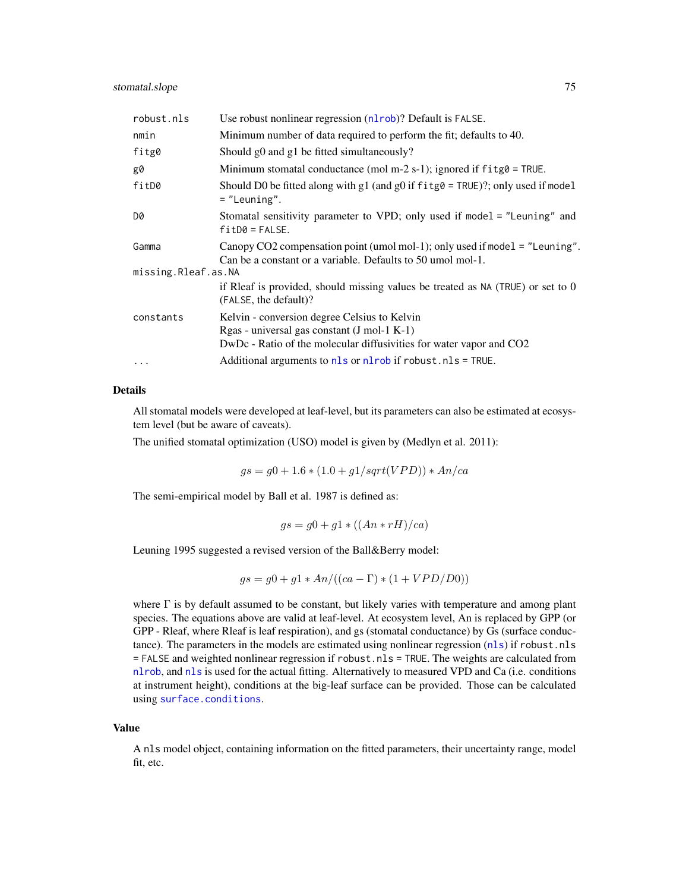<span id="page-74-0"></span>

| robust.nls          | Use robust nonlinear regression (nlrob)? Default is FALSE.                                                                                                           |  |
|---------------------|----------------------------------------------------------------------------------------------------------------------------------------------------------------------|--|
| nmin                | Minimum number of data required to perform the fit; defaults to 40.                                                                                                  |  |
| fitg0               | Should g0 and g1 be fitted simultaneously?                                                                                                                           |  |
| g0                  | Minimum stomatal conductance (mol m-2 s-1); ignored if $f$ it $g$ $\theta$ = TRUE.                                                                                   |  |
| fitD0               | Should D0 be fitted along with g1 (and g0 if $f$ itg $\theta$ = TRUE)?; only used if model<br>$=$ "Leuning".                                                         |  |
| D0                  | Stomatal sensitivity parameter to VPD; only used if model = "Leuning" and<br>$fitD0 = FALSE.$                                                                        |  |
| Gamma               | Canopy CO2 compensation point (umol mol-1); only used if model = "Leuning".<br>Can be a constant or a variable. Defaults to 50 umol mol-1.                           |  |
| missing.Rleaf.as.NA |                                                                                                                                                                      |  |
|                     | if Rleaf is provided, should missing values be treated as $NA$ (TRUE) or set to $0$<br>(FALSE, the default)?                                                         |  |
| constants           | Kelvin - conversion degree Celsius to Kelvin<br>$Rgas - universal gas constant (J mol-1 K-1)$<br>DwDc - Ratio of the molecular diffusivities for water vapor and CO2 |  |
| $\cdots$            | Additional arguments to $nls$ or $nlrob$ if robust. $nls = TRUE$ .                                                                                                   |  |

# Details

All stomatal models were developed at leaf-level, but its parameters can also be estimated at ecosystem level (but be aware of caveats).

The unified stomatal optimization (USO) model is given by (Medlyn et al. 2011):

 $gs = g0 + 1.6 * (1.0 + g1/sqrt(VPD)) * An-ca$ 

The semi-empirical model by Ball et al. 1987 is defined as:

$$
gs = g0 + g1 * ((An * rH)/ca)
$$

Leuning 1995 suggested a revised version of the Ball&Berry model:

$$
gs = g0 + g1 * An/((ca - \Gamma) * (1 + VPD/D0))
$$

where  $\Gamma$  is by default assumed to be constant, but likely varies with temperature and among plant species. The equations above are valid at leaf-level. At ecosystem level, An is replaced by GPP (or GPP - Rleaf, where Rleaf is leaf respiration), and gs (stomatal conductance) by Gs (surface conductance). The parameters in the models are estimated using nonlinear regression ([nls](#page-0-0)) if robust.nls = FALSE and weighted nonlinear regression if robust.nls = TRUE. The weights are calculated from [nlrob](#page-0-0), and [nls](#page-0-0) is used for the actual fitting. Alternatively to measured VPD and Ca (i.e. conditions at instrument height), conditions at the big-leaf surface can be provided. Those can be calculated using [surface.conditions](#page-77-0).

#### Value

A nls model object, containing information on the fitted parameters, their uncertainty range, model fit, etc.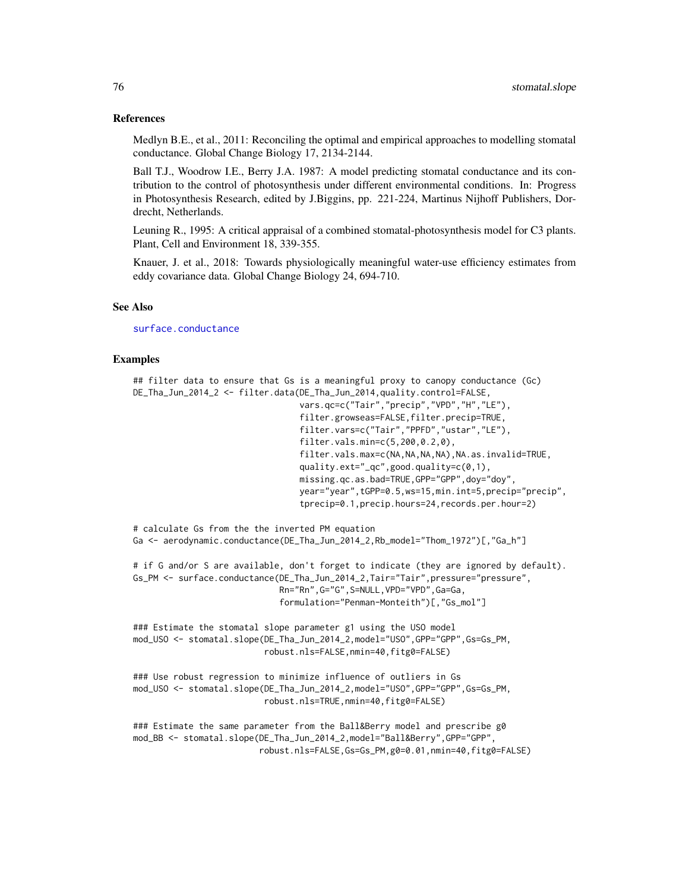#### References

Medlyn B.E., et al., 2011: Reconciling the optimal and empirical approaches to modelling stomatal conductance. Global Change Biology 17, 2134-2144.

Ball T.J., Woodrow I.E., Berry J.A. 1987: A model predicting stomatal conductance and its contribution to the control of photosynthesis under different environmental conditions. In: Progress in Photosynthesis Research, edited by J.Biggins, pp. 221-224, Martinus Nijhoff Publishers, Dordrecht, Netherlands.

Leuning R., 1995: A critical appraisal of a combined stomatal-photosynthesis model for C3 plants. Plant, Cell and Environment 18, 339-355.

Knauer, J. et al., 2018: Towards physiologically meaningful water-use efficiency estimates from eddy covariance data. Global Change Biology 24, 694-710.

#### See Also

[surface.conductance](#page-79-0)

# Examples

```
## filter data to ensure that Gs is a meaningful proxy to canopy conductance (Gc)
DE_Tha_Jun_2014_2 <- filter.data(DE_Tha_Jun_2014,quality.control=FALSE,
                                 vars.qc=c("Tair","precip","VPD","H","LE"),
                                 filter.growseas=FALSE,filter.precip=TRUE,
                                 filter.vars=c("Tair","PPFD","ustar","LE"),
                                 filter.vals.min=c(5,200,0.2,0),
                                 filter.vals.max=c(NA,NA,NA,NA),NA.as.invalid=TRUE,
                                 quality.ext="_qc",good.quality=c(0,1),
                                 missing.qc.as.bad=TRUE,GPP="GPP",doy="doy",
                                 year="year",tGPP=0.5,ws=15,min.int=5,precip="precip",
                                 tprecip=0.1,precip.hours=24,records.per.hour=2)
```
# calculate Gs from the the inverted PM equation Ga <- aerodynamic.conductance(DE\_Tha\_Jun\_2014\_2,Rb\_model="Thom\_1972")[,"Ga\_h"]

```
# if G and/or S are available, don't forget to indicate (they are ignored by default).
Gs_PM <- surface.conductance(DE_Tha_Jun_2014_2,Tair="Tair",pressure="pressure",
                             Rn="Rn",G="G",S=NULL,VPD="VPD",Ga=Ga,
                             formulation="Penman-Monteith")[,"Gs_mol"]
```
### Estimate the stomatal slope parameter g1 using the USO model mod\_USO <- stomatal.slope(DE\_Tha\_Jun\_2014\_2,model="USO",GPP="GPP",Gs=Gs\_PM, robust.nls=FALSE,nmin=40,fitg0=FALSE)

```
### Use robust regression to minimize influence of outliers in Gs
mod_USO <- stomatal.slope(DE_Tha_Jun_2014_2,model="USO",GPP="GPP",Gs=Gs_PM,
                          robust.nls=TRUE,nmin=40,fitg0=FALSE)
```

```
### Estimate the same parameter from the Ball&Berry model and prescribe g0
mod_BB <- stomatal.slope(DE_Tha_Jun_2014_2,model="Ball&Berry",GPP="GPP",
                         robust.nls=FALSE,Gs=Gs_PM,g0=0.01,nmin=40,fitg0=FALSE)
```
<span id="page-75-0"></span>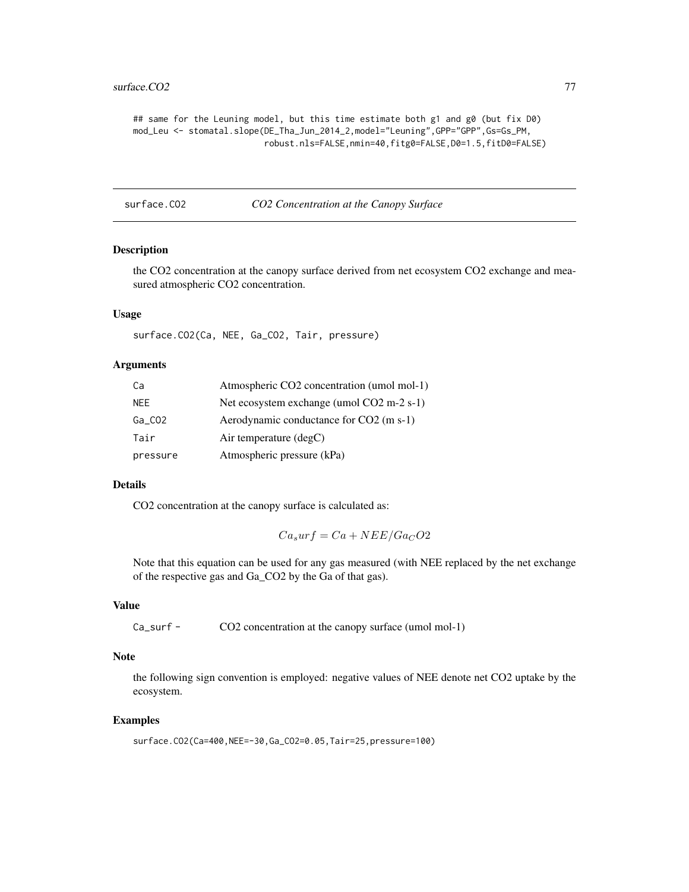#### <span id="page-76-0"></span>surface.CO2 77

```
## same for the Leuning model, but this time estimate both g1 and g0 (but fix D0)
mod_Leu <- stomatal.slope(DE_Tha_Jun_2014_2,model="Leuning",GPP="GPP",Gs=Gs_PM,
                          robust.nls=FALSE,nmin=40,fitg0=FALSE,D0=1.5,fitD0=FALSE)
```
surface.CO2 *CO2 Concentration at the Canopy Surface*

# Description

the CO2 concentration at the canopy surface derived from net ecosystem CO2 exchange and measured atmospheric CO2 concentration.

#### Usage

surface.CO2(Ca, NEE, Ga\_CO2, Tair, pressure)

# Arguments

| Ca        | Atmospheric CO2 concentration (umol mol-1) |
|-----------|--------------------------------------------|
| NEE.      | Net ecosystem exchange (umol CO2 m-2 s-1)  |
| $Ga_C$ 02 | Aerodynamic conductance for CO2 (m s-1)    |
| Tair      | Air temperature $(\text{deg} C)$           |
| pressure  | Atmospheric pressure (kPa)                 |

# Details

CO2 concentration at the canopy surface is calculated as:

$$
Ca_surf = Ca + NEE/Ga_CO2
$$

Note that this equation can be used for any gas measured (with NEE replaced by the net exchange of the respective gas and Ga\_CO2 by the Ga of that gas).

#### Value

```
Ca_surf - CO2 concentration at the canopy surface (umol mol-1)
```
#### Note

the following sign convention is employed: negative values of NEE denote net CO2 uptake by the ecosystem.

# Examples

surface.CO2(Ca=400,NEE=-30,Ga\_CO2=0.05,Tair=25,pressure=100)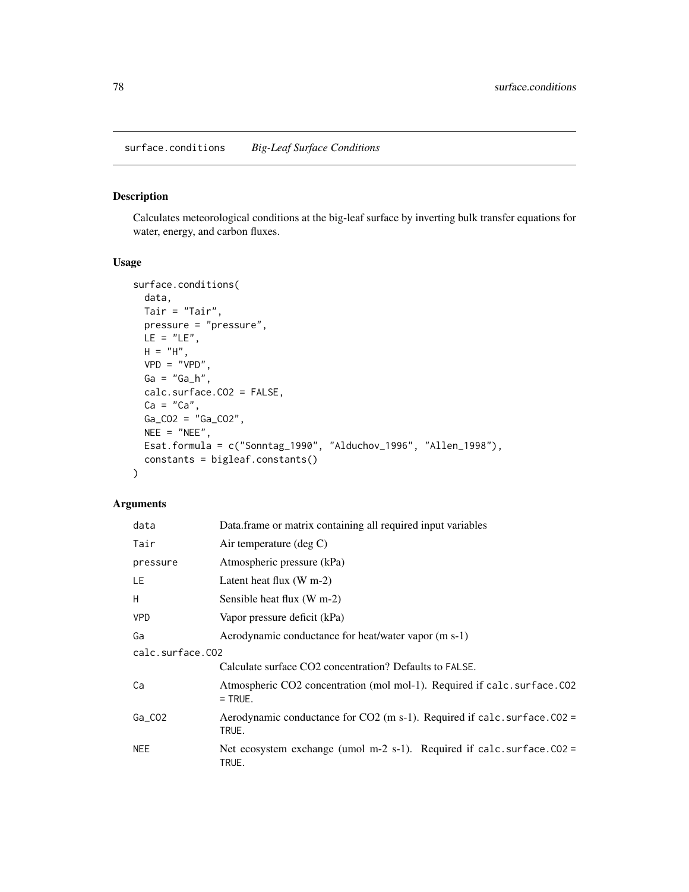# <span id="page-77-1"></span><span id="page-77-0"></span>Description

Calculates meteorological conditions at the big-leaf surface by inverting bulk transfer equations for water, energy, and carbon fluxes.

# Usage

```
surface.conditions(
 data,
 Tair = "Tair",
 pressure = "pressure",
 LE = "LE",H = "H",VPD = "VPD",Ga = "Ga_h",
 calc.surface.CO2 = FALSE,
 Ca = "Ca",Ga_CO2 = "Ga_CO2",NEE = "NEE",Esat.formula = c("Sonntag_1990", "Alduchov_1996", "Allen_1998"),
 constants = bigleaf.constants()
)
```

| data             | Data.frame or matrix containing all required input variables                           |  |
|------------------|----------------------------------------------------------------------------------------|--|
| Tair             | Air temperature (deg $C$ )                                                             |  |
| pressure         | Atmospheric pressure (kPa)                                                             |  |
| LE.              | Latent heat flux $(W m-2)$                                                             |  |
| H                | Sensible heat flux (W m-2)                                                             |  |
| <b>VPD</b>       | Vapor pressure deficit (kPa)                                                           |  |
| Ga               | Aerodynamic conductance for heat/water vapor (m s-1)                                   |  |
| calc.surface.CO2 |                                                                                        |  |
|                  | Calculate surface CO2 concentration? Defaults to FALSE.                                |  |
| Ca               | Atmospheric CO2 concentration (mol mol-1). Required if calc. surface. CO2<br>$=$ TRUE. |  |
| $Ga_C$ 02        | Aerodynamic conductance for $CO2$ (m s-1). Required if calc. surface. $CO2 =$<br>TRUE. |  |
| <b>NEE</b>       | Net ecosystem exchange (umol m-2 s-1). Required if calc. surface. $CO2 =$<br>TRUE.     |  |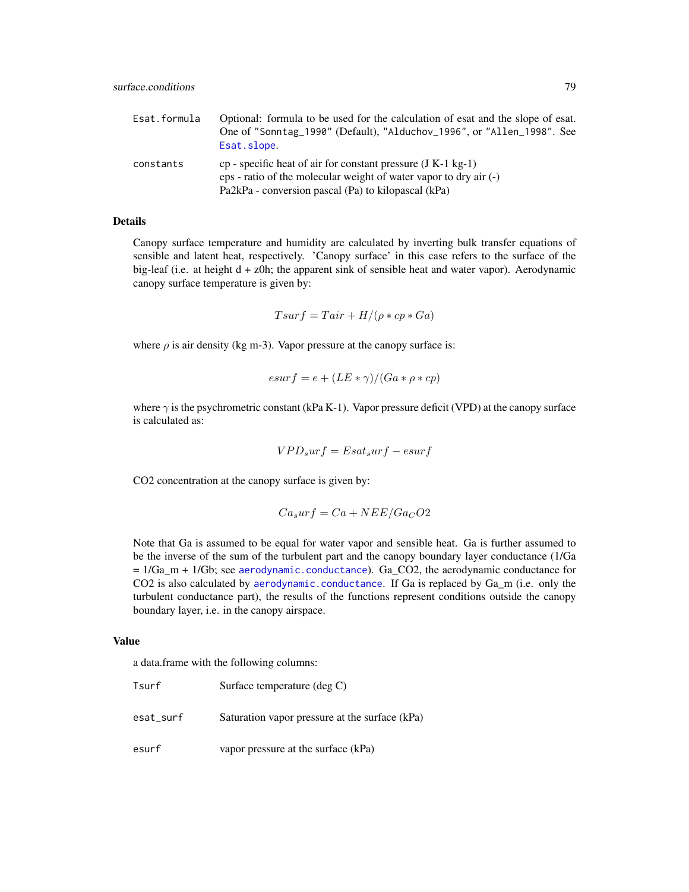<span id="page-78-0"></span>

| Esat.formula | Optional: formula to be used for the calculation of esat and the slope of esat.<br>One of "Sonntag_1990" (Default), "Alduchov_1996", or "Allen_1998". See<br>Esat.slope.                       |
|--------------|------------------------------------------------------------------------------------------------------------------------------------------------------------------------------------------------|
| constants    | cp - specific heat of air for constant pressure $(J K-1 kg-1)$<br>$eps$ - ratio of the molecular weight of water vapor to dry air $(-)$<br>Pa2kPa - conversion pascal (Pa) to kilopascal (kPa) |

# **Details**

Canopy surface temperature and humidity are calculated by inverting bulk transfer equations of sensible and latent heat, respectively. 'Canopy surface' in this case refers to the surface of the big-leaf (i.e. at height d + z0h; the apparent sink of sensible heat and water vapor). Aerodynamic canopy surface temperature is given by:

$$
Tsurf = Tair + H/(\rho * cp * Ga)
$$

where  $\rho$  is air density (kg m-3). Vapor pressure at the canopy surface is:

$$
esurf = e + (LE * \gamma)/(Ga * \rho * cp)
$$

where  $\gamma$  is the psychrometric constant (kPa K-1). Vapor pressure deficit (VPD) at the canopy surface is calculated as:

$$
VPD_surf = Esat_surf - esurf
$$

CO2 concentration at the canopy surface is given by:

$$
Ca_surf = Ca + NEE/Ga_CO2
$$

Note that Ga is assumed to be equal for water vapor and sensible heat. Ga is further assumed to be the inverse of the sum of the turbulent part and the canopy boundary layer conductance (1/Ga  $= 1/Ga$ <sub>m</sub> + 1/Gb; see [aerodynamic.conductance](#page-2-0)). Ga<sub></sub>CO2, the aerodynamic conductance for CO2 is also calculated by [aerodynamic.conductance](#page-2-0). If Ga is replaced by Ga\_m (i.e. only the turbulent conductance part), the results of the functions represent conditions outside the canopy boundary layer, i.e. in the canopy airspace.

#### Value

a data.frame with the following columns:

| Tsurf     | Surface temperature (deg C)                    |
|-----------|------------------------------------------------|
| esat_surf | Saturation vapor pressure at the surface (kPa) |
| esurf     | vapor pressure at the surface (kPa)            |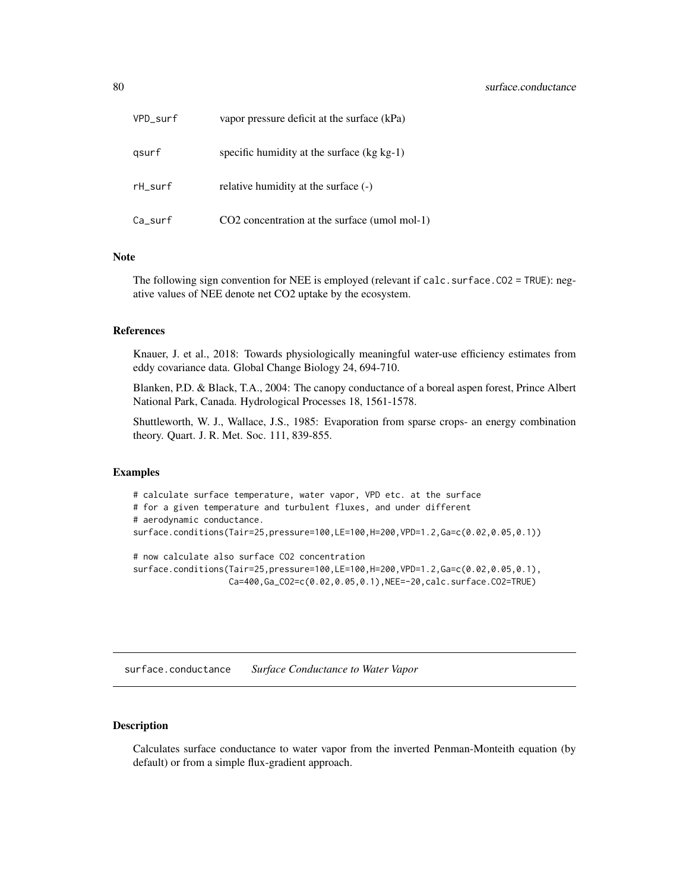<span id="page-79-1"></span>

| VPD_surf | vapor pressure deficit at the surface (kPa)   |
|----------|-----------------------------------------------|
| gsurf    | specific humidity at the surface $(kg kg-1)$  |
| rH surf  | relative humidity at the surface (-)          |
| Ca_surf  | CO2 concentration at the surface (umol mol-1) |

# Note

The following sign convention for NEE is employed (relevant if calc. surface. CO2 = TRUE): negative values of NEE denote net CO2 uptake by the ecosystem.

# References

Knauer, J. et al., 2018: Towards physiologically meaningful water-use efficiency estimates from eddy covariance data. Global Change Biology 24, 694-710.

Blanken, P.D. & Black, T.A., 2004: The canopy conductance of a boreal aspen forest, Prince Albert National Park, Canada. Hydrological Processes 18, 1561-1578.

Shuttleworth, W. J., Wallace, J.S., 1985: Evaporation from sparse crops- an energy combination theory. Quart. J. R. Met. Soc. 111, 839-855.

#### Examples

```
# calculate surface temperature, water vapor, VPD etc. at the surface
# for a given temperature and turbulent fluxes, and under different
# aerodynamic conductance.
surface.conditions(Tair=25,pressure=100,LE=100,H=200,VPD=1.2,Ga=c(0.02,0.05,0.1))
# now calculate also surface CO2 concentration
```
surface.conditions(Tair=25,pressure=100,LE=100,H=200,VPD=1.2,Ga=c(0.02,0.05,0.1), Ca=400,Ga\_CO2=c(0.02,0.05,0.1),NEE=-20,calc.surface.CO2=TRUE)

<span id="page-79-0"></span>surface.conductance *Surface Conductance to Water Vapor*

# **Description**

Calculates surface conductance to water vapor from the inverted Penman-Monteith equation (by default) or from a simple flux-gradient approach.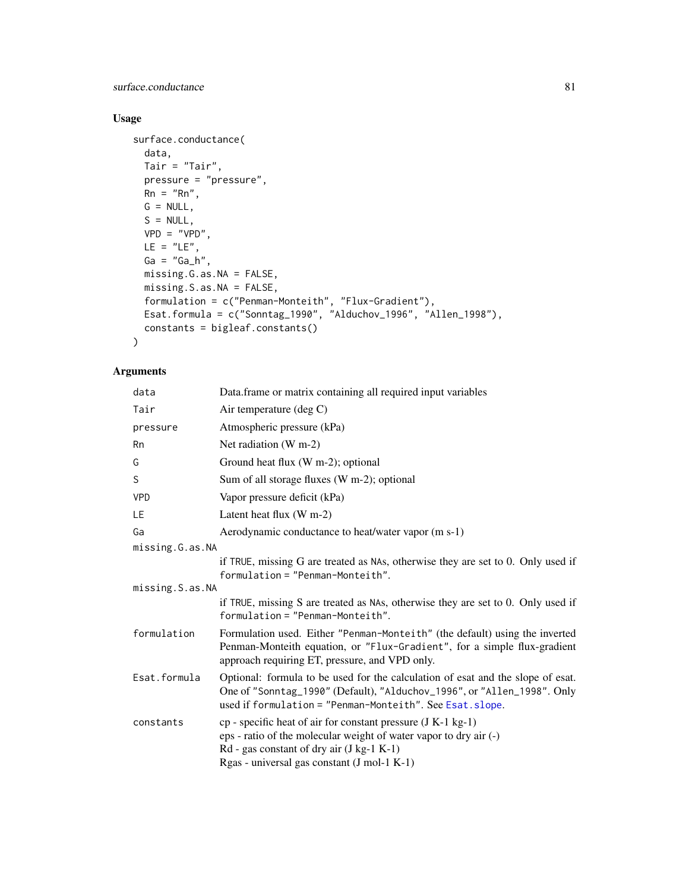<span id="page-80-0"></span>surface.conductance 81

# Usage

```
surface.conductance(
 data,
 Tair = "Tair",pressure = "pressure",
 Rn = "Rn",G = NULL,S = NULL,VPD = "VPD",LE = "LE",Ga = "Ga_h",missing.G.as.NA = FALSE,
 missing.S.as.NA = FALSE,
 formulation = c("Penman-Monteith", "Flux-Gradient"),
 Esat.formula = c("Sonntag_1990", "Alduchov_1996", "Allen_1998"),
 constants = bigleaf.constants()
\mathcal{L}
```

| data            | Data.frame or matrix containing all required input variables                                                                                                                                                                      |
|-----------------|-----------------------------------------------------------------------------------------------------------------------------------------------------------------------------------------------------------------------------------|
| Tair            | Air temperature (deg C)                                                                                                                                                                                                           |
| pressure        | Atmospheric pressure (kPa)                                                                                                                                                                                                        |
| Rn              | Net radiation $(W m-2)$                                                                                                                                                                                                           |
| G               | Ground heat flux (W m-2); optional                                                                                                                                                                                                |
| S               | Sum of all storage fluxes (W m-2); optional                                                                                                                                                                                       |
| <b>VPD</b>      | Vapor pressure deficit (kPa)                                                                                                                                                                                                      |
| LE              | Latent heat flux $(W m-2)$                                                                                                                                                                                                        |
| Ga              | Aerodynamic conductance to heat/water vapor (m s-1)                                                                                                                                                                               |
| missing.G.as.NA |                                                                                                                                                                                                                                   |
|                 | if TRUE, missing G are treated as NAs, otherwise they are set to 0. Only used if<br>formulation = "Penman-Monteith".                                                                                                              |
| missing.S.as.NA |                                                                                                                                                                                                                                   |
|                 | if TRUE, missing S are treated as NAs, otherwise they are set to 0. Only used if<br>formulation = "Penman-Monteith".                                                                                                              |
| formulation     | Formulation used. Either "Penman-Monteith" (the default) using the inverted<br>Penman-Monteith equation, or "Flux-Gradient", for a simple flux-gradient<br>approach requiring ET, pressure, and VPD only.                         |
| Esat.formula    | Optional: formula to be used for the calculation of esat and the slope of esat.<br>One of "Sonntag_1990" (Default), "Alduchov_1996", or "Allen_1998". Only<br>used if formulation = "Penman-Monteith". See Esat. slope.           |
| constants       | $cp$ - specific heat of air for constant pressure (J K-1 kg-1)<br>eps - ratio of the molecular weight of water vapor to dry air (-)<br>$Rd$ - gas constant of dry air (J kg-1 K-1)<br>Rgas - universal gas constant (J mol-1 K-1) |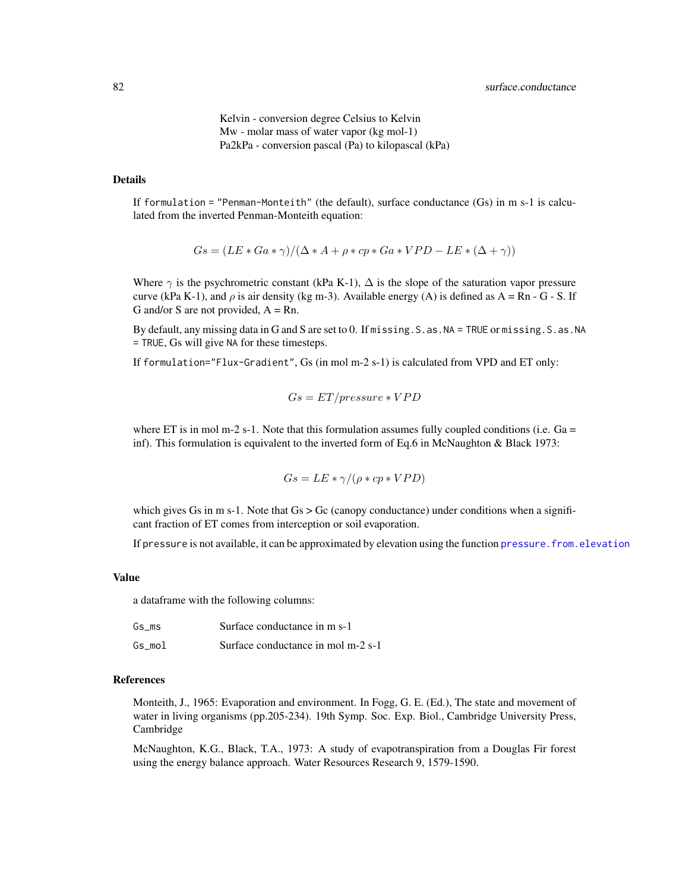Kelvin - conversion degree Celsius to Kelvin Mw - molar mass of water vapor (kg mol-1) Pa2kPa - conversion pascal (Pa) to kilopascal (kPa)

# <span id="page-81-0"></span>Details

If formulation = "Penman-Monteith" (the default), surface conductance (Gs) in m s-1 is calculated from the inverted Penman-Monteith equation:

$$
Gs = (LE * Ga * \gamma)/(\Delta * A + \rho * cp * Ga * VPD - LE * (\Delta + \gamma))
$$

Where  $\gamma$  is the psychrometric constant (kPa K-1),  $\Delta$  is the slope of the saturation vapor pressure curve (kPa K-1), and  $\rho$  is air density (kg m-3). Available energy (A) is defined as A = Rn - G - S. If G and/or S are not provided,  $A = Rn$ .

By default, any missing data in G and S are set to 0. If missing.S.as.NA = TRUE or missing.S.as.NA = TRUE, Gs will give NA for these timesteps.

If formulation="Flux-Gradient", Gs (in mol m-2 s-1) is calculated from VPD and ET only:

$$
Gs = ET/pressure*VPD
$$

where ET is in mol m-2 s-1. Note that this formulation assumes fully coupled conditions (i.e.  $Ga =$ inf). This formulation is equivalent to the inverted form of Eq.6 in McNaughton & Black 1973:

$$
Gs = LE * \gamma / (\rho * cp * VPD)
$$

which gives Gs in m s-1. Note that  $Gs > Gc$  (canopy conductance) under conditions when a significant fraction of ET comes from interception or soil evaporation.

If pressure is not available, it can be approximated by elevation using the function [pressure.from.elevation](#page-59-0)

#### Value

a dataframe with the following columns:

| Gs ms  | Surface conductance in m s-1       |
|--------|------------------------------------|
| Gs mol | Surface conductance in mol m-2 s-1 |

#### References

Monteith, J., 1965: Evaporation and environment. In Fogg, G. E. (Ed.), The state and movement of water in living organisms (pp.205-234). 19th Symp. Soc. Exp. Biol., Cambridge University Press, Cambridge

McNaughton, K.G., Black, T.A., 1973: A study of evapotranspiration from a Douglas Fir forest using the energy balance approach. Water Resources Research 9, 1579-1590.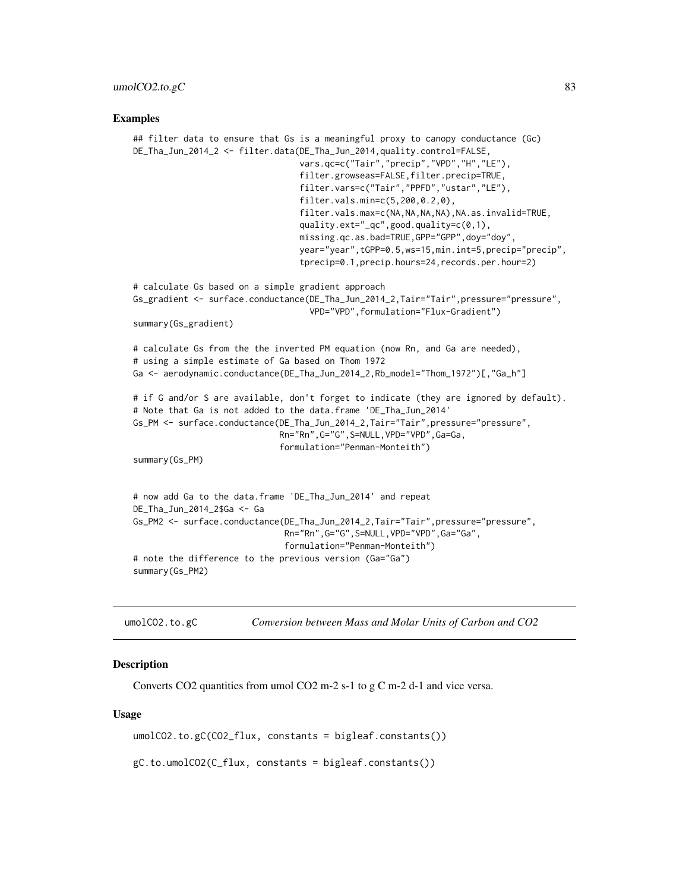#### <span id="page-82-0"></span>Examples

```
## filter data to ensure that Gs is a meaningful proxy to canopy conductance (Gc)
DE_Tha_Jun_2014_2 <- filter.data(DE_Tha_Jun_2014,quality.control=FALSE,
                                 vars.qc=c("Tair","precip","VPD","H","LE"),
                                 filter.growseas=FALSE,filter.precip=TRUE,
                                 filter.vars=c("Tair","PPFD","ustar","LE"),
                                 filter.vals.min=c(5,200,0.2,0),
                                 filter.vals.max=c(NA,NA,NA,NA),NA.as.invalid=TRUE,
                                 quality.ext="_qc",good.quality=c(0,1),
                                 missing.qc.as.bad=TRUE,GPP="GPP",doy="doy",
                                 year="year",tGPP=0.5,ws=15,min.int=5,precip="precip",
                                 tprecip=0.1,precip.hours=24,records.per.hour=2)
# calculate Gs based on a simple gradient approach
Gs_gradient <- surface.conductance(DE_Tha_Jun_2014_2,Tair="Tair",pressure="pressure",
                                   VPD="VPD",formulation="Flux-Gradient")
summary(Gs_gradient)
# calculate Gs from the the inverted PM equation (now Rn, and Ga are needed),
# using a simple estimate of Ga based on Thom 1972
Ga <- aerodynamic.conductance(DE_Tha_Jun_2014_2,Rb_model="Thom_1972")[,"Ga_h"]
# if G and/or S are available, don't forget to indicate (they are ignored by default).
# Note that Ga is not added to the data.frame 'DE_Tha_Jun_2014'
Gs_PM <- surface.conductance(DE_Tha_Jun_2014_2,Tair="Tair",pressure="pressure",
                             Rn="Rn",G="G",S=NULL,VPD="VPD",Ga=Ga,
                             formulation="Penman-Monteith")
summary(Gs_PM)
# now add Ga to the data.frame 'DE_Tha_Jun_2014' and repeat
DE_Tha_Jun_2014_2$Ga <- Ga
Gs_PM2 <- surface.conductance(DE_Tha_Jun_2014_2,Tair="Tair",pressure="pressure",
                              Rn="Rn",G="G",S=NULL,VPD="VPD",Ga="Ga",
                              formulation="Penman-Monteith")
# note the difference to the previous version (Ga="Ga")
summary(Gs_PM2)
```
umolCO2.to.gC *Conversion between Mass and Molar Units of Carbon and CO2*

#### **Description**

Converts CO2 quantities from umol CO2 m-2 s-1 to g C m-2 d-1 and vice versa.

#### Usage

umolCO2.to.gC(CO2\_flux, constants = bigleaf.constants())

gC.to.umolCO2(C\_flux, constants = bigleaf.constants())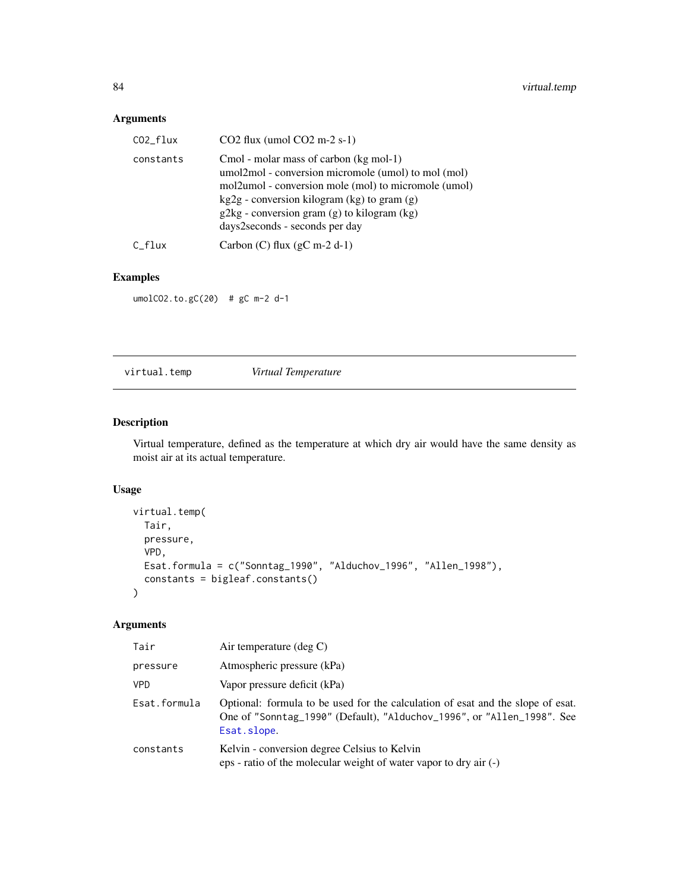# <span id="page-83-0"></span>Arguments

| $CO2_flux$ | $CO2$ flux (umol $CO2$ m-2 s-1)                                                                                                                                                                                                                                                           |
|------------|-------------------------------------------------------------------------------------------------------------------------------------------------------------------------------------------------------------------------------------------------------------------------------------------|
| constants  | Cmol - molar mass of carbon (kg mol-1)<br>umol2mol - conversion micromole (umol) to mol (mol)<br>mol2umol - conversion mole (mol) to micromole (umol)<br>$kg2g$ - conversion kilogram (kg) to gram (g)<br>$g2kg$ - conversion gram (g) to kilogram (kg)<br>days2seconds - seconds per day |
| C flux     | Carbon (C) flux $(gC \text{ m-2 d-1})$                                                                                                                                                                                                                                                    |

# Examples

umolCO2.to.gC(20) # gC m-2 d-1

virtual.temp *Virtual Temperature*

# Description

Virtual temperature, defined as the temperature at which dry air would have the same density as moist air at its actual temperature.

# Usage

```
virtual.temp(
  Tair,
  pressure,
  VPD,
  Esat.formula = c("Sonntag_1990", "Alduchov_1996", "Allen_1998"),
  constants = bigleaf.constants()
\mathcal{L}
```

| Tair         | Air temperature $(\text{deg } C)$                                                                                                                                        |
|--------------|--------------------------------------------------------------------------------------------------------------------------------------------------------------------------|
| pressure     | Atmospheric pressure (kPa)                                                                                                                                               |
| <b>VPD</b>   | Vapor pressure deficit (kPa)                                                                                                                                             |
| Esat.formula | Optional: formula to be used for the calculation of esat and the slope of esat.<br>One of "Sonntag_1990" (Default), "Alduchov_1996", or "Allen_1998". See<br>Esat.slope. |
| constants    | Kelvin - conversion degree Celsius to Kelvin<br>eps - ratio of the molecular weight of water vapor to dry air (-)                                                        |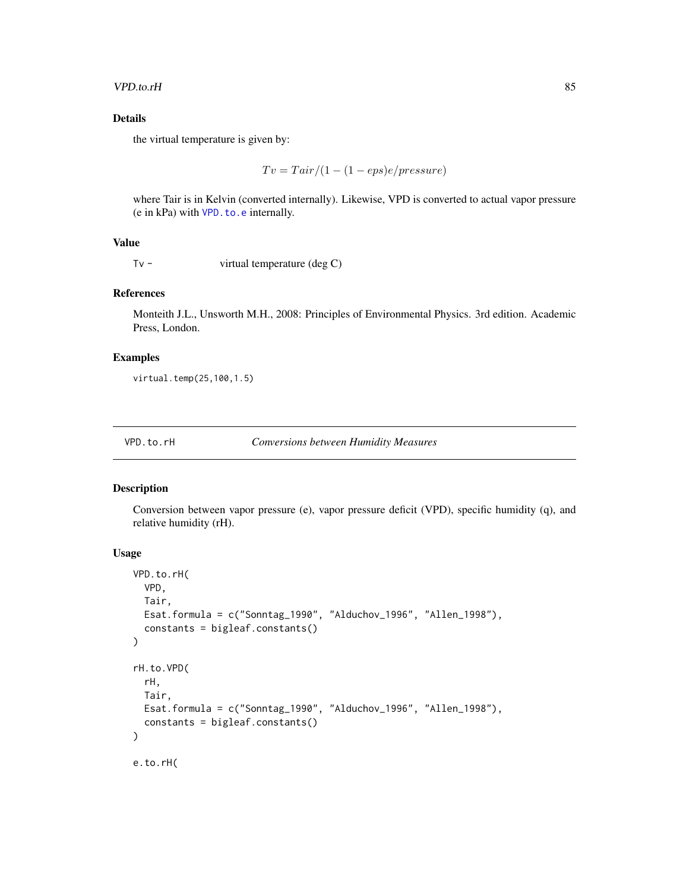#### <span id="page-84-1"></span>VPD.to.rH 85

# Details

the virtual temperature is given by:

$$
Tv = Tair/(1 - (1 - eps)e/pressure)
$$

where Tair is in Kelvin (converted internally). Likewise, VPD is converted to actual vapor pressure (e in kPa) with [VPD.to.e](#page-84-0) internally.

# Value

Tv - virtual temperature (deg C)

#### References

Monteith J.L., Unsworth M.H., 2008: Principles of Environmental Physics. 3rd edition. Academic Press, London.

# Examples

virtual.temp(25,100,1.5)

#### VPD.to.rH *Conversions between Humidity Measures*

# <span id="page-84-0"></span>Description

Conversion between vapor pressure (e), vapor pressure deficit (VPD), specific humidity (q), and relative humidity (rH).

#### Usage

```
VPD.to.rH(
  VPD,
  Tair,
 Esat.formula = c("Sonntag_1990", "Alduchov_1996", "Allen_1998"),
  constants = bigleaf.constants()
)
rH.to.VPD(
  rH,
 Tair,
 Esat.formula = c("Sonntag_1990", "Alduchov_1996", "Allen_1998"),
  constants = bigleaf.constants()
\lambdae.to.rH(
```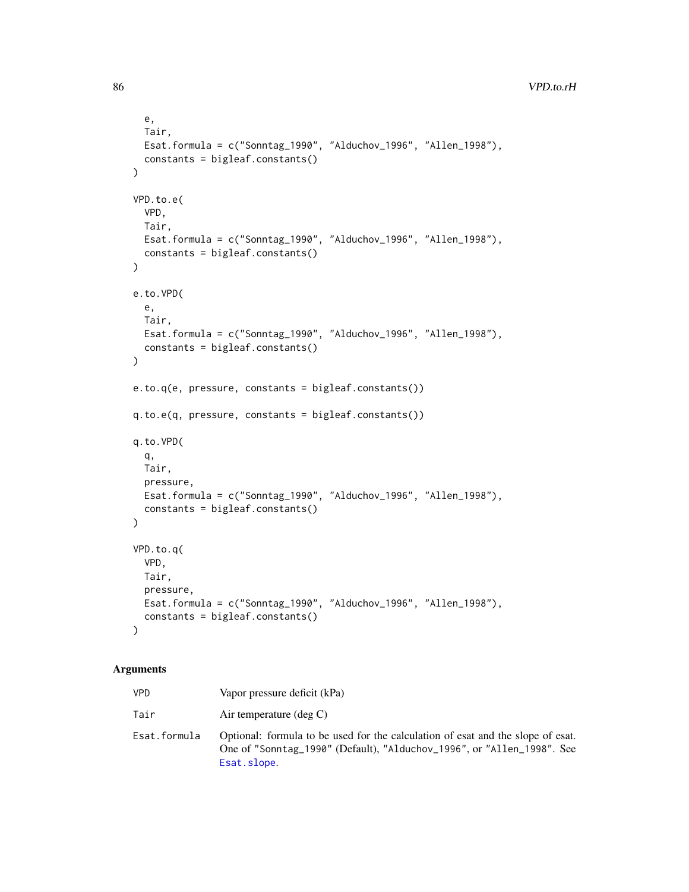```
e,
  Tair,
 Esat.formula = c("Sonntag_1990", "Alduchov_1996", "Allen_1998"),
  constants = bigleaf.constants()
\mathcal{L}VPD.to.e(
 VPD,
 Tair,
 Esat.formula = c("Sonntag_1990", "Alduchov_1996", "Allen_1998"),
  constants = bigleaf.constants()
)
e.to.VPD(
  e,
 Tair,
 Esat.formula = c("Sonntag_1990", "Alduchov_1996", "Allen_1998"),
  constants = bigleaf.constants()
\mathcal{L}e.to.q(e, pressure, constants = bigleaf.constants())
q.to.e(q, pressure, constants = bigleaf.constants())
q.to.VPD(
 q,
 Tair,
 pressure,
 Esat.formula = c("Sonntag_1990", "Alduchov_1996", "Allen_1998"),
 constants = bigleaf.constants()
\mathcal{L}VPD.to.q(
 VPD,
 Tair,
 pressure,
 Esat.formula = c("Sonntag_1990", "Alduchov_1996", "Allen_1998"),
 constants = bigleaf.constants()
)
```

| VPD          | Vapor pressure deficit (kPa)                                                                                                                                             |
|--------------|--------------------------------------------------------------------------------------------------------------------------------------------------------------------------|
| Tair         | Air temperature $(\text{deg } C)$                                                                                                                                        |
| Esat.formula | Optional: formula to be used for the calculation of esat and the slope of esat.<br>One of "Sonntag_1990" (Default), "Alduchov_1996", or "Allen_1998". See<br>Esat.slope. |

<span id="page-85-0"></span>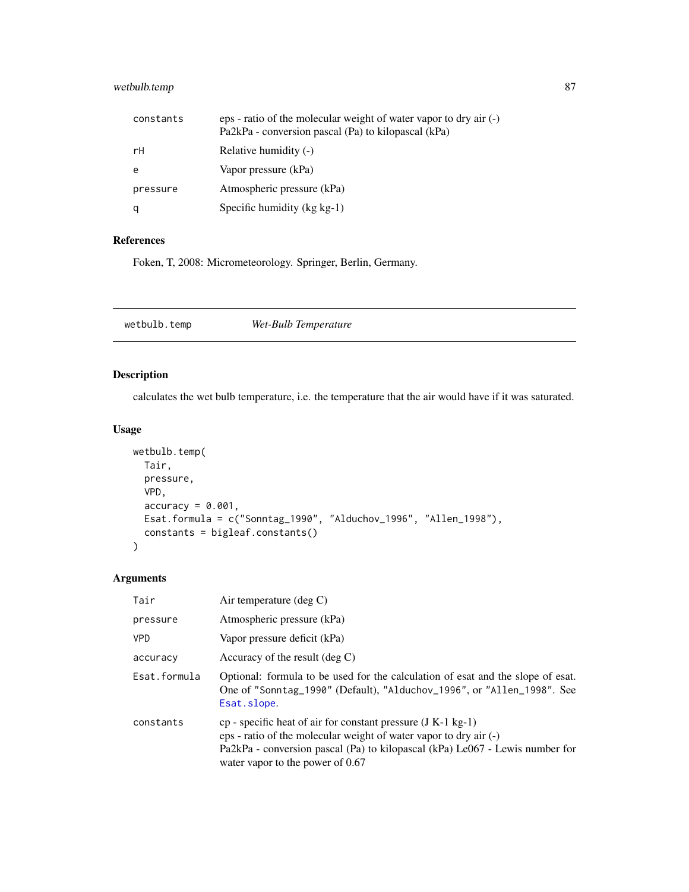# <span id="page-86-0"></span>wetbulb.temp 87

| constants | eps - ratio of the molecular weight of water vapor to dry air (-)<br>Pa2kPa - conversion pascal (Pa) to kilopascal (kPa) |
|-----------|--------------------------------------------------------------------------------------------------------------------------|
| гH        | Relative humidity (-)                                                                                                    |
| e         | Vapor pressure (kPa)                                                                                                     |
| pressure  | Atmospheric pressure (kPa)                                                                                               |
|           | Specific humidity $(kg kg-1)$                                                                                            |

# References

Foken, T, 2008: Micrometeorology. Springer, Berlin, Germany.

# Description

calculates the wet bulb temperature, i.e. the temperature that the air would have if it was saturated.

# Usage

```
wetbulb.temp(
 Tair,
 pressure,
 VPD,
  accuracy = 0.001,Esat.formula = c("Sonntag_1990", "Alduchov_1996", "Allen_1998"),
 constants = bigleaf.constants()
)
```

| Tair         | Air temperature (deg $C$ )                                                                                                                                                                                                                                |
|--------------|-----------------------------------------------------------------------------------------------------------------------------------------------------------------------------------------------------------------------------------------------------------|
| pressure     | Atmospheric pressure (kPa)                                                                                                                                                                                                                                |
| <b>VPD</b>   | Vapor pressure deficit (kPa)                                                                                                                                                                                                                              |
| accuracy     | Accuracy of the result $(\text{deg } C)$                                                                                                                                                                                                                  |
| Esat.formula | Optional: formula to be used for the calculation of esat and the slope of esat.<br>One of "Sonntag_1990" (Default), "Alduchov_1996", or "Allen_1998". See<br>Esat.slope.                                                                                  |
| constants    | $cp$ - specific heat of air for constant pressure (J K-1 kg-1)<br>eps - ratio of the molecular weight of water vapor to dry air (-)<br>Pa2kPa - conversion pascal (Pa) to kilopascal (kPa) Le067 - Lewis number for<br>water vapor to the power of $0.67$ |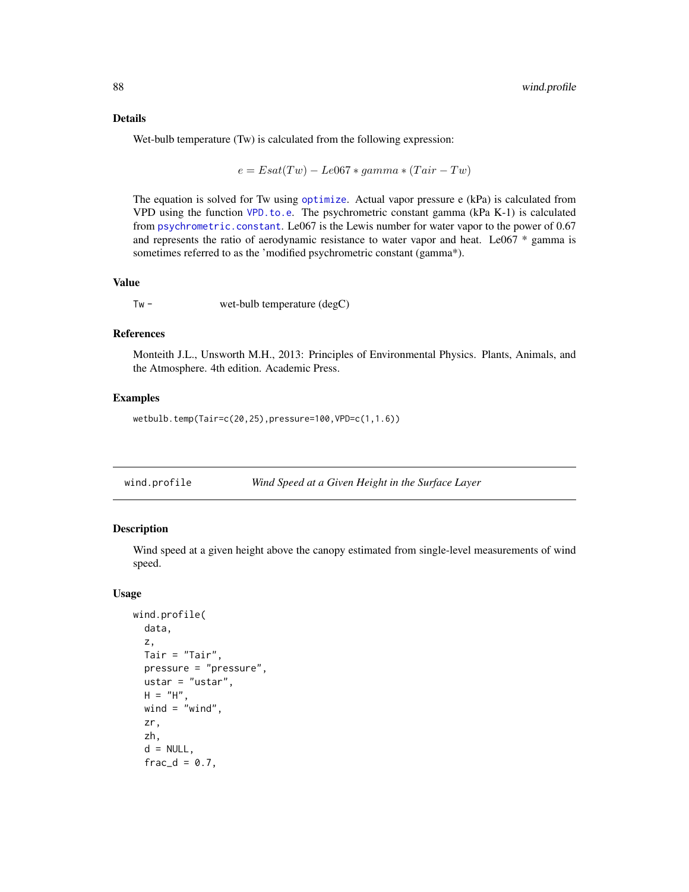#### <span id="page-87-0"></span>Details

Wet-bulb temperature (Tw) is calculated from the following expression:

$$
e = Esat(Tw) - Le067 * gamma * (Tair - Tw)
$$

The equation is solved for Tw using [optimize](#page-0-0). Actual vapor pressure e (kPa) is calculated from VPD using the function [VPD.to.e](#page-84-0). The psychrometric constant gamma (kPa K-1) is calculated from [psychrometric.constant](#page-60-0). Le067 is the Lewis number for water vapor to the power of 0.67 and represents the ratio of aerodynamic resistance to water vapor and heat. Le067 \* gamma is sometimes referred to as the 'modified psychrometric constant (gamma\*).

#### Value

Tw - wet-bulb temperature (degC)

# References

Monteith J.L., Unsworth M.H., 2013: Principles of Environmental Physics. Plants, Animals, and the Atmosphere. 4th edition. Academic Press.

#### Examples

wetbulb.temp(Tair=c(20,25),pressure=100,VPD=c(1,1.6))

| wind.profile | Wind Speed at a Given Height in the Surface Layer |  |
|--------------|---------------------------------------------------|--|
|              |                                                   |  |

# Description

Wind speed at a given height above the canopy estimated from single-level measurements of wind speed.

#### Usage

```
wind.profile(
 data,
  z,
  Tair = "Tair",
 pressure = "pressure",
 ustar = "ustar",
 H = "H",wind = "wind",
  zr,
 zh,
  d = NULL,frac_d = 0.7,
```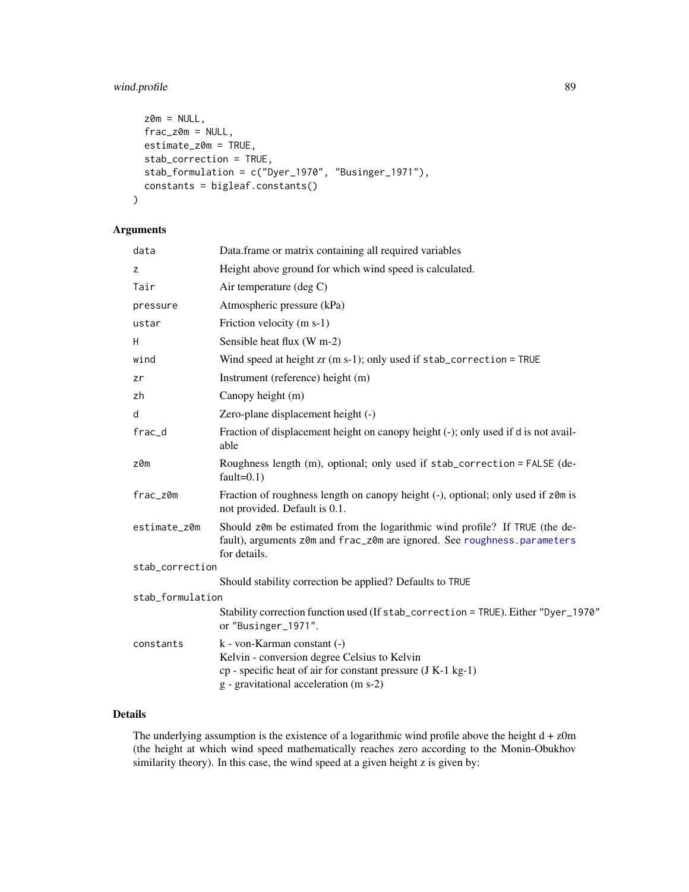# <span id="page-88-0"></span>wind.profile 89

```
z0m = NULL,
 frac_z\omega_m = NULL,estimate_z0m = TRUE,
 stab_correction = TRUE,
  stab_formulation = c("Dyer_1970", "Businger_1971"),
 constants = bigleaf.constants()
)
```
# Arguments

| data             | Data.frame or matrix containing all required variables                                                                                                                                |  |
|------------------|---------------------------------------------------------------------------------------------------------------------------------------------------------------------------------------|--|
| z                | Height above ground for which wind speed is calculated.                                                                                                                               |  |
| Tair             | Air temperature (deg C)                                                                                                                                                               |  |
| pressure         | Atmospheric pressure (kPa)                                                                                                                                                            |  |
| ustar            | Friction velocity (m s-1)                                                                                                                                                             |  |
| H                | Sensible heat flux (W m-2)                                                                                                                                                            |  |
| wind             | Wind speed at height $zr$ (m s-1); only used if $stab_c$ or rection = TRUE                                                                                                            |  |
| zr               | Instrument (reference) height (m)                                                                                                                                                     |  |
| zh               | Canopy height (m)                                                                                                                                                                     |  |
| d                | Zero-plane displacement height (-)                                                                                                                                                    |  |
| frac_d           | Fraction of displacement height on canopy height (-); only used if d is not avail-<br>able                                                                                            |  |
| z0m              | Roughness length (m), optional; only used if stab_correction = FALSE (de-<br>$fault=0.1)$                                                                                             |  |
| frac_z0m         | Fraction of roughness length on canopy height (-), optional; only used if z0m is<br>not provided. Default is 0.1.                                                                     |  |
| estimate_z0m     | Should z0m be estimated from the logarithmic wind profile? If TRUE (the de-<br>fault), arguments z0m and frac_z0m are ignored. See roughness.parameters<br>for details.               |  |
| stab_correction  |                                                                                                                                                                                       |  |
|                  | Should stability correction be applied? Defaults to TRUE                                                                                                                              |  |
| stab_formulation |                                                                                                                                                                                       |  |
|                  | Stability correction function used (If stab_correction = TRUE). Either "Dyer_1970"<br>or "Businger_1971".                                                                             |  |
| constants        | k - von-Karman constant (-)<br>Kelvin - conversion degree Celsius to Kelvin<br>cp - specific heat of air for constant pressure (J K-1 kg-1)<br>g - gravitational acceleration (m s-2) |  |

# Details

The underlying assumption is the existence of a logarithmic wind profile above the height  $d + z0m$ (the height at which wind speed mathematically reaches zero according to the Monin-Obukhov similarity theory). In this case, the wind speed at a given height z is given by: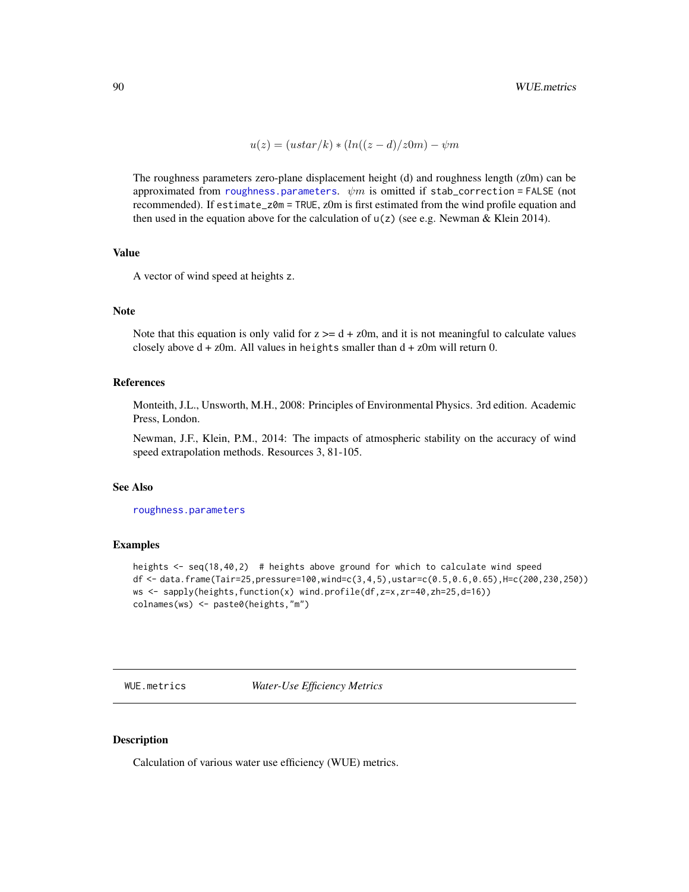$$
u(z) = (ustar/k) * (ln((z-d)/z0m) - \psi m
$$

<span id="page-89-0"></span>The roughness parameters zero-plane displacement height (d) and roughness length (z0m) can be approximated from [roughness.parameters](#page-66-0).  $\psi m$  is omitted if stab\_correction = FALSE (not recommended). If estimate\_z0m = TRUE, z0m is first estimated from the wind profile equation and then used in the equation above for the calculation of  $u(z)$  (see e.g. Newman & Klein 2014).

# Value

A vector of wind speed at heights z.

#### Note

Note that this equation is only valid for  $z \geq d + z$  0m, and it is not meaningful to calculate values closely above  $d + z$ Om. All values in heights smaller than  $d + z$ Om will return 0.

#### References

Monteith, J.L., Unsworth, M.H., 2008: Principles of Environmental Physics. 3rd edition. Academic Press, London.

Newman, J.F., Klein, P.M., 2014: The impacts of atmospheric stability on the accuracy of wind speed extrapolation methods. Resources 3, 81-105.

#### See Also

[roughness.parameters](#page-66-0)

# Examples

```
heights <- seq(18,40,2) # heights above ground for which to calculate wind speed
df <- data.frame(Tair=25,pressure=100,wind=c(3,4,5),ustar=c(0.5,0.6,0.65),H=c(200,230,250))
ws <- sapply(heights,function(x) wind.profile(df,z=x,zr=40,zh=25,d=16))
colnames(ws) <- paste0(heights,"m")
```
WUE.metrics *Water-Use Efficiency Metrics*

#### Description

Calculation of various water use efficiency (WUE) metrics.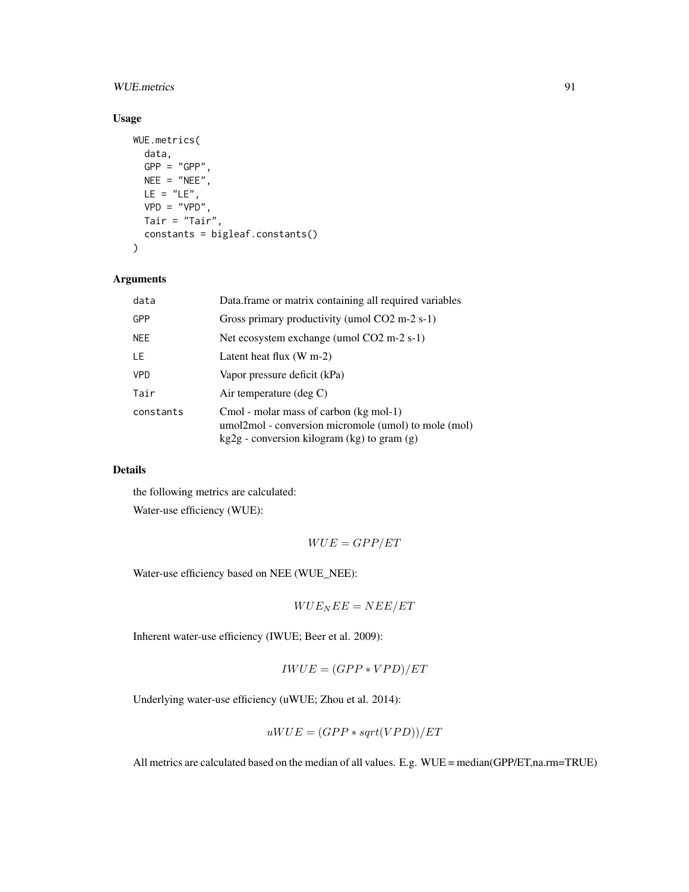# WUE.metrics 91

# Usage

```
WUE.metrics(
 data,
 GPP = "GPP",NEE = "NEE",LE = "LE",VPD = "VPD"Tair = "Tair",
 constants = bigleaf.constants()
)
```
# Arguments

| data       | Data frame or matrix containing all required variables                                                                                          |
|------------|-------------------------------------------------------------------------------------------------------------------------------------------------|
| <b>GPP</b> | Gross primary productivity (umol CO2 m-2 s-1)                                                                                                   |
| <b>NEE</b> | Net ecosystem exchange (umol CO2 m-2 s-1)                                                                                                       |
| LE         | Latent heat flux $(W m-2)$                                                                                                                      |
| <b>VPD</b> | Vapor pressure deficit (kPa)                                                                                                                    |
| Tair       | Air temperature $(\text{deg } C)$                                                                                                               |
| constants  | Cmol - molar mass of carbon (kg mol-1)<br>umol2mol - conversion micromole (umol) to mole (mol)<br>$kg2g$ - conversion kilogram (kg) to gram (g) |

# Details

the following metrics are calculated:

Water-use efficiency (WUE):

$$
WUE = GPP/ET
$$

Water-use efficiency based on NEE (WUE\_NEE):

$$
WUE_{N}EE=NEE/ET
$$

Inherent water-use efficiency (IWUE; Beer et al. 2009):

$$
IWUE = (GPP*VPD)/ET
$$

Underlying water-use efficiency (uWUE; Zhou et al. 2014):

$$
uWUE = (GPP * sqrt(VPD))/ET
$$

All metrics are calculated based on the median of all values. E.g. WUE = median(GPP/ET,na.rm=TRUE)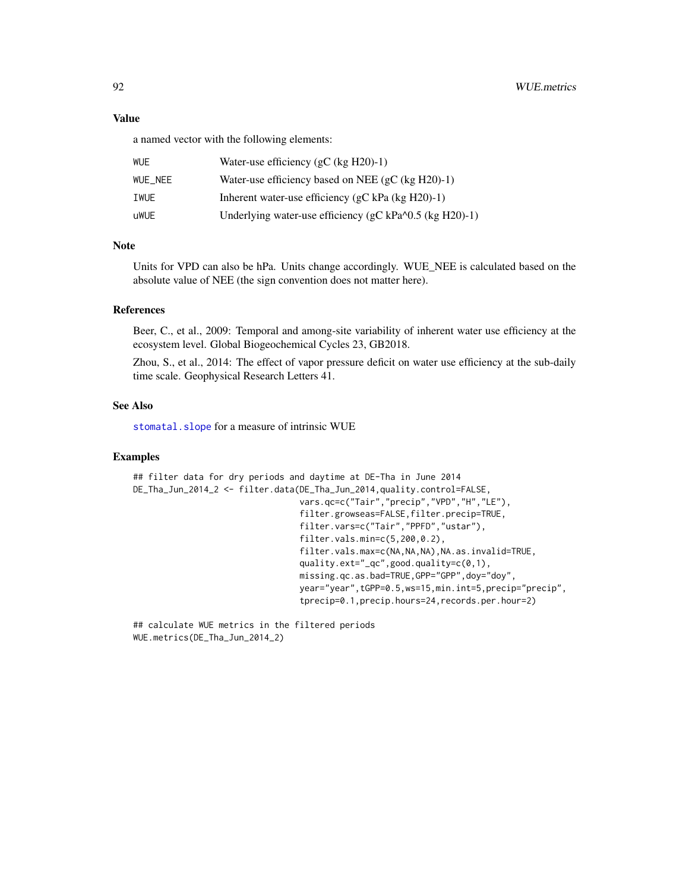# <span id="page-91-0"></span>Value

a named vector with the following elements:

| WUE     | Water-use efficiency $(gC (kg H20)-1)$                         |
|---------|----------------------------------------------------------------|
| WUE NEE | Water-use efficiency based on NEE (gC (kg $H20$ )-1)           |
| IWUE    | Inherent water-use efficiency (gC kPa (kg $H20$ )-1)           |
| uWUE    | Underlying water-use efficiency (gC kPa $\sim$ 0.5 (kg H20)-1) |

# Note

Units for VPD can also be hPa. Units change accordingly. WUE\_NEE is calculated based on the absolute value of NEE (the sign convention does not matter here).

# References

Beer, C., et al., 2009: Temporal and among-site variability of inherent water use efficiency at the ecosystem level. Global Biogeochemical Cycles 23, GB2018.

Zhou, S., et al., 2014: The effect of vapor pressure deficit on water use efficiency at the sub-daily time scale. Geophysical Research Letters 41.

# See Also

[stomatal.slope](#page-73-0) for a measure of intrinsic WUE

#### Examples

```
## filter data for dry periods and daytime at DE-Tha in June 2014
DE_Tha_Jun_2014_2 <- filter.data(DE_Tha_Jun_2014,quality.control=FALSE,
                                 vars.qc=c("Tair","precip","VPD","H","LE"),
                                 filter.growseas=FALSE,filter.precip=TRUE,
                                 filter.vars=c("Tair","PPFD","ustar"),
                                 filter.vals.min=c(5,200,0.2),
                                 filter.vals.max=c(NA,NA,NA),NA.as.invalid=TRUE,
                                 quality.ext="_qc",good.quality=c(0,1),
                                 missing.qc.as.bad=TRUE,GPP="GPP",doy="doy",
                                 year="year",tGPP=0.5,ws=15,min.int=5,precip="precip",
                                 tprecip=0.1,precip.hours=24,records.per.hour=2)
```
## calculate WUE metrics in the filtered periods WUE.metrics(DE\_Tha\_Jun\_2014\_2)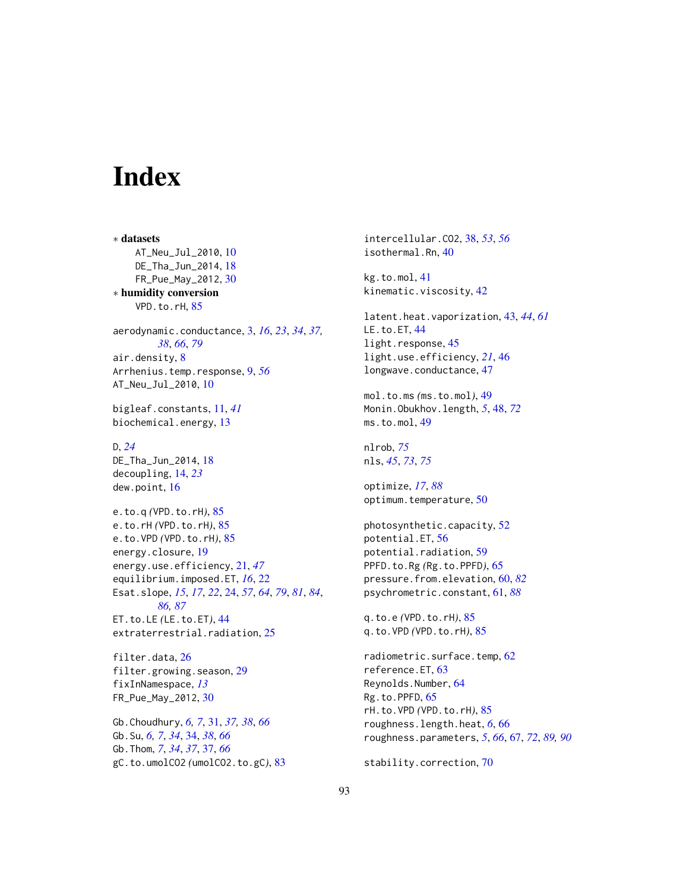# **Index**

∗ datasets AT\_Neu\_Jul\_2010, [10](#page-9-0) DE\_Tha\_Jun\_2014, [18](#page-17-0) FR\_Pue\_May\_2012, [30](#page-29-0) ∗ humidity conversion VPD.to.rH, [85](#page-84-1) aerodynamic.conductance, [3,](#page-2-1) *[16](#page-15-0)*, *[23](#page-22-0)*, *[34](#page-33-0)*, *[37,](#page-36-0) [38](#page-37-0)*, *[66](#page-65-0)*, *[79](#page-78-0)* air.density, [8](#page-7-0) Arrhenius.temp.response, [9,](#page-8-0) *[56](#page-55-0)* AT\_Neu\_Jul\_2010, [10](#page-9-0) bigleaf.constants, [11,](#page-10-0) *[41](#page-40-0)* biochemical.energy, [13](#page-12-0) D, *[24](#page-23-1)* DE\_Tha\_Jun\_2014, [18](#page-17-0) decoupling, [14,](#page-13-0) *[23](#page-22-0)* dew.point, [16](#page-15-0) e.to.q *(*VPD.to.rH*)*, [85](#page-84-1) e.to.rH *(*VPD.to.rH*)*, [85](#page-84-1) e.to.VPD *(*VPD.to.rH*)*, [85](#page-84-1) energy.closure, [19](#page-18-0) energy.use.efficiency, [21,](#page-20-0) *[47](#page-46-0)* equilibrium.imposed.ET, *[16](#page-15-0)*, [22](#page-21-0) Esat.slope, *[15](#page-14-0)*, *[17](#page-16-0)*, *[22](#page-21-0)*, [24,](#page-23-1) *[57](#page-56-0)*, *[64](#page-63-0)*, *[79](#page-78-0)*, *[81](#page-80-0)*, *[84](#page-83-0)*, *[86,](#page-85-0) [87](#page-86-0)* ET.to.LE *(*LE.to.ET*)*, [44](#page-43-0) extraterrestrial.radiation, [25](#page-24-0)

filter.data, [26](#page-25-0) filter.growing.season, [29](#page-28-0) fixInNamespace, *[13](#page-12-0)* FR\_Pue\_May\_2012, [30](#page-29-0)

Gb.Choudhury, *[6,](#page-5-0) [7](#page-6-0)*, [31,](#page-30-0) *[37,](#page-36-0) [38](#page-37-0)*, *[66](#page-65-0)* Gb.Su, *[6,](#page-5-0) [7](#page-6-0)*, *[34](#page-33-0)*, [34,](#page-33-0) *[38](#page-37-0)*, *[66](#page-65-0)* Gb.Thom, *[7](#page-6-0)*, *[34](#page-33-0)*, *[37](#page-36-0)*, [37,](#page-36-0) *[66](#page-65-0)* gC.to.umolCO2 *(*umolCO2.to.gC*)*, [83](#page-82-0) intercellular.CO2, [38,](#page-37-0) *[53](#page-52-0)*, *[56](#page-55-0)* isothermal.Rn, [40](#page-39-0)

kg.to.mol, [41](#page-40-0) kinematic.viscosity, [42](#page-41-0)

latent.heat.vaporization, [43,](#page-42-0) *[44](#page-43-0)*, *[61](#page-60-1)* LE.to.ET, [44](#page-43-0) light.response, [45](#page-44-0) light.use.efficiency, *[21](#page-20-0)*, [46](#page-45-0) longwave.conductance, [47](#page-46-0)

mol.to.ms *(*ms.to.mol*)*, [49](#page-48-0) Monin.Obukhov.length, *[5](#page-4-0)*, [48,](#page-47-0) *[72](#page-71-0)* ms.to.mol, [49](#page-48-0)

nlrob, *[75](#page-74-0)* nls, *[45](#page-44-0)*, *[73](#page-72-0)*, *[75](#page-74-0)*

optimize, *[17](#page-16-0)*, *[88](#page-87-0)* optimum.temperature, [50](#page-49-0)

photosynthetic.capacity, [52](#page-51-0) potential.ET, [56](#page-55-0) potential.radiation, [59](#page-58-0) PPFD.to.Rg *(*Rg.to.PPFD*)*, [65](#page-64-0) pressure.from.elevation, [60,](#page-59-1) *[82](#page-81-0)* psychrometric.constant, [61,](#page-60-1) *[88](#page-87-0)*

q.to.e *(*VPD.to.rH*)*, [85](#page-84-1) q.to.VPD *(*VPD.to.rH*)*, [85](#page-84-1)

radiometric.surface.temp, [62](#page-61-0) reference.ET, [63](#page-62-0) Reynolds.Number, [64](#page-63-0) Rg.to.PPFD, [65](#page-64-0) rH.to.VPD *(*VPD.to.rH*)*, [85](#page-84-1) roughness.length.heat, *[6](#page-5-0)*, [66](#page-65-0) roughness.parameters, *[5](#page-4-0)*, *[66](#page-65-0)*, [67,](#page-66-1) *[72](#page-71-0)*, *[89,](#page-88-0) [90](#page-89-0)*

stability.correction, [70](#page-69-0)